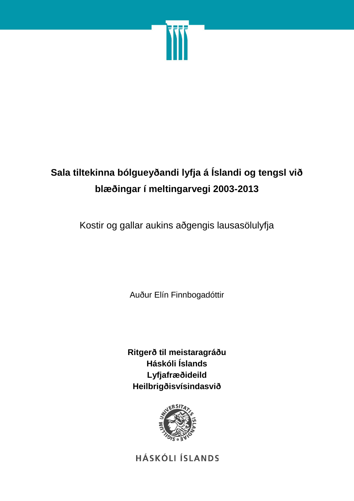

# **Sala tiltekinna bólgueyðandi lyfja á Íslandi og tengsl við blæðingar í meltingarvegi 2003-2013**

Kostir og gallar aukins aðgengis lausasölulyfja

Auður Elín Finnbogadóttir

**Ritgerð til meistaragráðu Háskóli Íslands Lyfjafræðideild Heilbrigðisvísindasvið**



**HÁSKÓLI ÍSLANDS**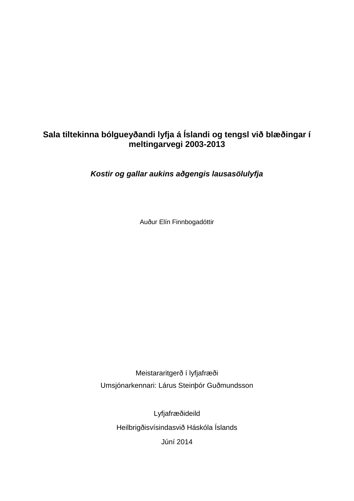# **Sala tiltekinna bólgueyðandi lyfja á Íslandi og tengsl við blæðingar í meltingarvegi 2003-2013**

*Kostir og gallar aukins aðgengis lausasölulyfja*

Auður Elín Finnbogadóttir

Meistararitgerð í lyfjafræði Umsjónarkennari: Lárus Steinþór Guðmundsson

> Lyfjafræðideild Heilbrigðisvísindasvið Háskóla Íslands Júní 2014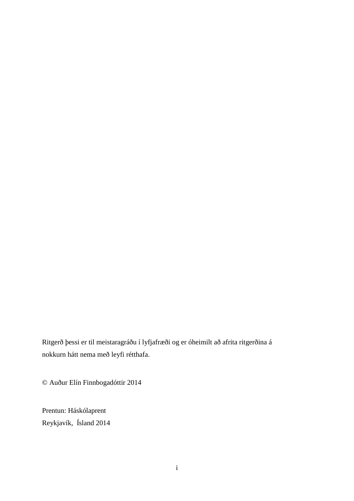Ritgerð þessi er til meistaragráðu í lyfjafræði og er óheimilt að afrita ritgerðina á nokkurn hátt nema með leyfi rétthafa.

© Auður Elín Finnbogadóttir 2014

Prentun: Háskólaprent Reykjavík, Ísland 2014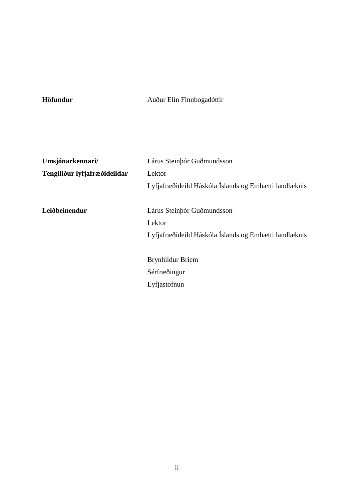**Höfundur** Auður Elín Finnbogadóttir

| Umsjónarkennari/             | Lárus Steinbór Guðmundsson                            |  |  |  |
|------------------------------|-------------------------------------------------------|--|--|--|
| Tengiliður lyfjafræðideildar | Lektor                                                |  |  |  |
|                              | Lyfjafræðideild Háskóla Íslands og Embætti landlæknis |  |  |  |
| Leiðbeinendur                | Lárus Steinbór Guðmundsson                            |  |  |  |
|                              | Lektor                                                |  |  |  |
|                              | Lyfjafræðideild Háskóla Íslands og Embætti landlæknis |  |  |  |
|                              |                                                       |  |  |  |
|                              | Brynhildur Briem                                      |  |  |  |
|                              | Sérfræðingur                                          |  |  |  |
|                              | Lyfjastofnun                                          |  |  |  |
|                              |                                                       |  |  |  |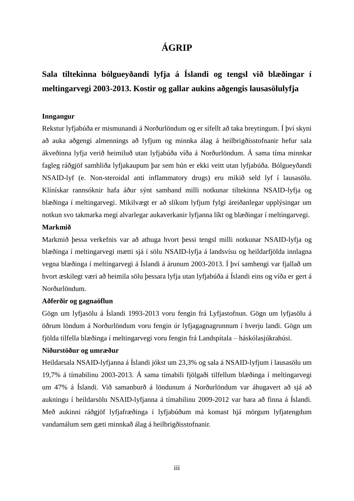# **ÁGRIP**

# **Sala tiltekinna bólgueyðandi lyfja á Íslandi og tengsl við blæðingar í meltingarvegi 2003-2013. Kostir og gallar aukins aðgengis lausasölulyfja**

#### **Inngangur**

Rekstur lyfjabúða er mismunandi á Norðurlöndum og er sífellt að taka breytingum. Í því skyni að auka aðgengi almennings að lyfjum og minnka álag á heilbrigðisstofnanir hefur sala ákveðinna lyfja verið heimiluð utan lyfjabúða víða á Norðurlöndum. Á sama tíma minnkar fagleg ráðgjöf samhliða lyfjakaupum þar sem hún er ekki veitt utan lyfjabúða. Bólgueyðandi NSAID-lyf (e. Non-steroidal anti inflammatory drugs) eru mikið seld lyf í lausasölu. Klínískar rannsóknir hafa áður sýnt samband milli notkunar tiltekinna NSAID-lyfja og blæðinga í meltingarvegi. Mikilvægt er að slíkum lyfjum fylgi áreiðanlegar upplýsingar um notkun svo takmarka megi alvarlegar aukaverkanir lyfjanna líkt og blæðingar í meltingarvegi.

#### **Markmið**

Markmið þessa verkefnis var að athuga hvort þessi tengsl milli notkunar NSAID-lyfja og blæðinga í meltingarvegi mætti sjá í sölu NSAID-lyfja á landsvísu og heildarfjölda innlagna vegna blæðinga í meltingarvegi á Íslandi á árunum 2003-2013. Í því samhengi var fjallað um hvort æskilegt væri að heimila sölu þessara lyfja utan lyfjabúða á Íslandi eins og víða er gert á Norðurlöndum.

#### **Aðferðir og gagnaöflun**

Gögn um lyfjasölu á Íslandi 1993-2013 voru fengin frá Lyfjastofnun. Gögn um lyfjasölu á öðrum löndum á Norðurlöndum voru fengin úr lyfjagagnagrunnum í hverju landi. Gögn um fjölda tilfella blæðinga í meltingarvegi voru fengin frá Landspítala – háskólasjúkrahúsi.

#### **Niðurstöður og umræður**

Heildarsala NSAID-lyfjanna á Íslandi jókst um 23,3% og sala á NSAID-lyfjum í lausasölu um 19,7% á tímabilinu 2003-2013. Á sama tímabili fjölgaði tilfellum blæðinga í meltingarvegi um 47% á Íslandi. Við samanburð á löndunum á Norðurlöndum var áhugavert að sjá að aukningu í heildarsölu NSAID-lyfjanna á tímabilinu 2009-2012 var bara að finna á Íslandi. Með aukinni ráðgjöf lyfjafræðinga í lyfjabúðum má komast hjá mörgum lyfjatengdum vandamálum sem gæti minnkað álag á heilbrigðisstofnanir.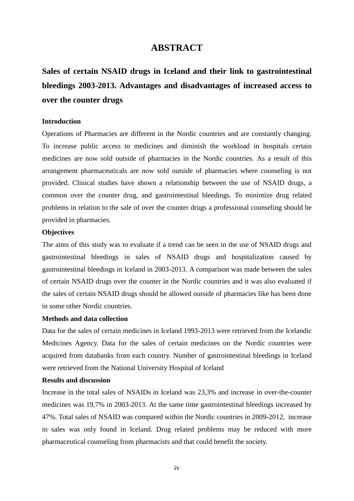### **ABSTRACT**

**Sales of certain NSAID drugs in Iceland and their link to gastrointestinal bleedings 2003-2013. Advantages and disadvantages of increased access to over the counter drugs**

#### **Introduction**

Operations of Pharmacies are different in the Nordic countries and are constantly changing. To increase public access to medicines and diminish the workload in hospitals certain medicines are now sold outside of pharmacies in the Nordic countries. As a result of this arrangement pharmaceuticals are now sold outside of pharmacies where counseling is not provided. Clinical studies have shown a relationship between the use of NSAID drugs, a common over the counter drug, and gastrointestinal bleedings. To minimize drug related problems in relation to the sale of over the counter drugs a professional counseling should be provided in pharmacies.

#### **Objectives**

The aims of this study was to evaluate if a trend can be seen in the use of NSAID drugs and gastrointestinal bleedings in sales of NSAID drugs and hospitalization caused by gastrointestinal bleedings in Iceland in 2003-2013. A comparison was made between the sales of certain NSAID drugs over the counter in the Nordic countries and it was also evaluated if the sales of certain NSAID drugs should be allowed outside of pharmacies like has been done in some other Nordic countries.

#### **Methods and data collection**

Data for the sales of certain medicines in Iceland 1993-2013 were retrieved from the Icelandic Medicines Agency. Data for the sales of certain medicines on the Nordic countries were acquired from databanks from each country. Number of gastrointestinal bleedings in Iceland were retrieved from the National University Hospital of Iceland

#### **Results and discussion**

Increase in the total sales of NSAIDs in Iceland was 23,3% and increase in over-the-counter medicines was 19,7% in 2003-2013. At the same time gastrointestinal bleedings increased by 47%. Total sales of NSAID was compared within the Nordic countries in 2009-2012, increase in sales was only found in Iceland. Drug related problems may be reduced with more pharmaceutical counseling from pharmacists and that could benefit the society.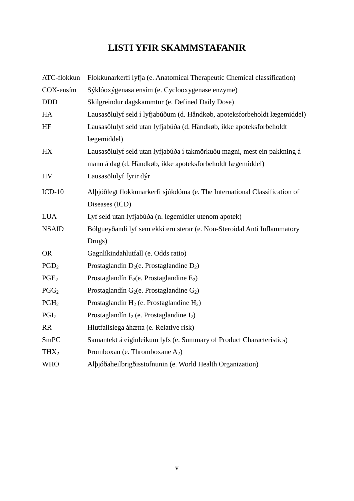# **LISTI YFIR SKAMMSTAFANIR**

| ATC-flokkun      | Flokkunarkerfi lyfja (e. Anatomical Therapeutic Chemical classification)   |
|------------------|----------------------------------------------------------------------------|
| COX-ensím        | Sýklóoxýgenasa ensím (e. Cyclooxygenase enzyme)                            |
| <b>DDD</b>       | Skilgreindur dagskammtur (e. Defined Daily Dose)                           |
| HA               | Lausasölulyf seld í lyfjabúðum (d. Håndkøb, apoteksforbeholdt lægemiddel)  |
| HF               | Lausasölulyf seld utan lyfjabúða (d. Håndkøb, ikke apoteksforbeholdt       |
|                  | lægemiddel)                                                                |
| HX               | Lausasölulyf seld utan lyfjabúða í takmörkuðu magni, mest ein pakkning á   |
|                  | mann á dag (d. Håndkøb, ikke apoteksforbeholdt lægemiddel)                 |
| <b>HV</b>        | Lausasölulyf fyrir dýr                                                     |
| $ICD-10$         | Alþjóðlegt flokkunarkerfi sjúkdóma (e. The International Classification of |
|                  | Diseases (ICD)                                                             |
| <b>LUA</b>       | Lyf seld utan lyfjabúða (n. legemidler utenom apotek)                      |
| <b>NSAID</b>     | Bólgueyðandi lyf sem ekki eru sterar (e. Non-Steroidal Anti Inflammatory   |
|                  | Drugs)                                                                     |
| <b>OR</b>        | Gagnlíkindahlutfall (e. Odds ratio)                                        |
| PGD <sub>2</sub> | Prostaglandín $D_2$ (e. Prostaglandine $D_2$ )                             |
| PGE <sub>2</sub> | Prostaglandín $E_2$ (e. Prostaglandine $E_2$ )                             |
| PGG <sub>2</sub> | Prostaglandín G <sub>2</sub> (e. Prostaglandine G <sub>2</sub> )           |
| PGH <sub>2</sub> | Prostaglandín $H_2$ (e. Prostaglandine $H_2$ )                             |
| PGI <sub>2</sub> | Prostaglandín $I_2$ (e. Prostaglandine $I_2$ )                             |
| <b>RR</b>        | Hlutfallslega áhætta (e. Relative risk)                                    |
| <b>SmPC</b>      | Samantekt á eiginleikum lyfs (e. Summary of Product Characteristics)       |
| THX <sub>2</sub> | Promboxan (e. Thromboxane $A_2$ )                                          |
| <b>WHO</b>       | Alþjóðaheilbrigðisstofnunin (e. World Health Organization)                 |
|                  |                                                                            |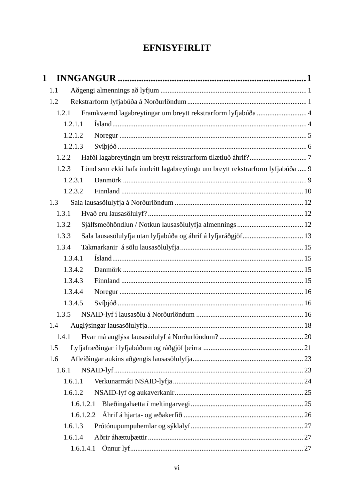# **EFNISYFIRLIT**

| 1 |         |                                                                               |  |
|---|---------|-------------------------------------------------------------------------------|--|
|   | 1.1     |                                                                               |  |
|   | 1.2     |                                                                               |  |
|   | 1.2.1   | Framkvæmd lagabreytingar um breytt rekstrarform lyfjabúða  4                  |  |
|   | 1.2.1.1 |                                                                               |  |
|   | 1.2.1.2 |                                                                               |  |
|   | 1.2.1.3 |                                                                               |  |
|   | 1.2.2   |                                                                               |  |
|   | 1.2.3   | Lönd sem ekki hafa innleitt lagabreytingu um breytt rekstrarform lyfjabúða  9 |  |
|   | 1.2.3.1 |                                                                               |  |
|   | 1.2.3.2 |                                                                               |  |
|   | 1.3     |                                                                               |  |
|   | 1.3.1   |                                                                               |  |
|   | 1.3.2   |                                                                               |  |
|   | 1.3.3   | Sala lausasölulyfja utan lyfjabúða og áhrif á lyfjaráðgjöf 13                 |  |
|   | 1.3.4   |                                                                               |  |
|   | 1.3.4.1 |                                                                               |  |
|   | 1.3.4.2 |                                                                               |  |
|   | 1.3.4.3 |                                                                               |  |
|   | 1.3.4.4 |                                                                               |  |
|   | 1.3.4.5 |                                                                               |  |
|   | 1.3.5   |                                                                               |  |
|   | 1.4     |                                                                               |  |
|   | 1.4.1   |                                                                               |  |
|   | 1.5     |                                                                               |  |
|   | 1.6     |                                                                               |  |
|   | 1.6.1   |                                                                               |  |
|   | 1.6.1.1 |                                                                               |  |
|   | 1.6.1.2 |                                                                               |  |
|   |         | 1.6.1.2.1                                                                     |  |
|   |         |                                                                               |  |
|   | 1.6.1.3 |                                                                               |  |
|   | 1.6.1.4 |                                                                               |  |
|   |         | 1.6.1.4.1                                                                     |  |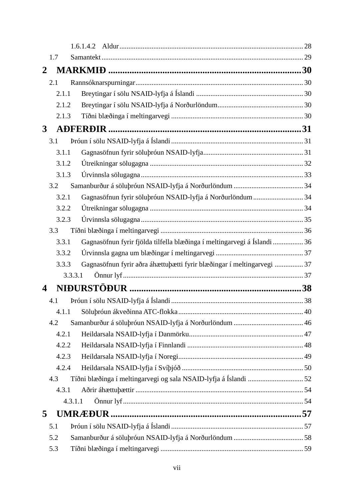| 1.7          |                                                                          |  |
|--------------|--------------------------------------------------------------------------|--|
| 2            |                                                                          |  |
| 2.1          |                                                                          |  |
| 2.1.1        |                                                                          |  |
| 2.1.2        |                                                                          |  |
| 2.1.3        |                                                                          |  |
| $\mathbf{3}$ |                                                                          |  |
| 3.1          |                                                                          |  |
| 3.1.1        |                                                                          |  |
| 3.1.2        |                                                                          |  |
| 3.1.3        |                                                                          |  |
| 3.2          |                                                                          |  |
| 3.2.1        | Gagnasöfnun fyrir söluþróun NSAID-lyfja á Norðurlöndum  34               |  |
| 3.2.2        |                                                                          |  |
| 3.2.3        |                                                                          |  |
| 3.3          |                                                                          |  |
| 3.3.1        | Gagnasöfnun fyrir fjölda tilfella blæðinga í meltingarvegi á Íslandi  36 |  |
| 3.3.2        |                                                                          |  |
| 3.3.3        | Gagnasöfnun fyrir aðra áhættuþætti fyrir blæðingar í meltingarvegi  37   |  |
| 3.3.3.1      |                                                                          |  |
| 4            |                                                                          |  |
| 4.1          |                                                                          |  |
| 4.1.1        |                                                                          |  |
| 4.2          |                                                                          |  |
| 4.2.1        |                                                                          |  |
| 4.2.2        |                                                                          |  |
| 4.2.3        |                                                                          |  |
| 4.2.4        |                                                                          |  |
| 4.3          |                                                                          |  |
| 4.3.1        |                                                                          |  |
| 4.3.1.1      |                                                                          |  |
| 5            |                                                                          |  |
| 5.1          |                                                                          |  |
| 5.2          |                                                                          |  |
| 5.3          |                                                                          |  |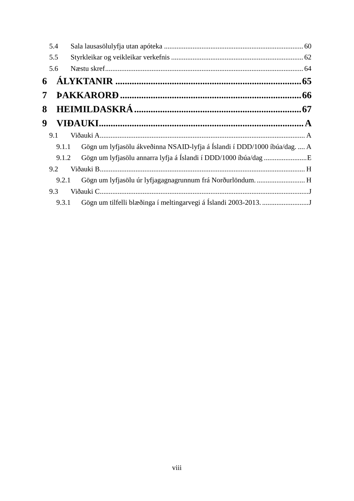|   | 5.4   |                                                                           |  |
|---|-------|---------------------------------------------------------------------------|--|
|   | 5.5   |                                                                           |  |
|   | 5.6   |                                                                           |  |
| 6 |       |                                                                           |  |
| 7 |       |                                                                           |  |
| 8 |       |                                                                           |  |
| 9 |       |                                                                           |  |
|   | 9.1   |                                                                           |  |
|   | 9.1.1 | Gögn um lyfjasölu ákveðinna NSAID-lyfja á Íslandi í DDD/1000 íbúa/dag.  A |  |
|   | 9.1.2 |                                                                           |  |
|   | 9.2   |                                                                           |  |
|   | 9.2.1 |                                                                           |  |
|   | 9.3   |                                                                           |  |
|   | 9.3.1 |                                                                           |  |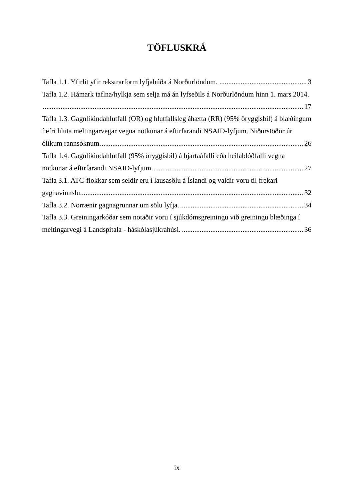# **TÖFLUSKRÁ**

| Tafla 1.2. Hámark taflna/hylkja sem selja má án lyfseðils á Norðurlöndum hinn 1. mars 2014.  |  |
|----------------------------------------------------------------------------------------------|--|
|                                                                                              |  |
| Tafla 1.3. Gagnlíkindahlutfall (OR) og hlutfallsleg áhætta (RR) (95% öryggisbil) á blæðingum |  |
| í efri hluta meltingarvegar vegna notkunar á eftirfarandi NSAID-lyfjum. Niðurstöður úr       |  |
|                                                                                              |  |
| Tafla 1.4. Gagnlíkindahlutfall (95% öryggisbil) á hjartaáfalli eða heilablóðfalli vegna      |  |
|                                                                                              |  |
| Tafla 3.1. ATC-flokkar sem seldir eru í lausasölu á Íslandi og valdir voru til frekari       |  |
|                                                                                              |  |
|                                                                                              |  |
| Tafla 3.3. Greiningarkóðar sem notaðir voru í sjúkdómsgreiningu við greiningu blæðinga í     |  |
|                                                                                              |  |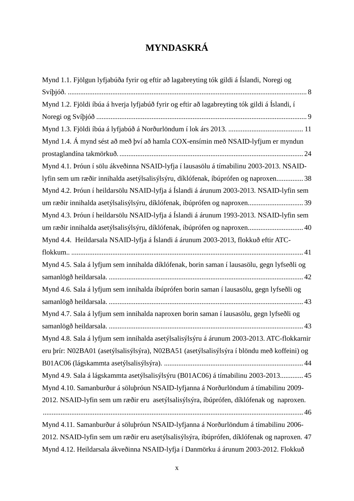# **MYNDASKRÁ**

| Mynd 1.1. Fjölgun lyfjabúða fyrir og eftir að lagabreyting tók gildi á Íslandi, Noregi og     |
|-----------------------------------------------------------------------------------------------|
|                                                                                               |
| Mynd 1.2. Fjöldi íbúa á hverja lyfjabúð fyrir og eftir að lagabreyting tók gildi á Íslandi, í |
|                                                                                               |
|                                                                                               |
| Mynd 1.4. Á mynd sést að með því að hamla COX-ensímin með NSAID-lyfjum er myndun              |
|                                                                                               |
| Mynd 4.1. Þróun í sölu ákveðinna NSAID-lyfja í lausasölu á tímabilinu 2003-2013. NSAID-       |
| lyfin sem um ræðir innihalda asetýlsalisýlsýru, díklófenak, íbúprófen og naproxen 38          |
| Mynd 4.2. Þróun í heildarsölu NSAID-lyfja á Íslandi á árunum 2003-2013. NSAID-lyfin sem       |
| um ræðir innihalda asetýlsalisýlsýru, díklófenak, íbúprófen og naproxen 39                    |
| Mynd 4.3. Þróun í heildarsölu NSAID-lyfja á Íslandi á árunum 1993-2013. NSAID-lyfin sem       |
| um ræðir innihalda asetýlsalisýlsýru, díklófenak, íbúprófen og naproxen 40                    |
| Mynd 4.4. Heildarsala NSAID-lyfja á Íslandi á árunum 2003-2013, flokkuð eftir ATC-            |
|                                                                                               |
| Mynd 4.5. Sala á lyfjum sem innihalda díklófenak, borin saman í lausasölu, gegn lyfseðli og   |
|                                                                                               |
| Mynd 4.6. Sala á lyfjum sem innihalda íbúprófen borin saman í lausasölu, gegn lyfseðli og     |
|                                                                                               |
| Mynd 4.7. Sala á lyfjum sem innihalda naproxen borin saman í lausasölu, gegn lyfseðli og      |
|                                                                                               |
| Mynd 4.8. Sala á lyfjum sem innihalda asetýlsalisýlsýru á árunum 2003-2013. ATC-flokkarnir    |
| eru þrír: N02BA01 (asetýlsalisýlsýra), N02BA51 (asetýlsalisýlsýra í blöndu með koffeini) og   |
|                                                                                               |
| Mynd 4.9. Sala á lágskammta asetýlsalisýlsýru (B01AC06) á tímabilinu 2003-2013 45             |
| Mynd 4.10. Samanburður á söluþróun NSAID-lyfjanna á Norðurlöndum á tímabilinu 2009-           |
| 2012. NSAID-lyfin sem um ræðir eru asetýlsalisýlsýra, íbúprófen, díklófenak og naproxen.      |
|                                                                                               |
| Mynd 4.11. Samanburður á söluþróun NSAID-lyfjanna á Norðurlöndum á tímabilinu 2006-           |
| 2012. NSAID-lyfin sem um ræðir eru asetýlsalisýlsýra, íbúprófen, díklófenak og naproxen. 47   |
| Mynd 4.12. Heildarsala ákveðinna NSAID-lyfja í Danmörku á árunum 2003-2012. Flokkuð           |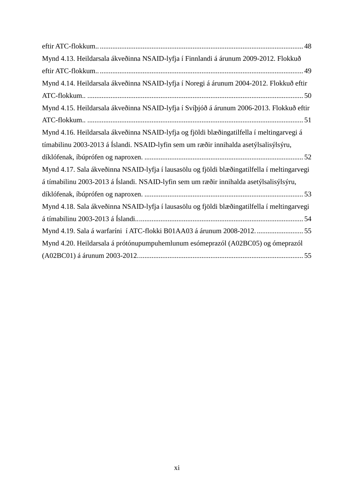| Mynd 4.13. Heildarsala ákveðinna NSAID-lyfja í Finnlandi á árunum 2009-2012. Flokkuð         |
|----------------------------------------------------------------------------------------------|
|                                                                                              |
| Mynd 4.14. Heildarsala ákveðinna NSAID-lyfja í Noregi á árunum 2004-2012. Flokkuð eftir      |
|                                                                                              |
| Mynd 4.15. Heildarsala ákveðinna NSAID-lyfja í Svíþjóð á árunum 2006-2013. Flokkuð eftir     |
|                                                                                              |
| Mynd 4.16. Heildarsala ákveðinna NSAID-lyfja og fjöldi blæðingatilfella í meltingarvegi á    |
| tímabilinu 2003-2013 á Íslandi. NSAID-lyfin sem um ræðir innihalda asetýlsalisýlsýru,        |
|                                                                                              |
| Mynd 4.17. Sala ákveðinna NSAID-lyfja í lausasölu og fjöldi blæðingatilfella í meltingarvegi |
| á tímabilinu 2003-2013 á Íslandi. NSAID-lyfin sem um ræðir innihalda asetýlsalisýlsýru,      |
|                                                                                              |
| Mynd 4.18. Sala ákveðinna NSAID-lyfja í lausasölu og fjöldi blæðingatilfella í meltingarvegi |
|                                                                                              |
| Mynd 4.19. Sala á warfaríni í ATC-flokki B01AA03 á árunum 2008-2012.  55                     |
| Mynd 4.20. Heildarsala á prótónupumpuhemlunum esómeprazól (A02BC05) og ómeprazól             |
|                                                                                              |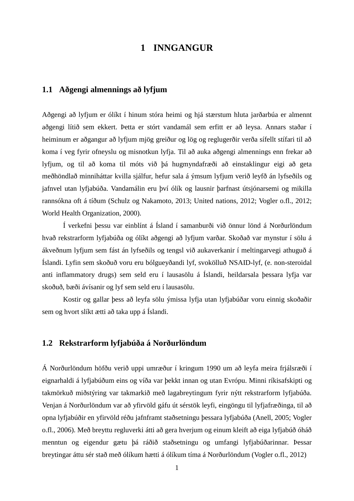### **1 INNGANGUR**

#### **1.1 Aðgengi almennings að lyfjum**

Aðgengi að lyfjum er ólíkt í hinum stóra heimi og hjá stærstum hluta jarðarbúa er almennt aðgengi lítið sem ekkert. Þetta er stórt vandamál sem erfitt er að leysa. Annars staðar í heiminum er aðgangur að lyfjum mjög greiður og lög og reglugerðir verða sífellt stífari til að koma í veg fyrir ofneyslu og misnotkun lyfja. Til að auka aðgengi almennings enn frekar að lyfjum, og til að koma til móts við þá hugmyndafræði að einstaklingur eigi að geta meðhöndlað minniháttar kvilla sjálfur, hefur sala á ýmsum lyfjum verið leyfð án lyfseðils og jafnvel utan lyfjabúða. Vandamálin eru því ólík og lausnir þarfnast útsjónarsemi og mikilla rannsókna oft á tíðum (Schulz og Nakamoto, 2013; United nations, 2012; Vogler o.fl., 2012; World Health Organization, 2000).

Í verkefni þessu var einblínt á Ísland í samanburði við önnur lönd á Norðurlöndum hvað rekstrarform lyfjabúða og ólíkt aðgengi að lyfjum varðar. Skoðað var mynstur í sölu á ákveðnum lyfjum sem fást án lyfseðils og tengsl við aukaverkanir í meltingarvegi athuguð á Íslandi. Lyfin sem skoðuð voru eru bólgueyðandi lyf, svokölluð NSAID-lyf, (e. non-steroidal anti inflammatory drugs) sem seld eru í lausasölu á Íslandi, heildarsala þessara lyfja var skoðuð, bæði ávísanir og lyf sem seld eru í lausasölu.

Kostir og gallar þess að leyfa sölu ýmissa lyfja utan lyfjabúðar voru einnig skoðaðir sem og hvort slíkt ætti að taka upp á Íslandi.

#### **1.2 Rekstrarform lyfjabúða á Norðurlöndum**

Á Norðurlöndum höfðu verið uppi umræður í kringum 1990 um að leyfa meira frjálsræði í eignarhaldi á lyfjabúðum eins og víða var þekkt innan og utan Evrópu. Minni ríkisafskipti og takmörkuð miðstýring var takmarkið með lagabreytingum fyrir nýtt rekstrarform lyfjabúða. Venjan á Norðurlöndum var að yfirvöld gáfu út sérstök leyfi, eingöngu til lyfjafræðinga, til að opna lyfjabúðir en yfirvöld réðu jafnframt staðsetningu þessara lyfjabúða (Anell, 2005; Vogler o.fl., 2006). Með breyttu regluverki átti að gera hverjum og einum kleift að eiga lyfjabúð óháð menntun og eigendur gætu þá ráðið staðsetningu og umfangi lyfjabúðarinnar. Þessar breytingar áttu sér stað með ólíkum hætti á ólíkum tíma á Norðurlöndum (Vogler o.fl., 2012)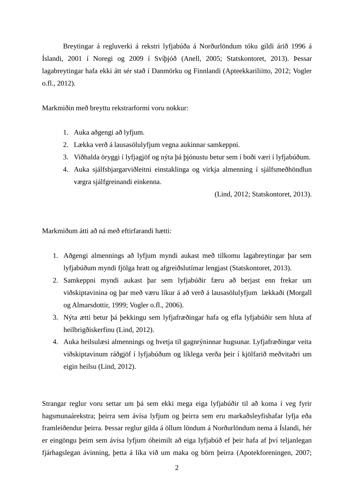Breytingar á regluverki á rekstri lyfjabúða á Norðurlöndum tóku gildi árið 1996 á Íslandi, 2001 í Noregi og 2009 í Svíþjóð (Anell, 2005; Statskontoret, 2013). Þessar lagabreytingar hafa ekki átt sér stað í Danmörku og Finnlandi (Apteekkariliitto, 2012; Vogler o.fl., 2012).

Markmiðin með breyttu rekstrarformi voru nokkur:

- 1. Auka aðgengi að lyfjum.
- 2. Lækka verð á lausasölulyfjum vegna aukinnar samkeppni.
- 3. Viðhalda öryggi í lyfjagjöf og nýta þá þjónustu betur sem í boði væri í lyfjabúðum.
- 4. Auka sjálfsbjargarviðleitni einstaklinga og virkja almenning í sjálfsmeðhöndlun vægra sjálfgreinandi einkenna.

(Lind, 2012; Statskontoret, 2013).

Markmiðum átti að ná með eftirfarandi hætti:

- 1. Aðgengi almennings að lyfjum myndi aukast með tilkomu lagabreytingar þar sem lyfjabúðum myndi fjölga hratt og afgreiðslutímar lengjast (Statskontoret, 2013).
- 2. Samkeppni myndi aukast þar sem lyfjabúðir færu að berjast enn frekar um viðskiptavinina og þar með væru líkur á að verð á lausasölulyfjum lækkaði (Morgall og Almarsdottir, 1999; Vogler o.fl., 2006).
- 3. Nýta ætti betur þá þekkingu sem lyfjafræðingar hafa og efla lyfjabúðir sem hluta af heilbrigðiskerfinu (Lind, 2012).
- 4. Auka heilsulæsi almennings og hvetja til gagnrýninnar hugsunar. Lyfjafræðingar veita viðskiptavinum ráðgjöf í lyfjabúðum og líklega verða þeir í kjölfarið meðvitaðri um eigin heilsu (Lind, 2012).

Strangar reglur voru settar um þá sem ekki mega eiga lyfjabúðir til að koma í veg fyrir hagsmunaárekstra; þeirra sem ávísa lyfjum og þeirra sem eru markaðsleyfishafar lyfja eða framleiðendur þeirra. Þessar reglur gilda á öllum löndum á Norðurlöndum nema á Íslandi, hér er eingöngu þeim sem ávísa lyfjum óheimilt að eiga lyfjabúð ef þeir hafa af því teljanlegan fjárhagslegan ávinning, þetta á líka við um maka og börn þeirra (Apotekforeningen, 2007;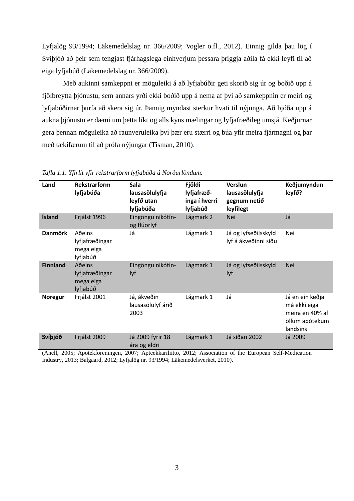Lyfjalög 93/1994; Läkemedelslag nr. 366/2009; Vogler o.fl., 2012). Einnig gilda þau lög í Svíþjóð að þeir sem tengjast fjárhagslega einhverjum þessara þriggja aðila fá ekki leyfi til að eiga lyfjabúð (Läkemedelslag nr. 366/2009).

Með aukinni samkeppni er möguleiki á að lyfjabúðir geti skorið sig úr og boðið upp á fjölbreytta þjónustu, sem annars yrði ekki boðið upp á nema af því að samkeppnin er meiri og lyfjabúðirnar þurfa að skera sig úr. Þannig myndast sterkur hvati til nýjunga. Að bjóða upp á aukna þjónustu er dæmi um þetta líkt og alls kyns mælingar og lyfjafræðileg umsjá. Keðjurnar gera þennan möguleika að raunveruleika því þær eru stærri og búa yfir meira fjármagni og þar með tækifærum til að prófa nýjungar (Tisman, 2010).

| Land            | Rekstrarform<br>lyfjabúða                         | Sala<br>lausasölulyfja<br>leyfð utan<br>lyfjabúða | Fjöldi<br>lyfjafræð-<br>inga í hverri<br>lyfjabúð | Verslun<br>lausasölulyfja<br>gegnum netið<br>leyfilegt | Keðjumyndun<br>leyfð?                                                            |
|-----------------|---------------------------------------------------|---------------------------------------------------|---------------------------------------------------|--------------------------------------------------------|----------------------------------------------------------------------------------|
| Ísland          | Frjálst 1996                                      | Eingöngu nikótín-<br>og flúorlyf                  | Lágmark 2                                         | <b>Nei</b>                                             | Já                                                                               |
| <b>Danmörk</b>  | Aðeins<br>lyfjafræðingar<br>mega eiga<br>lyfjabúð | Já                                                | Lágmark 1                                         | Já og lyfseðilsskyld<br>lyf á ákveðinni síðu           | Nei                                                                              |
| <b>Finnland</b> | Aðeins<br>lyfjafræðingar<br>mega eiga<br>lyfjabúð | Eingöngu nikótín-<br>lyf                          | Lágmark 1                                         | Já og lyfseðilsskyld<br>lyf                            | <b>Nei</b>                                                                       |
| <b>Noregur</b>  | Frjálst 2001                                      | Já, ákveðin<br>lausasölulyf árið<br>2003          | Lágmark 1                                         | Já                                                     | Já en ein keðja<br>má ekki eiga<br>meira en 40% af<br>öllum apótekum<br>landsins |
| Svíþjóð         | Frjálst 2009                                      | Já 2009 fyrir 18<br>ára og eldri                  | Lágmark 1                                         | Já síðan 2002                                          | Já 2009                                                                          |

<span id="page-15-0"></span>*Tafla 1.1. Yfirlit yfir rekstrarform lyfjabúða á Norðurlöndum.*

(Anell, 2005; Apotekforeningen, 2007; Apteekkariliitto, 2012; Association of the European Self-Medication Industry, 2013; Balgaard, 2012; Lyfjalög nr. 93/1994; Läkemedelsverket, 2010).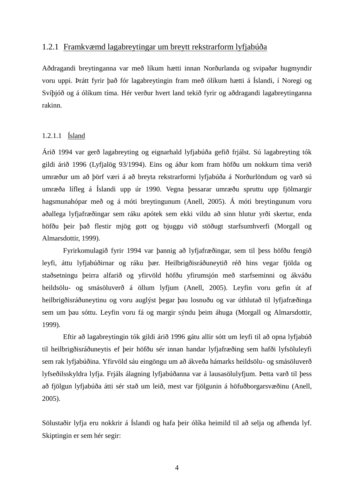#### 1.2.1 Framkvæmd lagabreytingar um breytt rekstrarform lyfjabúða

Aðdragandi breytinganna var með líkum hætti innan Norðurlanda og svipaðar hugmyndir voru uppi. Þrátt fyrir það fór lagabreytingin fram með ólíkum hætti á Íslandi, í Noregi og Svíþjóð og á ólíkum tíma. Hér verður hvert land tekið fyrir og aðdragandi lagabreytinganna rakinn.

#### 1.2.1.1 Ísland

Árið 1994 var gerð lagabreyting og eignarhald lyfjabúða gefið frjálst. Sú lagabreyting tók gildi árið 1996 (Lyfjalög 93/1994). Eins og áður kom fram höfðu um nokkurn tíma verið umræður um að þörf væri á að breyta rekstrarformi lyfjabúða á Norðurlöndum og varð sú umræða lífleg á Íslandi upp úr 1990. Vegna þessarar umræðu spruttu upp fjölmargir hagsmunahópar með og á móti breytingunum (Anell, 2005). Á móti breytingunum voru aðallega lyfjafræðingar sem ráku apótek sem ekki vildu að sinn hlutur yrði skertur, enda höfðu þeir það flestir mjög gott og bjuggu við stöðugt starfsumhverfi (Morgall og Almarsdottir, 1999).

Fyrirkomulagið fyrir 1994 var þannig að lyfjafræðingar, sem til þess höfðu fengið leyfi, áttu lyfjabúðirnar og ráku þær. Heilbrigðisráðuneytið réð hins vegar fjölda og staðsetningu þeirra alfarið og yfirvöld höfðu yfirumsjón með starfseminni og ákváðu heildsölu- og smásöluverð á öllum lyfjum (Anell, 2005). Leyfin voru gefin út af heilbrigðisráðuneytinu og voru auglýst þegar þau losnuðu og var úthlutað til lyfjafræðinga sem um þau sóttu. Leyfin voru fá og margir sýndu þeim áhuga (Morgall og Almarsdottir, 1999).

Eftir að lagabreytingin tók gildi árið 1996 gátu allir sótt um leyfi til að opna lyfjabúð til heilbrigðisráðuneytis ef þeir höfðu sér innan handar lyfjafræðing sem hafði lyfsöluleyfi sem rak lyfjabúðina. Yfirvöld sáu eingöngu um að ákveða hámarks heildsölu- og smásöluverð lyfseðilsskyldra lyfja. Frjáls álagning lyfjabúðanna var á lausasölulyfjum. Þetta varð til þess að fjölgun lyfjabúða átti sér stað um leið, mest var fjölgunin á höfuðborgarsvæðinu (Anell, 2005).

Sölustaðir lyfja eru nokkrir á Íslandi og hafa þeir ólíka heimild til að selja og afhenda lyf. Skiptingin er sem hér segir: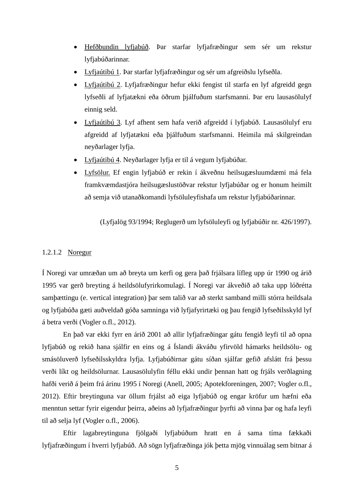- Hefðbundin lyfjabúð. Þar starfar lyfjafræðingur sem sér um rekstur lyfjabúðarinnar.
- Lyfjaútibú 1. Þar starfar lyfjafræðingur og sér um afgreiðslu lyfseðla.
- Lyfjaútibú 2. Lyfjafræðingur hefur ekki fengist til starfa en lyf afgreidd gegn lyfseðli af lyfjatækni eða öðrum þjálfuðum starfsmanni. Þar eru lausasölulyf einnig seld.
- Lyfjaútibú 3. Lyf afhent sem hafa verið afgreidd í lyfjabúð. Lausasölulyf eru afgreidd af lyfjatækni eða þjálfuðum starfsmanni. Heimila má skilgreindan neyðarlager lyfja.
- Lyfjaútibú 4. Neyðarlager lyfja er til á vegum lyfjabúðar.
- Lyfsölur. Ef engin lyfjabúð er rekin í ákveðnu heilsugæsluumdæmi má fela framkvæmdastjóra heilsugæslustöðvar rekstur lyfjabúðar og er honum heimilt að semja við utanaðkomandi lyfsöluleyfishafa um rekstur lyfjabúðarinnar.

(Lyfjalög 93/1994; Reglugerð um lyfsöluleyfi og lyfjabúðir nr. 426/1997).

#### 1.2.1.2 Noregur

Í Noregi var umræðan um að breyta um kerfi og gera það frjálsara lífleg upp úr 1990 og árið 1995 var gerð breyting á heildsölufyrirkomulagi. Í Noregi var ákveðið að taka upp lóðrétta samþættingu (e. vertical integration) þar sem talið var að sterkt samband milli stórra heildsala og lyfjabúða gæti auðveldað góða samninga við lyfjafyrirtæki og þau fengið lyfseðilsskyld lyf á betra verði (Vogler o.fl., 2012).

En það var ekki fyrr en árið 2001 að allir lyfjafræðingar gátu fengið leyfi til að opna lyfjabúð og rekið hana sjálfir en eins og á Íslandi ákváðu yfirvöld hámarks heildsölu- og smásöluverð lyfseðilsskyldra lyfja. Lyfjabúðirnar gátu síðan sjálfar gefið afslátt frá þessu verði líkt og heildsölurnar. Lausasölulyfin féllu ekki undir þennan hatt og frjáls verðlagning hafði verið á þeim frá árinu 1995 í Noregi (Anell, 2005; Apotekforeningen, 2007; Vogler o.fl., 2012). Eftir breytinguna var öllum frjálst að eiga lyfjabúð og engar kröfur um hæfni eða menntun settar fyrir eigendur þeirra, aðeins að lyfjafræðingur þyrfti að vinna þar og hafa leyfi til að selja lyf (Vogler o.fl., 2006).

Eftir lagabreytinguna fjölgaði lyfjabúðum hratt en á sama tíma fækkaði lyfjafræðingum í hverri lyfjabúð. Að sögn lyfjafræðinga jók þetta mjög vinnuálag sem bitnar á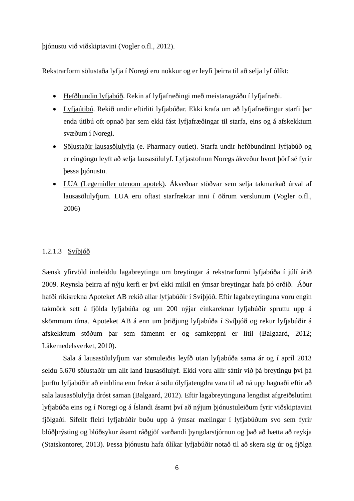þjónustu við viðskiptavini (Vogler o.fl., 2012).

Rekstrarform sölustaða lyfja í Noregi eru nokkur og er leyfi þeirra til að selja lyf ólíkt:

- Hefðbundin lyfjabúð. Rekin af lyfjafræðingi með meistaragráðu í lyfjafræði.
- Lyfjaútibú. Rekið undir eftirliti lyfjabúðar. Ekki krafa um að lyfjafræðingur starfi þar enda útibú oft opnað þar sem ekki fást lyfjafræðingar til starfa, eins og á afskekktum svæðum í Noregi.
- Sölustaðir lausasölulyfja (e. Pharmacy outlet). Starfa undir hefðbundinni lyfjabúð og er eingöngu leyft að selja lausasölulyf. Lyfjastofnun Noregs ákveður hvort þörf sé fyrir þessa þjónustu.
- LUA (Legemidler utenom apotek). Ákveðnar stöðvar sem selja takmarkað úrval af lausasölulyfjum. LUA eru oftast starfræktar inni í öðrum verslunum (Vogler o.fl., 2006)

#### 1.2.1.3 Svíþjóð

Sænsk yfirvöld innleiddu lagabreytingu um breytingar á rekstrarformi lyfjabúða í júlí árið 2009. Reynsla þeirra af nýju kerfi er því ekki mikil en ýmsar breytingar hafa þó orðið. Áður hafði ríkisrekna Apoteket AB rekið allar lyfjabúðir í Svíþjóð. Eftir lagabreytinguna voru engin takmörk sett á fjölda lyfjabúða og um 200 nýjar einkareknar lyfjabúðir spruttu upp á skömmum tíma. Apoteket AB á enn um þriðjung lyfjabúða í Svíþjóð og rekur lyfjabúðir á afskekktum stöðum þar sem fámennt er og samkeppni er lítil (Balgaard, 2012; Läkemedelsverket, 2010).

Sala á lausasölulyfjum var sömuleiðis leyfð utan lyfjabúða sama ár og í apríl 2013 seldu 5.670 sölustaðir um allt land lausasölulyf. Ekki voru allir sáttir við þá breytingu því þá þurftu lyfjabúðir að einblína enn frekar á sölu ólyfjatengdra vara til að ná upp hagnaði eftir að sala lausasölulyfja dróst saman (Balgaard, 2012). Eftir lagabreytinguna lengdist afgreiðslutími lyfjabúða eins og í Noregi og á Íslandi ásamt því að nýjum þjónustuleiðum fyrir viðskiptavini fjölgaði. Sífellt fleiri lyfjabúðir buðu upp á ýmsar mælingar í lyfjabúðum svo sem fyrir blóðþrýsting og blóðsykur ásamt ráðgjöf varðandi þyngdarstjórnun og það að hætta að reykja (Statskontoret, 2013). Þessa þjónustu hafa ólíkar lyfjabúðir notað til að skera sig úr og fjölga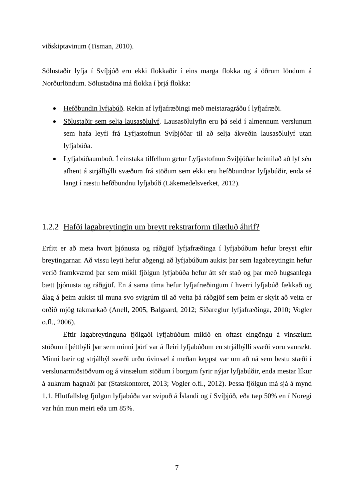viðskiptavinum (Tisman, 2010).

Sölustaðir lyfja í Svíþjóð eru ekki flokkaðir í eins marga flokka og á öðrum löndum á Norðurlöndum. Sölustaðina má flokka í þrjá flokka:

- Hefðbundin lyfjabúð. Rekin af lyfjafræðingi með meistaragráðu í lyfjafræði.
- Sölustaðir sem selja lausasölulyf. Lausasölulyfin eru þá seld í almennum verslunum sem hafa leyfi frá Lyfjastofnun Svíþjóðar til að selja ákveðin lausasölulyf utan lyfjabúða.
- Lyfjabúðaumboð. Í einstaka tilfellum getur Lyfjastofnun Svíþjóðar heimilað að lyf séu afhent á strjálbýlli svæðum frá stöðum sem ekki eru hefðbundnar lyfjabúðir, enda sé langt í næstu hefðbundnu lyfjabúð (Läkemedelsverket, 2012).

### 1.2.2 Hafði lagabreytingin um breytt rekstrarform tilætluð áhrif?

Erfitt er að meta hvort þjónusta og ráðgjöf lyfjafræðinga í lyfjabúðum hefur breyst eftir breytingarnar. Að vissu leyti hefur aðgengi að lyfjabúðum aukist þar sem lagabreytingin hefur verið framkvæmd þar sem mikil fjölgun lyfjabúða hefur átt sér stað og þar með hugsanlega bætt þjónusta og ráðgjöf. En á sama tíma hefur lyfjafræðingum í hverri lyfjabúð fækkað og álag á þeim aukist til muna svo svigrúm til að veita þá ráðgjöf sem þeim er skylt að veita er orðið mjög takmarkað (Anell, 2005, Balgaard, 2012; Siðareglur lyfjafræðinga, 2010; Vogler o.fl., 2006).

Eftir lagabreytinguna fjölgaði lyfjabúðum mikið en oftast eingöngu á vinsælum stöðum í þéttbýli þar sem minni þörf var á fleiri lyfjabúðum en strjálbýlli svæði voru vanrækt. Minni bæir og strjálbýl svæði urðu óvinsæl á meðan keppst var um að ná sem bestu stæði í verslunarmiðstöðvum og á vinsælum stöðum í borgum fyrir nýjar lyfjabúðir, enda mestar líkur á auknum hagnaði þar (Statskontoret, 2013; Vogler o.fl., 2012). Þessa fjölgun má sjá á mynd 1.1. Hlutfallsleg fjölgun lyfjabúða var svipuð á Íslandi og í Svíþjóð, eða tæp 50% en í Noregi var hún mun meiri eða um 85%.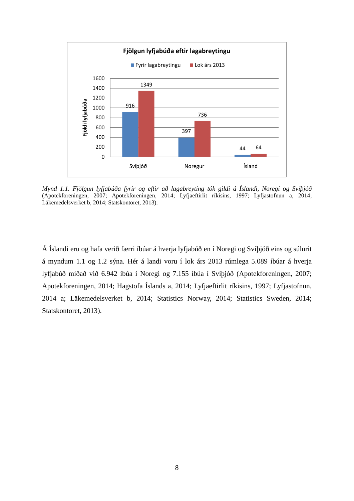

*Mynd 1.1. Fjölgun lyfjabúða fyrir og eftir að lagabreyting tók gildi á Íslandi, Noregi og Svíþjóð* (Apotekforeningen, 2007; Apotekforeningen, 2014; Lyfjaeftirlit ríkisins, 1997; Lyfjastofnun a, 2014; Läkemedelsverket b, 2014; Statskontoret, 2013).

Á Íslandi eru og hafa verið færri íbúar á hverja lyfjabúð en í Noregi og Svíþjóð eins og súlurit á myndum 1.1 og 1.2 sýna. Hér á landi voru í lok árs 2013 rúmlega 5.089 íbúar á hverja lyfjabúð miðað við 6.942 íbúa í Noregi og 7.155 íbúa í Svíþjóð (Apotekforeningen, 2007; Apotekforeningen, 2014; Hagstofa Íslands a, 2014; Lyfjaeftirlit ríkisins, 1997; Lyfjastofnun, 2014 a; Läkemedelsverket b, 2014; Statistics Norway, 2014; Statistics Sweden, 2014; Statskontoret, 2013).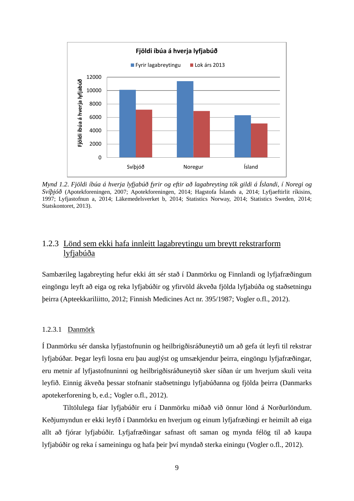

*Mynd 1.2*. *Fjöldi íbúa á hverja lyfjabúð fyrir og eftir að lagabreyting tók gildi á Íslandi, í Noregi og Svíþjóð* (Apotekforeningen, 2007; Apotekforeningen, 2014; Hagstofa Íslands a, 2014; Lyfjaeftirlit ríkisins, 1997; Lyfjastofnun a, 2014; Läkemedelsverket b, 2014; Statistics Norway, 2014; Statistics Sweden, 2014; Statskontoret, 2013).

## 1.2.3 Lönd sem ekki hafa innleitt lagabreytingu um breytt rekstrarform lyfjabúða

Sambærileg lagabreyting hefur ekki átt sér stað í Danmörku og Finnlandi og lyfjafræðingum eingöngu leyft að eiga og reka lyfjabúðir og yfirvöld ákveða fjölda lyfjabúða og staðsetningu þeirra (Apteekkariliitto, 2012; Finnish Medicines Act nr. 395/1987; Vogler o.fl., 2012).

#### 1.2.3.1 Danmörk

Í Danmörku sér danska lyfjastofnunin og heilbrigðisráðuneytið um að gefa út leyfi til rekstrar lyfjabúðar. Þegar leyfi losna eru þau auglýst og umsækjendur þeirra, eingöngu lyfjafræðingar, eru metnir af lyfjastofnuninni og heilbrigðisráðuneytið sker síðan úr um hverjum skuli veita leyfið. Einnig ákveða þessar stofnanir staðsetningu lyfjabúðanna og fjölda þeirra (Danmarks apotekerforening b, e.d.; Vogler o.fl., 2012).

Tiltölulega fáar lyfjabúðir eru í Danmörku miðað við önnur lönd á Norðurlöndum. Keðjumyndun er ekki leyfð í Danmörku en hverjum og einum lyfjafræðingi er heimilt að eiga allt að fjórar lyfjabúðir. Lyfjafræðingar safnast oft saman og mynda félög til að kaupa lyfjabúðir og reka í sameiningu og hafa þeir því myndað sterka einingu (Vogler o.fl., 2012).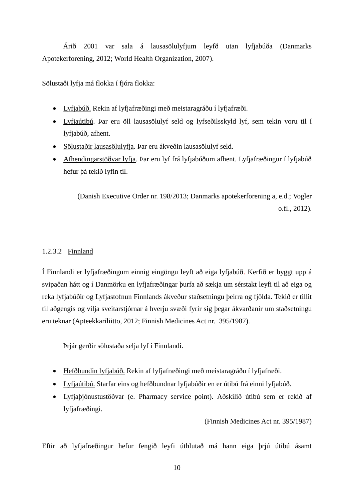Árið 2001 var sala á lausasölulyfjum leyfð utan lyfjabúða (Danmarks Apotekerforening, 2012; World Health Organization, 2007).

Sölustaði lyfja má flokka í fjóra flokka:

- Lyfjabúð. Rekin af lyfjafræðingi með meistaragráðu í lyfjafræði.
- Lyfjaútibú. Þar eru öll lausasölulyf seld og lyfseðilsskyld lyf, sem tekin voru til í lyfjabúð, afhent.
- Sölustaðir lausasölulyfja. Þar eru ákveðin lausasölulyf seld.
- Afhendingarstöðvar lyfja. Þar eru lyf frá lyfjabúðum afhent. Lyfjafræðingur í lyfjabúð hefur þá tekið lyfin til.

(Danish Executive Order nr. 198/2013; Danmarks apotekerforening a, e.d.; Vogler o.fl., 2012).

#### 1.2.3.2 Finnland

Í Finnlandi er lyfjafræðingum einnig eingöngu leyft að eiga lyfjabúð. Kerfið er byggt upp á svipaðan hátt og í Danmörku en lyfjafræðingar þurfa að sækja um sérstakt leyfi til að eiga og reka lyfjabúðir og Lyfjastofnun Finnlands ákveður staðsetningu þeirra og fjölda. Tekið er tillit til aðgengis og vilja sveitarstjórnar á hverju svæði fyrir sig þegar ákvarðanir um staðsetningu eru teknar (Apteekkariliitto, 2012; Finnish Medicines Act nr. 395/1987).

Þrjár gerðir sölustaða selja lyf í Finnlandi.

- Hefðbundin lyfjabúð. Rekin af lyfjafræðingi með meistaragráðu í lyfjafræði.
- Lyfjaútibú. Starfar eins og hefðbundnar lyfjabúðir en er útibú frá einni lyfjabúð.
- Lyfjaþjónustustöðvar (e. Pharmacy service point). Aðskilið útibú sem er rekið af lyfjafræðingi.

(Finnish Medicines Act nr. 395/1987)

Eftir að lyfjafræðingur hefur fengið leyfi úthlutað má hann eiga þrjú útibú ásamt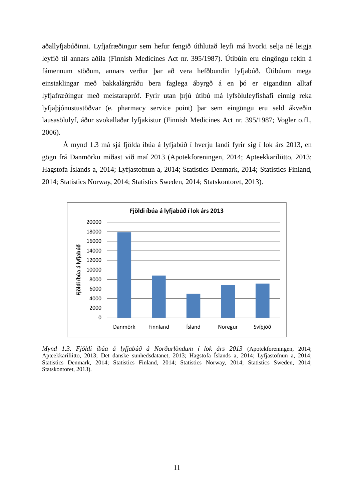aðallyfjabúðinni. Lyfjafræðingur sem hefur fengið úthlutað leyfi má hvorki selja né leigja leyfið til annars aðila (Finnish Medicines Act nr. 395/1987). Útibúin eru eingöngu rekin á fámennum stöðum, annars verður þar að vera hefðbundin lyfjabúð. Útibúum mega einstaklingar með bakkalárgráðu bera faglega ábyrgð á en þó er eigandinn alltaf lyfjafræðingur með meistarapróf. Fyrir utan þrjú útibú má lyfsöluleyfishafi einnig reka lyfjaþjónustustöðvar (e. pharmacy service point) þar sem eingöngu eru seld ákveðin lausasölulyf, áður svokallaðar lyfjakistur (Finnish Medicines Act nr. 395/1987; Vogler o.fl., 2006).

Á mynd 1.3 má sjá fjölda íbúa á lyfjabúð í hverju landi fyrir sig í lok árs 2013, en gögn frá Danmörku miðast við maí 2013 (Apotekforeningen, 2014; Apteekkariliitto, 2013; Hagstofa Íslands a, 2014; Lyfjastofnun a, 2014; Statistics Denmark, 2014; Statistics Finland, 2014; Statistics Norway, 2014; Statistics Sweden, 2014; Statskontoret, 2013).



*Mynd 1.3. Fjöldi íbúa á lyfjabúð á Norðurlöndum í lok árs 2013* (Apotekforeningen, 2014; Apteekkariliitto, 2013; Det danske sunhedsdatanet, 2013; Hagstofa Íslands a, 2014; Lyfjastofnun a, 2014; Statistics Denmark, 2014; Statistics Finland, 2014; Statistics Norway, 2014; Statistics Sweden, 2014; Statskontoret, 2013).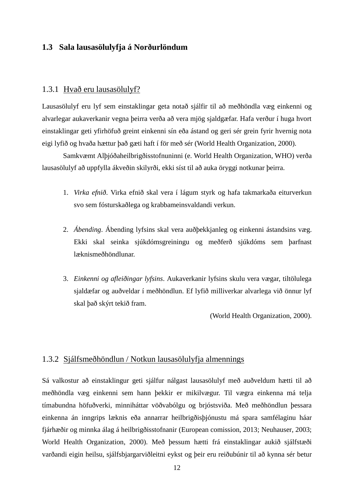### **1.3 Sala lausasölulyfja á Norðurlöndum**

#### 1.3.1 Hvað eru lausasölulyf?

Lausasölulyf eru lyf sem einstaklingar geta notað sjálfir til að meðhöndla væg einkenni og alvarlegar aukaverkanir vegna þeirra verða að vera mjög sjaldgæfar. Hafa verður í huga hvort einstaklingar geti yfirhöfuð greint einkenni sín eða ástand og geri sér grein fyrir hvernig nota eigi lyfið og hvaða hættur það gæti haft í för með sér (World Health Organization, 2000).

Samkvæmt Alþjóðaheilbrigðisstofnuninni (e. World Health Organization, WHO) verða lausasölulyf að uppfylla ákveðin skilyrði, ekki síst til að auka öryggi notkunar þeirra.

- 1. *Virka efnið*. Virka efnið skal vera í lágum styrk og hafa takmarkaða eiturverkun svo sem fósturskaðlega og krabbameinsvaldandi verkun.
- 2. *Ábending*. Ábending lyfsins skal vera auðþekkjanleg og einkenni ástandsins væg. Ekki skal seinka sjúkdómsgreiningu og meðferð sjúkdóms sem þarfnast læknismeðhöndlunar.
- 3. *Einkenni og afleiðingar lyfsins*. Aukaverkanir lyfsins skulu vera vægar, tiltölulega sjaldæfar og auðveldar í meðhöndlun. Ef lyfið milliverkar alvarlega við önnur lyf skal það skýrt tekið fram.

(World Health Organization, 2000).

### 1.3.2 Sjálfsmeðhöndlun / Notkun lausasölulyfja almennings

Sá valkostur að einstaklingur geti sjálfur nálgast lausasölulyf með auðveldum hætti til að meðhöndla væg einkenni sem hann þekkir er mikilvægur. Til vægra einkenna má telja tímabundna höfuðverki, minniháttar vöðvabólgu og brjóstsviða. Með meðhöndlun þessara einkenna án inngrips læknis eða annarrar heilbrigðisþjónustu má spara samfélaginu háar fjárhæðir og minnka álag á heilbrigðisstofnanir (European comission, 2013; Neuhauser, 2003; World Health Organization, 2000). Með þessum hætti frá einstaklingar aukið sjálfstæði varðandi eigin heilsu, sjálfsbjargarviðleitni eykst og þeir eru reiðubúnir til að kynna sér betur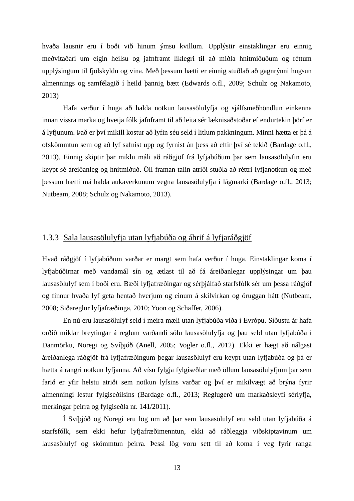hvaða lausnir eru í boði við hinum ýmsu kvillum. Upplýstir einstaklingar eru einnig meðvitaðari um eigin heilsu og jafnframt líklegri til að miðla hnitmiðuðum og réttum upplýsingum til fjölskyldu og vina. Með þessum hætti er einnig stuðlað að gagnrýnni hugsun almennings og samfélagið í heild þannig bætt (Edwards o.fl., 2009; Schulz og Nakamoto, 2013)

Hafa verður í huga að halda notkun lausasölulyfja og sjálfsmeðhöndlun einkenna innan vissra marka og hvetja fólk jafnframt til að leita sér læknisaðstoðar ef endurtekin þörf er á lyfjunum. Það er því mikill kostur að lyfin séu seld í litlum pakkningum. Minni hætta er þá á ofskömmtun sem og að lyf safnist upp og fyrnist án þess að eftir því sé tekið (Bardage o.fl., 2013). Einnig skiptir þar miklu máli að ráðgjöf frá lyfjabúðum þar sem lausasölulyfin eru keypt sé áreiðanleg og hnitmiðuð. Öll framan talin atriði stuðla að réttri lyfjanotkun og með þessum hætti má halda aukaverkunum vegna lausasölulyfja í lágmarki (Bardage o.fl., 2013; Nutbeam, 2008; Schulz og Nakamoto, 2013).

#### 1.3.3 Sala lausasölulyfja utan lyfjabúða og áhrif á lyfjaráðgjöf

Hvað ráðgjöf í lyfjabúðum varðar er margt sem hafa verður í huga. Einstaklingar koma í lyfjabúðirnar með vandamál sín og ætlast til að fá áreiðanlegar upplýsingar um þau lausasölulyf sem í boði eru. Bæði lyfjafræðingar og sérþjálfað starfsfólk sér um þessa ráðgjöf og finnur hvaða lyf geta hentað hverjum og einum á skilvirkan og öruggan hátt (Nutbeam, 2008; Siðareglur lyfjafræðinga, 2010; Yoon og Schaffer, 2006).

En nú eru lausasölulyf seld í meira mæli utan lyfjabúða víða í Evrópu. Síðustu ár hafa orðið miklar breytingar á reglum varðandi sölu lausasölulyfja og þau seld utan lyfjabúða í Danmörku, Noregi og Svíþjóð (Anell, 2005; Vogler o.fl., 2012). Ekki er hægt að nálgast áreiðanlega ráðgjöf frá lyfjafræðingum þegar lausasölulyf eru keypt utan lyfjabúða og þá er hætta á rangri notkun lyfjanna. Að vísu fylgja fylgiseðlar með öllum lausasölulyfjum þar sem farið er yfir helstu atriði sem notkun lyfsins varðar og því er mikilvægt að brýna fyrir almenningi lestur fylgiseðilsins (Bardage o.fl., 2013; Reglugerð um markaðsleyfi sérlyfja, merkingar þeirra og fylgiseðla nr. 141/2011).

Í Svíþjóð og Noregi eru lög um að þar sem lausasölulyf eru seld utan lyfjabúða á starfsfólk, sem ekki hefur lyfjafræðimenntun, ekki að ráðleggja viðskiptavinum um lausasölulyf og skömmtun þeirra. Þessi lög voru sett til að koma í veg fyrir ranga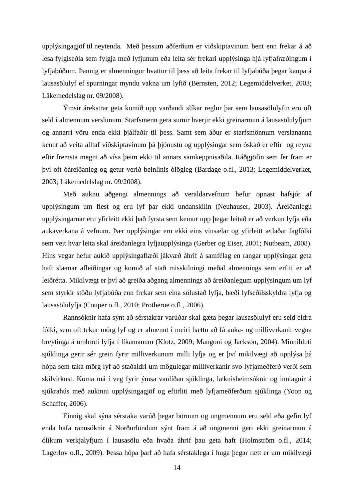upplýsingagjöf til neytenda. Með þessum aðferðum er viðskiptavinum bent enn frekar á að lesa fylgiseðla sem fylgja með lyfjunum eða leita sér frekari upplýsinga hjá lyfjafræðingum í lyfjabúðum. Þannig er almenningur hvattur til þess að leita frekar til lyfjabúða þegar kaupa á lausasölulyf ef spurningar myndu vakna um lyfið (Bernsten, 2012; Legemiddelverket, 2003; Läkemedelslag nr. 09/2008).

Ýmsir árekstrar geta komið upp varðandi slíkar reglur þar sem lausasölulyfin eru oft seld í almennum verslunum. Starfsmenn gera sumir hverjir ekki greinarmun á lausasölulyfjum og annarri vöru enda ekki þjálfaðir til þess. Samt sem áður er starfsmönnum verslananna kennt að veita alltaf viðskiptavinum þá þjónustu og upplýsingar sem óskað er eftir og reyna eftir fremsta megni að vísa þeim ekki til annars samkeppnisaðila. Ráðgjöfin sem fer fram er því oft óáreiðanleg og getur verið beinlínis ólögleg (Bardage o.fl., 2013; Legemiddelverket, 2003; Läkemedelslag nr. 09/2008).

Með auknu aðgengi almennings að veraldarvefnum hefur opnast hafsjór af upplýsingum um flest og eru lyf þar ekki undanskilin (Neuhauser, 2003). Áreiðanlegu upplýsingarnar eru yfirleitt ekki það fyrsta sem kemur upp þegar leitað er að verkun lyfja eða aukaverkana á vefnum. Þær upplýsingar eru ekki eins vinsælar og yfirleitt ætlaðar fagfólki sem veit hvar leita skal áreiðanlegra lyfjaupplýsinga (Gerber og Eiser, 2001; Nutbeam, 2008). Hins vegar hefur aukið upplýsingaflæði jákvæð áhrif á samfélag en rangar upplýsingar geta haft slæmar afleiðingar og komið af stað misskilningi meðal almennings sem erfitt er að leiðrétta. Mikilvægt er því að greiða aðgang almennings að áreiðanlegum upplýsingum um lyf sem styrkir stöðu lyfjabúða enn frekar sem eina sölustað lyfja, bæði lyfseðilsskyldra lyfja og lausasölulyfja (Couper o.fl., 2010; Protheroe o.fl., 2006).

Rannsóknir hafa sýnt að sérstakrar varúðar skal gæta þegar lausasölulyf eru seld eldra fólki, sem oft tekur mörg lyf og er almennt í meiri hættu að fá auka- og milliverkanir vegna breytinga á umbroti lyfja í líkamanum (Klotz, 2009; Mangoni og Jackson, 2004). Minnihluti sjúklinga gerir sér grein fyrir milliverkunum milli lyfja og er því mikilvægt að upplýsa þá hópa sem taka mörg lyf að staðaldri um mögulegar milliverkanir svo lyfjameðferð verði sem skilvirkust. Koma má í veg fyrir ýmsa vanlíðan sjúklinga, læknisheimsóknir og innlagnir á sjúkrahús með aukinni upplýsingagjöf og eftirliti með lyfjameðferðum sjúklinga (Yoon og Schaffer, 2006).

Einnig skal sýna sérstaka varúð þegar börnum og ungmennum eru seld eða gefin lyf enda hafa rannsóknir á Norðurlöndum sýnt fram á að ungmenni geri ekki greinarmun á ólíkum verkjalyfjum í lausasölu eða hvaða áhrif þau geta haft (Holmström o.fl., 2014; Lagerlov o.fl., 2009). Þessa hópa þarf að hafa sérstaklega í huga þegar rætt er um mikilvægi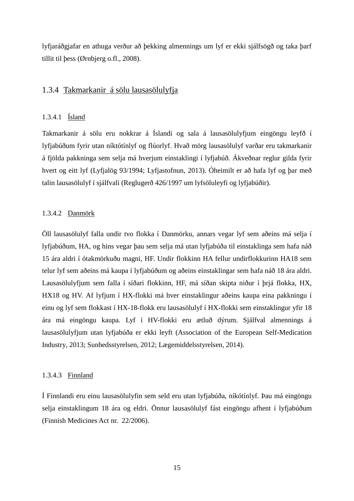lyfjaráðgjafar en athuga verður að þekking almennings um lyf er ekki sjálfsögð og taka þarf tillit til þess (Ørnbjerg o.fl., 2008).

### 1.3.4 Takmarkanir á sölu lausasölulyfja

#### 1.3.4.1 Ísland

Takmarkanir á sölu eru nokkrar á Íslandi og sala á lausasölulyfjum eingöngu leyfð í lyfjabúðum fyrir utan níktótínlyf og flúorlyf. Hvað mörg lausasölulyf varðar eru takmarkanir á fjölda pakkninga sem selja má hverjum einstaklingi í lyfjabúð. Ákveðnar reglur gilda fyrir hvert og eitt lyf (Lyfjalög 93/1994; Lyfjastofnun, 2013). Óheimilt er að hafa lyf og þar með talin lausasölulyf í sjálfvali (Reglugerð 426/1997 um lyfsöluleyfi og lyfjabúðir).

#### 1.3.4.2 Danmörk

Öll lausasölulyf falla undir tvo flokka í Danmörku, annars vegar lyf sem aðeins má selja í lyfjabúðum, HA, og hins vegar þau sem selja má utan lyfjabúða til einstaklinga sem hafa náð 15 ára aldri í ótakmörkuðu magni, HF. Undir flokkinn HA fellur undirflokkurinn HA18 sem telur lyf sem aðeins má kaupa í lyfjabúðum og aðeins einstaklingar sem hafa náð 18 ára aldri. Lausasölulyfjum sem falla í síðari flokkinn, HF, má síðan skipta niður í þrjá flokka, HX, HX18 og HV. Af lyfjum í HX-flokki má hver einstaklingur aðeins kaupa eina pakkningu í einu og lyf sem flokkast í HX-18-flokk eru lausasölulyf í HX-flokki sem einstaklingur yfir 18 ára má eingöngu kaupa. Lyf í HV-flokki eru ætluð dýrum. Sjálfval almennings á lausasölulyfjum utan lyfjabúða er ekki leyft (Association of the European Self-Medication Industry, 2013; Sunhedsstyrelsen, 2012; Lægemiddelsstyrelsen, 2014).

#### 1.3.4.3 Finnland

Í Finnlandi eru einu lausasölulyfin sem seld eru utan lyfjabúða, níkótínlyf. Þau má eingöngu selja einstaklingum 18 ára og eldri. Önnur lausasölulyf fást eingöngu afhent í lyfjabúðum (Finnish Medicines Act nr. 22/2006).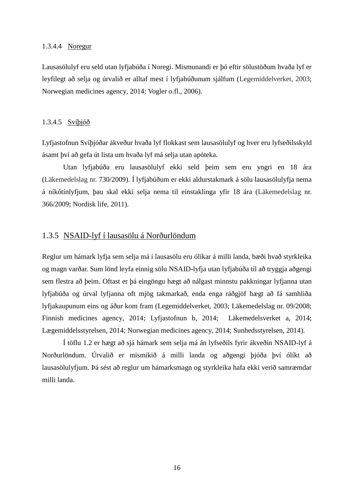#### 1.3.4.4 Noregur

Lausasölulyf eru seld utan lyfjabúða í Noregi. Mismunandi er þó eftir sölustöðum hvaða lyf er leyfilegt að selja og úrvalið er alltaf mest í lyfjabúðunum sjálfum (Legemiddelverket, 2003; Norwegian medicines agency, 2014; Vogler o.fl., 2006).

#### 1.3.4.5 Svíþjóð

Lyfjastofnun Svíþjóðar ákveður hvaða lyf flokkast sem lausasölulyf og hver eru lyfseðilsskyld ásamt því að gefa út lista um hvaða lyf má selja utan apóteka.

Utan lyfjabúða eru lausasölulyf ekki seld þeim sem eru yngri en 18 ára (Läkemedelslag nr. 730/2009). Í lyfjabúðum er ekki aldurstakmark á sölu lausasölulyfja nema á níkótínlyfjum, þau skal ekki selja nema til einstaklinga yfir 18 ára (Läkemedelslag nr. 366/2009; Nordisk life, 2011).

#### 1.3.5 NSAID-lyf í lausasölu á Norðurlöndum

Reglur um hámark lyfja sem selja má í lausasölu eru ólíkar á milli landa, bæði hvað styrkleika og magn varðar. Sum lönd leyfa einnig sölu NSAID-lyfja utan lyfjabúða til að tryggja aðgengi sem flestra að þeim. Oftast er þá eingöngu hægt að nálgast minnstu pakkningar lyfjanna utan lyfjabúða og úrval lyfjanna oft mjög takmarkað, enda enga ráðgjöf hægt að fá samhliða lyfjakaupunum eins og áður kom fram (Legemiddelverket, 2003; Läkemedelslag nr. 09/2008; Finnish medicines agency, 2014; Lyfjastofnun b, 2014; Läkemedelsverket a, 2014; Lægemiddelsstyrelsen, 2014; Norwegian medicines agency, 2014; Sunhedsstyrelsen, 2014).

Í töflu 1.2 er hægt að sjá hámark sem selja má án lyfseðils fyrir ákveðin NSAID-lyf á Norðurlöndum. Úrvalið er mismikið á milli landa og aðgengi þjóða því ólíkt að lausasölulyfjum. Þá sést að reglur um hámarksmagn og styrkleika hafa ekki verið samræmdar milli landa.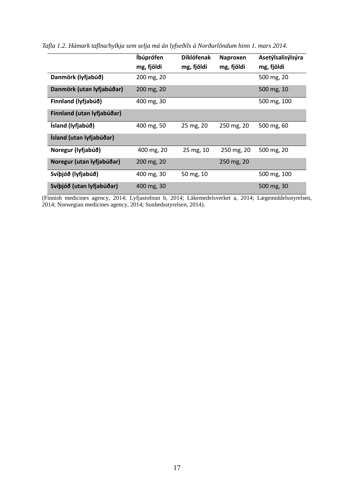|                            | Íbúprófen<br>mg, fjöldi | <b>Díklófenak</b><br>mg, fjöldi | <b>Naproxen</b><br>mg, fjöldi | Asetýlsalisýlsýra<br>mg, fjöldi |
|----------------------------|-------------------------|---------------------------------|-------------------------------|---------------------------------|
| Danmörk (lyfjabúð)         | 200 mg, 20              |                                 |                               | 500 mg, 20                      |
| Danmörk (utan lyfjabúðar)  | 200 mg, 20              |                                 |                               | 500 mg, 10                      |
| Finnland (lyfjabúð)        | 400 mg, 30              |                                 |                               | 500 mg, 100                     |
| Finnland (utan lyfjabúðar) |                         |                                 |                               |                                 |
| Ísland (lyfjabúð)          | 400 mg, 50              | 25 mg, 20                       | 250 mg, 20                    | 500 mg, 60                      |
| Ísland (utan lyfjabúðar)   |                         |                                 |                               |                                 |
| Noregur (lyfjabúð)         | 400 mg, 20              | 25 mg, 10                       | 250 mg, 20                    | 500 mg, 20                      |
| Noregur (utan lyfjabúðar)  | 200 mg, 20              |                                 | 250 mg, 20                    |                                 |
| Svíþjóð (lyfjabúð)         | 400 mg, 30              | 50 mg, 10                       |                               | 500 mg, 100                     |
| Svíþjóð (utan lyfjabúðar)  | 400 mg, 30              |                                 |                               | 500 mg, 30                      |

<span id="page-29-0"></span>*Tafla 1.2. Hámark taflna/hylkja sem selja má án lyfseðils á Norðurlöndum hinn 1. mars 2014.*

(Finnish medicines agency, 2014; Lyfjastofnun b, 2014; Läkemedelsverket a, 2014; Lægemiddelsstyrelsen, 2014; Norwegian medicines agency, 2014; Sunhedsstyrelsen, 2014).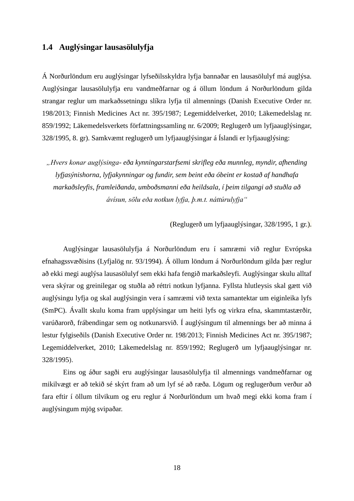### **1.4 Auglýsingar lausasölulyfja**

Á Norðurlöndum eru auglýsingar lyfseðilsskyldra lyfja bannaðar en lausasölulyf má auglýsa. Auglýsingar lausasölulyfja eru vandmeðfarnar og á öllum löndum á Norðurlöndum gilda strangar reglur um markaðssetningu slíkra lyfja til almennings (Danish Executive Order nr. 198/2013; Finnish Medicines Act nr. 395/1987; Legemiddelverket, 2010; Läkemedelslag nr. 859/1992; Läkemedelsverkets författningssamling nr. 6/2009; Reglugerð um lyfjaauglýsingar, 328/1995, 8. gr). Samkvæmt reglugerð um lyfjaauglýsingar á Íslandi er lyfjaauglýsing:

*"Hvers konar auglýsinga- eða kynningarstarfsemi skrifleg eða munnleg, myndir, afhending lyfjasýnishorna, lyfjakynningar og fundir, sem beint eða óbeint er kostað af handhafa markaðsleyfis, framleiðanda, umboðsmanni eða heildsala, í þeim tilgangi að stuðla að ávísun, sölu eða notkun lyfja, þ.m.t. náttúrulyfja"*

(Reglugerð um lyfjaauglýsingar, 328/1995, 1 gr.).

Auglýsingar lausasölulyfja á Norðurlöndum eru í samræmi við reglur Evrópska efnahagssvæðisins (Lyfjalög nr. 93/1994). Á öllum löndum á Norðurlöndum gilda þær reglur að ekki megi auglýsa lausasölulyf sem ekki hafa fengið markaðsleyfi. Auglýsingar skulu alltaf vera skýrar og greinilegar og stuðla að réttri notkun lyfjanna. Fyllsta hlutleysis skal gætt við auglýsingu lyfja og skal auglýsingin vera í samræmi við texta samantektar um eiginleika lyfs (SmPC). Ávallt skulu koma fram upplýsingar um heiti lyfs og virkra efna, skammtastærðir, varúðarorð, frábendingar sem og notkunarsvið. Í auglýsingum til almennings ber að minna á lestur fylgiseðils (Danish Executive Order nr. 198/2013; Finnish Medicines Act nr. 395/1987; Legemiddelverket, 2010; Läkemedelslag nr. 859/1992; Reglugerð um lyfjaauglýsingar nr. 328/1995).

Eins og áður sagði eru auglýsingar lausasölulyfja til almennings vandmeðfarnar og mikilvægt er að tekið sé skýrt fram að um lyf sé að ræða. Lögum og reglugerðum verður að fara eftir í öllum tilvikum og eru reglur á Norðurlöndum um hvað megi ekki koma fram í auglýsingum mjög svipaðar.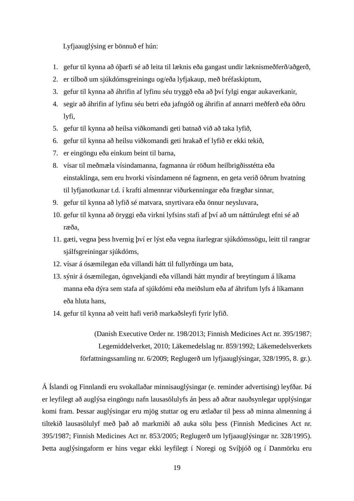Lyfjaauglýsing er bönnuð ef hún:

- 1. gefur til kynna að óþarfi sé að leita til læknis eða gangast undir læknismeðferð/aðgerð,
- 2. er tilboð um sjúkdómsgreiningu og/eða lyfjakaup, með bréfaskiptum,
- 3. gefur til kynna að áhrifin af lyfinu séu tryggð eða að því fylgi engar aukaverkanir,
- 4. segir að áhrifin af lyfinu séu betri eða jafngóð og áhrifin af annarri meðferð eða öðru lyfi,
- 5. gefur til kynna að heilsa viðkomandi geti batnað við að taka lyfið,
- 6. gefur til kynna að heilsu viðkomandi geti hrakað ef lyfið er ekki tekið,
- 7. er eingöngu eða einkum beint til barna,
- 8. vísar til meðmæla vísindamanna, fagmanna úr röðum heilbrigðisstétta eða einstaklinga, sem eru hvorki vísindamenn né fagmenn, en geta verið öðrum hvatning til lyfjanotkunar t.d. í krafti almennrar viðurkenningar eða frægðar sinnar,
- 9. gefur til kynna að lyfið sé matvara, snyrtivara eða önnur neysluvara,
- 10. gefur til kynna að öryggi eða virkni lyfsins stafi af því að um náttúrulegt efni sé að ræða,
- 11. gæti, vegna þess hvernig því er lýst eða vegna ítarlegrar sjúkdómssögu, leitt til rangrar sjálfsgreiningar sjúkdóms,
- 12. vísar á ósæmilegan eða villandi hátt til fullyrðinga um bata,
- 13. sýnir á ósæmilegan, ógnvekjandi eða villandi hátt myndir af breytingum á líkama manna eða dýra sem stafa af sjúkdómi eða meiðslum eða af áhrifum lyfs á líkamann eða hluta hans,
- 14. gefur til kynna að veitt hafi verið markaðsleyfi fyrir lyfið.

(Danish Executive Order nr. 198/2013; Finnish Medicines Act nr. 395/1987; Legemiddelverket, 2010; Läkemedelslag nr. 859/1992; Läkemedelsverkets författningssamling nr. 6/2009; Reglugerð um lyfjaauglýsingar, 328/1995, 8. gr.).

Á Íslandi og Finnlandi eru svokallaðar minnisauglýsingar (e. reminder advertising) leyfðar. Þá er leyfilegt að auglýsa eingöngu nafn lausasölulyfs án þess að aðrar nauðsynlegar upplýsingar komi fram. Þessar auglýsingar eru mjög stuttar og eru ætlaðar til þess að minna almenning á tiltekið lausasölulyf með það að markmiði að auka sölu þess (Finnish Medicines Act nr. 395/1987; Finnish Medicines Act nr. 853/2005; Reglugerð um lyfjaauglýsingar nr. 328/1995). Þetta auglýsingaform er hins vegar ekki leyfilegt í Noregi og Svíþjóð og í Danmörku eru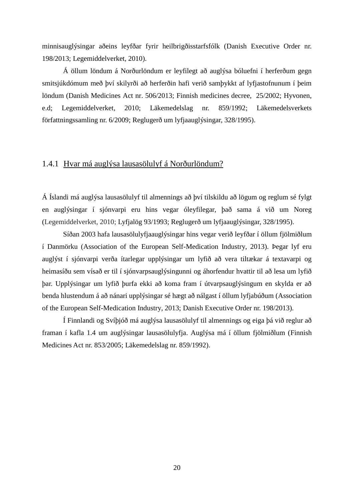minnisauglýsingar aðeins leyfðar fyrir heilbrigðisstarfsfólk (Danish Executive Order nr. 198/2013; Legemiddelverket, 2010).

Á öllum löndum á Norðurlöndum er leyfilegt að auglýsa bóluefni í herferðum gegn smitsjúkdómum með því skilyrði að herferðin hafi verið samþykkt af lyfjastofnunum í þeim löndum (Danish Medicines Act nr. 506/2013; Finnish medicines decree, 25/2002; Hyvonen, e.d; Legemiddelverket, 2010; Läkemedelslag nr. 859/1992; Läkemedelsverkets författningssamling nr. 6/2009; Reglugerð um lyfjaauglýsingar, 328/1995).

#### 1.4.1 Hvar má auglýsa lausasölulyf á Norðurlöndum?

Á Íslandi má auglýsa lausasölulyf til almennings að því tilskildu að lögum og reglum sé fylgt en auglýsingar í sjónvarpi eru hins vegar óleyfilegar, það sama á við um Noreg (Legemiddelverket, 2010; Lyfjalög 93/1993; Reglugerð um lyfjaauglýsingar, 328/1995).

Síðan 2003 hafa lausasölulyfjaauglýsingar hins vegar verið leyfðar í öllum fjölmiðlum í Danmörku (Association of the European Self-Medication Industry, 2013). Þegar lyf eru auglýst í sjónvarpi verða ítarlegar upplýsingar um lyfið að vera tiltækar á textavarpi og heimasíðu sem vísað er til í sjónvarpsauglýsingunni og áhorfendur hvattir til að lesa um lyfið þar. Upplýsingar um lyfið þurfa ekki að koma fram í útvarpsauglýsingum en skylda er að benda hlustendum á að nánari upplýsingar sé hægt að nálgast í öllum lyfjabúðum (Association of the European Self-Medication Industry, 2013; Danish Executive Order nr. 198/2013).

Í Finnlandi og Svíþjóð má auglýsa lausasölulyf til almennings og eiga þá við reglur að framan í kafla 1.4 um auglýsingar lausasölulyfja. Auglýsa má í öllum fjölmiðlum (Finnish Medicines Act nr. 853/2005; Läkemedelslag nr. 859/1992).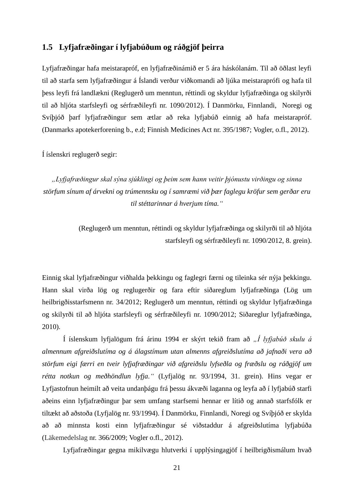### **1.5 Lyfjafræðingar í lyfjabúðum og ráðgjöf þeirra**

Lyfjafræðingar hafa meistarapróf, en lyfjafræðinámið er 5 ára háskólanám. Til að öðlast leyfi til að starfa sem lyfjafræðingur á Íslandi verður viðkomandi að ljúka meistaraprófi og hafa til þess leyfi frá landlækni (Reglugerð um menntun, réttindi og skyldur lyfjafræðinga og skilyrði til að hljóta starfsleyfi og sérfræðileyfi nr. 1090/2012). Í Danmörku, Finnlandi, Noregi og Svíþjóð þarf lyfjafræðingur sem ætlar að reka lyfjabúð einnig að hafa meistarapróf. (Danmarks apotekerforening b., e.d; Finnish Medicines Act nr. 395/1987; Vogler, o.fl., 2012).

Í íslenskri reglugerð segir:

*"Lyfjafræðingur skal sýna sjúklingi og þeim sem hann veitir þjónustu virðingu og sinna störfum sínum af árvekni og trúmennsku og í samræmi við þær faglegu kröfur sem gerðar eru til stéttarinnar á hverjum tíma."*

> (Reglugerð um menntun, réttindi og skyldur lyfjafræðinga og skilyrði til að hljóta starfsleyfi og sérfræðileyfi nr. 1090/2012, 8. grein).

Einnig skal lyfjafræðingur viðhalda þekkingu og faglegri færni og tileinka sér nýja þekkingu. Hann skal virða lög og reglugerðir og fara eftir siðareglum lyfjafræðinga (Lög um heilbrigðisstarfsmenn nr. 34/2012; Reglugerð um menntun, réttindi og skyldur lyfjafræðinga og skilyrði til að hljóta starfsleyfi og sérfræðileyfi nr. 1090/2012; Siðareglur lyfjafræðinga, 2010).

Í íslenskum lyfjalögum frá árinu 1994 er skýrt tekið fram að *"Í lyfjabúð skulu á almennum afgreiðslutíma og á álagstímum utan almenns afgreiðslutíma að jafnaði vera að störfum eigi færri en tveir lyfjafræðingar við afgreiðslu lyfseðla og fræðslu og ráðgjöf um rétta notkun og meðhöndlun lyfja."* (Lyfjalög nr. 93/1994, 31. grein). Hins vegar er Lyfjastofnun heimilt að veita undanþágu frá þessu ákvæði laganna og leyfa að í lyfjabúð starfi aðeins einn lyfjafræðingur þar sem umfang starfsemi hennar er lítið og annað starfsfólk er tiltækt að aðstoða (Lyfjalög nr. 93/1994). Í Danmörku, Finnlandi, Noregi og Svíþjóð er skylda að að minnsta kosti einn lyfjafræðingur sé viðstaddur á afgreiðslutíma lyfjabúða (Läkemedelslag nr. 366/2009; Vogler o.fl., 2012).

Lyfjafræðingar gegna mikilvægu hlutverki í upplýsingagjöf í heilbrigðismálum hvað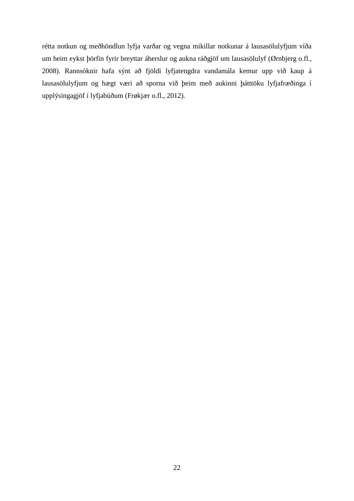rétta notkun og meðhöndlun lyfja varðar og vegna mikillar notkunar á lausasölulyfjum víða um heim eykst þörfin fyrir breyttar áherslur og aukna ráðgjöf um lausasölulyf (Ørnbjerg o.fl., 2008). Rannsóknir hafa sýnt að fjöldi lyfjatengdra vandamála kemur upp við kaup á lausasölulyfjum og hægt væri að sporna við þeim með aukinni þátttöku lyfjafræðinga í upplýsingagjöf í lyfjabúðum (Frøkjær o.fl., 2012).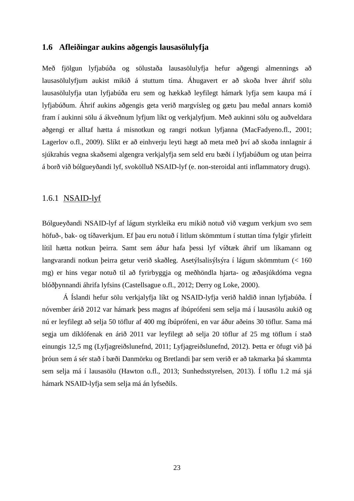#### **1.6 Afleiðingar aukins aðgengis lausasölulyfja**

Með fjölgun lyfjabúða og sölustaða lausasölulyfja hefur aðgengi almennings að lausasölulyfjum aukist mikið á stuttum tíma. Áhugavert er að skoða hver áhrif sölu lausasölulyfja utan lyfjabúða eru sem og hækkað leyfilegt hámark lyfja sem kaupa má í lyfjabúðum. Áhrif aukins aðgengis geta verið margvísleg og gætu þau meðal annars komið fram í aukinni sölu á ákveðnum lyfjum líkt og verkjalyfjum. Með aukinni sölu og auðveldara aðgengi er alltaf hætta á misnotkun og rangri notkun lyfjanna (MacFadyeno.fl., 2001; Lagerlov o.fl., 2009). Slíkt er að einhverju leyti hægt að meta með því að skoða innlagnir á sjúkrahús vegna skaðsemi algengra verkjalyfja sem seld eru bæði í lyfjabúðum og utan þeirra á borð við bólgueyðandi lyf, svokölluð NSAID-lyf (e. non-steroidal anti inflammatory drugs).

#### 1.6.1 NSAID-lyf

Bólgueyðandi NSAID-lyf af lágum styrkleika eru mikið notuð við vægum verkjum svo sem höfuð-, bak- og tíðaverkjum. Ef þau eru notuð í litlum skömmtum í stuttan tíma fylgir yfirleitt lítil hætta notkun þeirra. Samt sem áður hafa þessi lyf víðtæk áhrif um líkamann og langvarandi notkun þeirra getur verið skaðleg. Asetýlsalisýlsýra í lágum skömmtum (< 160 mg) er hins vegar notuð til að fyrirbyggja og meðhöndla hjarta- og æðasjúkdóma vegna blóðþynnandi áhrifa lyfsins (Castellsague o.fl., 2012; Derry og Loke, 2000).

Á Íslandi hefur sölu verkjalyfja líkt og NSAID-lyfja verið haldið innan lyfjabúða. Í nóvember árið 2012 var hámark þess magns af íbúprófeni sem selja má í lausasölu aukið og nú er leyfilegt að selja 50 töflur af 400 mg íbúprófeni, en var áður aðeins 30 töflur. Sama má segja um díklófenak en árið 2011 var leyfilegt að selja 20 töflur af 25 mg töflum í stað einungis 12,5 mg (Lyfjagreiðslunefnd, 2011; Lyfjagreiðslunefnd, 2012). Þetta er öfugt við þá þróun sem á sér stað í bæði Danmörku og Bretlandi þar sem verið er að takmarka þá skammta sem selja má í lausasölu (Hawton o.fl., 2013; Sunhedsstyrelsen, 2013). Í töflu 1.2 má sjá hámark NSAID-lyfja sem selja má án lyfseðils.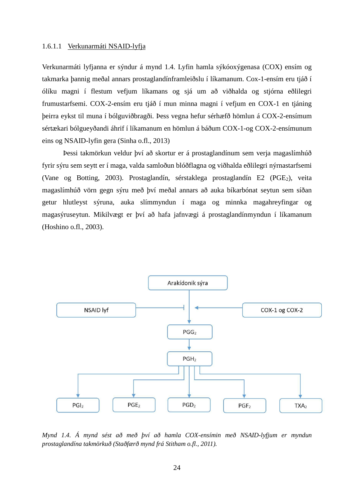#### 1.6.1.1 Verkunarmáti NSAID-lyfja

Verkunarmáti lyfjanna er sýndur á mynd 1.4. Lyfin hamla sýkóoxýgenasa (COX) ensím og takmarka þannig meðal annars prostaglandínframleiðslu í líkamanum. Cox-1-ensím eru tjáð í ólíku magni í flestum vefjum líkamans og sjá um að viðhalda og stjórna eðlilegri frumustarfsemi. COX-2-ensím eru tjáð í mun minna magni í vefjum en COX-1 en tjáning þeirra eykst til muna í bólguviðbragði. Þess vegna hefur sérhæfð hömlun á COX-2-ensímum sértækari bólgueyðandi áhrif í líkamanum en hömlun á báðum COX-1-og COX-2-ensímunum eins og NSAID-lyfin gera (Sinha o.fl., 2013)

Þessi takmörkun veldur því að skortur er á prostaglandínum sem verja magaslímhúð fyrir sýru sem seytt er í maga, valda samloðun blóðflagna og viðhalda eðlilegri nýrnastarfsemi (Vane og Botting, 2003). Prostaglandín, sérstaklega prostaglandín E2 (PGE<sub>2</sub>), veita magaslímhúð vörn gegn sýru með því meðal annars að auka bíkarbónat seytun sem síðan getur hlutleyst sýruna, auka slímmyndun í maga og minnka magahreyfingar og magasýruseytun. Mikilvægt er því að hafa jafnvægi á prostaglandínmyndun í líkamanum (Hoshino o.fl., 2003).



*Mynd 1.4. Á mynd sést að með því að hamla COX-ensímin með NSAID-lyfjum er myndun prostaglandína takmörkuð (Staðfærð mynd frá Stitham o.fl., 2011).*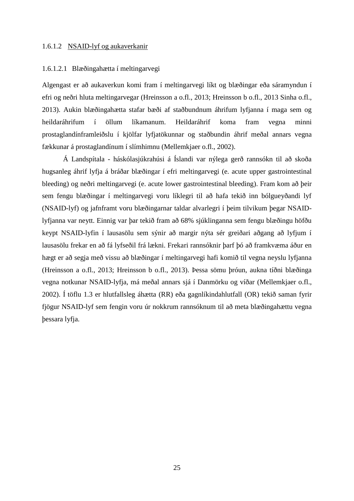#### 1.6.1.2 NSAID-lyf og aukaverkanir

#### 1.6.1.2.1 Blæðingahætta í meltingarvegi

Algengast er að aukaverkun komi fram í meltingarvegi líkt og blæðingar eða sáramyndun í efri og neðri hluta meltingarvegar (Hreinsson a o.fl., 2013; Hreinsson b o.fl., 2013 Sinha o.fl., 2013). Aukin blæðingahætta stafar bæði af staðbundnum áhrifum lyfjanna í maga sem og heildaráhrifum í öllum líkamanum. Heildaráhrif koma fram vegna minni prostaglandínframleiðslu í kjölfar lyfjatökunnar og staðbundin áhrif meðal annars vegna fækkunar á prostaglandínum í slímhimnu (Mellemkjaer o.fl., 2002).

Á Landspítala - háskólasjúkrahúsi á Íslandi var nýlega gerð rannsókn til að skoða hugsanleg áhrif lyfja á bráðar blæðingar í efri meltingarvegi (e. acute upper gastrointestinal bleeding) og neðri meltingarvegi (e. acute lower gastrointestinal bleeding). Fram kom að þeir sem fengu blæðingar í meltingarvegi voru líklegri til að hafa tekið inn bólgueyðandi lyf (NSAID-lyf) og jafnframt voru blæðingarnar taldar alvarlegri í þeim tilvikum þegar NSAIDlyfjanna var neytt. Einnig var þar tekið fram að 68% sjúklinganna sem fengu blæðingu höfðu keypt NSAID-lyfin í lausasölu sem sýnir að margir nýta sér greiðari aðgang að lyfjum í lausasölu frekar en að fá lyfseðil frá lækni. Frekari rannsóknir þarf þó að framkvæma áður en hægt er að segja með vissu að blæðingar í meltingarvegi hafi komið til vegna neyslu lyfjanna (Hreinsson a o.fl., 2013; Hreinsson b o.fl., 2013). Þessa sömu þróun, aukna tíðni blæðinga vegna notkunar NSAID-lyfja, má meðal annars sjá í Danmörku og víðar (Mellemkjaer o.fl., 2002). Í töflu 1.3 er hlutfallsleg áhætta (RR) eða gagnlíkindahlutfall (OR) tekið saman fyrir fjögur NSAID-lyf sem fengin voru úr nokkrum rannsóknum til að meta blæðingahættu vegna þessara lyfja.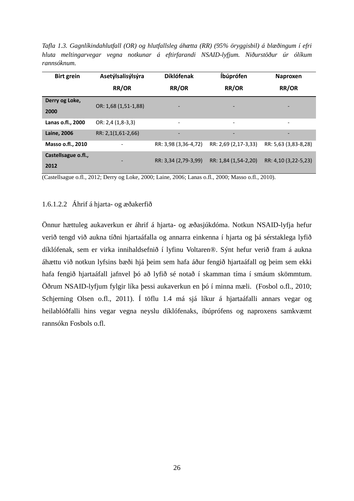*Tafla 1.3. Gagnlíkindahlutfall (OR) og hlutfallsleg áhætta (RR) (95% öryggisbil) á blæðingum í efri hluta meltingarvegar vegna notkunar á eftirfarandi NSAID-lyfjum. Niðurstöður úr ólíkum rannsóknum.*

| <b>Birt grein</b>   | Asetýlsalisýlsýra    | <b>Díklófenak</b>            | Íbúprófen                | Naproxen                 |
|---------------------|----------------------|------------------------------|--------------------------|--------------------------|
|                     | RR/OR                | RR/OR                        | RR/OR                    | RR/OR                    |
| Derry og Loke,      |                      | $\overline{\phantom{a}}$     | -                        | $\overline{\phantom{a}}$ |
| 2000                | OR: 1,68 (1,51-1,88) |                              |                          |                          |
| Lanas o.fl., 2000   | OR: 2,4 (1,8-3,3)    | $\qquad \qquad \blacksquare$ | $\overline{\phantom{a}}$ | $\overline{\phantom{a}}$ |
| <b>Laine, 2006</b>  | RR: 2,1(1,61-2,66)   | $\overline{\phantom{a}}$     | $\overline{\phantom{a}}$ | $\overline{\phantom{a}}$ |
| Masso o.fl., 2010   |                      | RR: 3,98 (3,36-4,72)         | RR: 2,69 (2,17-3,33)     | RR: 5,63 (3,83-8,28)     |
| Castellsague o.fl., |                      | RR: 3,34 (2,79-3,99)         | RR: 1,84 (1,54-2,20)     | RR: 4,10 (3,22-5,23)     |
| 2012                |                      |                              |                          |                          |

(Castellsague o.fl., 2012; Derry og Loke, 2000; Laine, 2006; Lanas o.fl., 2000; Masso o.fl., 2010).

#### 1.6.1.2.2 Áhrif á hjarta- og æðakerfið

Önnur hættuleg aukaverkun er áhrif á hjarta- og æðasjúkdóma. Notkun NSAID-lyfja hefur verið tengd við aukna tíðni hjartaáfalla og annarra einkenna í hjarta og þá sérstaklega lyfið díklófenak, sem er virka innihaldsefnið í lyfinu Voltaren®. Sýnt hefur verið fram á aukna áhættu við notkun lyfsins bæði hjá þeim sem hafa áður fengið hjartaáfall og þeim sem ekki hafa fengið hjartaáfall jafnvel þó að lyfið sé notað í skamman tíma í smáum skömmtum. Öðrum NSAID-lyfjum fylgir líka þessi aukaverkun en þó í minna mæli. (Fosbol o.fl., 2010; Schjerning Olsen o.fl., 2011). Í töflu 1.4 má sjá líkur á hjartaáfalli annars vegar og heilablóðfalli hins vegar vegna neyslu díklófenaks, íbúprófens og naproxens samkvæmt rannsókn Fosbols o.fl.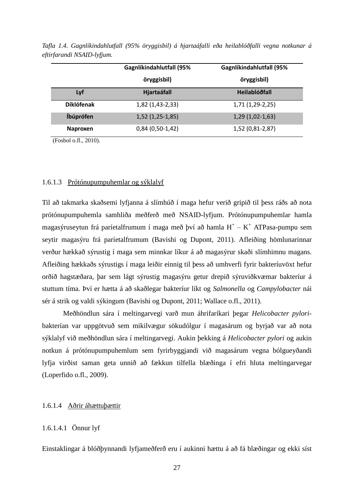|                   | <b>Gagnlíkindahlutfall (95%</b> | <b>Gagnlíkindahlutfall (95%</b> |  |
|-------------------|---------------------------------|---------------------------------|--|
|                   | öryggisbil)                     | öryggisbil)                     |  |
| Lyf               | Hjartaáfall                     | Heilablóðfall                   |  |
| <b>Díklófenak</b> | 1,82 (1,43-2,33)                | $1,71(1,29-2,25)$               |  |
| Íbúprófen         | $1,52$ (1,25-1,85)              | $1,29(1,02-1,63)$               |  |
| <b>Naproxen</b>   | $0,84(0,50-1,42)$               | 1,52 (0,81-2,87)                |  |

*Tafla 1.4. Gagnlíkindahlutfall (95% öryggisbil) á hjartaáfalli eða heilablóðfalli vegna notkunar á eftirfarandi NSAID-lyfjum.*

(Fosbol o.fl., 2010).

#### 1.6.1.3 Prótónupumpuhemlar og sýklalyf

Til að takmarka skaðsemi lyfjanna á slímhúð í maga hefur verið gripið til þess ráðs að nota prótónupumpuhemla samhliða meðferð með NSAID-lyfjum. Prótónupumpuhemlar hamla magasýruseytun frá paríetalfrumum í maga með því að hamla  $H^+ - K^+$  ATPasa-pumpu sem seytir magasýru frá paríetalfrumum (Bavishi og Dupont, 2011). Afleiðing hömlunarinnar verður hækkað sýrustig í maga sem minnkar líkur á að magasýrur skaði slímhimnu magans. Afleiðing hækkaðs sýrustigs í maga leiðir einnig til þess að umhverfi fyrir bakteríuvöxt hefur orðið hagstæðara, þar sem lágt sýrustig magasýru getur drepið sýruviðkvæmar bakteríur á stuttum tíma. Því er hætta á að skaðlegar bakteríur líkt og *Salmonella* og *Campylobacter* nái sér á strik og valdi sýkingum (Bavishi og Dupont, 2011; Wallace o.fl., 2011).

Meðhöndlun sára í meltingarvegi varð mun áhrifaríkari þegar *Helicobacter pylori*bakterían var uppgötvuð sem mikilvægur sökudólgur í magasárum og byrjað var að nota sýklalyf við meðhöndlun sára í meltingarvegi. Aukin þekking á *Helicobacter pylori* og aukin notkun á prótónupumpuhemlum sem fyrirbyggjandi við magasárum vegna bólgueyðandi lyfja virðist saman geta unnið að fækkun tilfella blæðinga í efri hluta meltingarvegar (Loperfido o.fl., 2009).

#### 1.6.1.4 Aðrir áhættuþættir

#### 1.6.1.4.1 Önnur lyf

Einstaklingar á blóðþynnandi lyfjameðferð eru í aukinni hættu á að fá blæðingar og ekki síst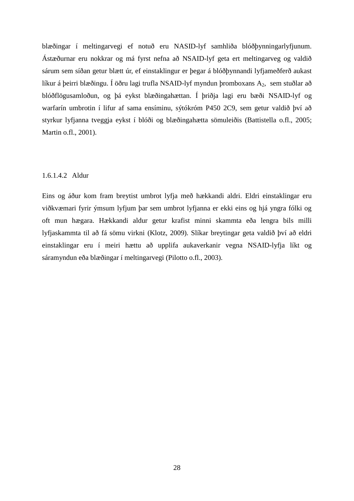blæðingar í meltingarvegi ef notuð eru NASID-lyf samhliða blóðþynningarlyfjunum. Ástæðurnar eru nokkrar og má fyrst nefna að NSAID-lyf geta ert meltingarveg og valdið sárum sem síðan getur blætt úr, ef einstaklingur er þegar á blóðþynnandi lyfjameðferð aukast líkur á þeirri blæðingu. Í öðru lagi trufla NSAID-lyf myndun þromboxans  $A_2$ , sem stuðlar að blóðflögusamloðun, og þá eykst blæðingahættan. Í þriðja lagi eru bæði NSAID-lyf og warfarín umbrotin í lifur af sama ensíminu, sýtókróm P450 2C9, sem getur valdið því að styrkur lyfjanna tveggja eykst í blóði og blæðingahætta sömuleiðis (Battistella o.fl., 2005; Martin o.fl., 2001).

#### 1.6.1.4.2 Aldur

Eins og áður kom fram breytist umbrot lyfja með hækkandi aldri. Eldri einstaklingar eru viðkvæmari fyrir ýmsum lyfjum þar sem umbrot lyfjanna er ekki eins og hjá yngra fólki og oft mun hægara. Hækkandi aldur getur krafist minni skammta eða lengra bils milli lyfjaskammta til að fá sömu virkni (Klotz, 2009). Slíkar breytingar geta valdið því að eldri einstaklingar eru í meiri hættu að upplifa aukaverkanir vegna NSAID-lyfja líkt og sáramyndun eða blæðingar í meltingarvegi (Pilotto o.fl., 2003).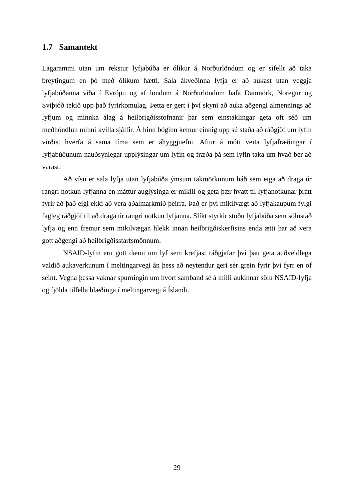#### **1.7 Samantekt**

Lagarammi utan um rekstur lyfjabúða er ólíkur á Norðurlöndum og er sífellt að taka breytingum en þó með ólíkum hætti. Sala ákveðinna lyfja er að aukast utan veggja lyfjabúðanna víða í Evrópu og af löndum á Norðurlöndum hafa Danmörk, Noregur og Svíþjóð tekið upp það fyrirkomulag. Þetta er gert í því skyni að auka aðgengi almennings að lyfjum og minnka álag á heilbrigðisstofnanir þar sem einstaklingar geta oft séð um meðhöndlun minni kvilla sjálfir. Á hinn bóginn kemur einnig upp sú staða að ráðgjöf um lyfin virðist hverfa á sama tíma sem er áhyggjuefni. Aftur á móti veita lyfjafræðingar í lyfjabúðunum nauðsynlegar upplýsingar um lyfin og fræða þá sem lyfin taka um hvað ber að varast.

Að vísu er sala lyfja utan lyfjabúða ýmsum takmörkunum háð sem eiga að draga úr rangri notkun lyfjanna en máttur auglýsinga er mikill og geta þær hvatt til lyfjanotkunar þrátt fyrir að það eigi ekki að vera aðalmarkmið þeirra. Það er því mikilvægt að lyfjakaupum fylgi fagleg ráðgjöf til að draga úr rangri notkun lyfjanna. Slíkt styrkir stöðu lyfjabúða sem sölustað lyfja og enn fremur sem mikilvægan hlekk innan heilbrigðiskerfisins enda ætti þar að vera gott aðgengi að heilbrigðisstarfsmönnum.

NSAID-lyfin eru gott dæmi um lyf sem krefjast ráðgjafar því þau geta auðveldlega valdið aukaverkunum í meltingarvegi án þess að neytendur geri sér grein fyrir því fyrr en of seint. Vegna þessa vaknar spurningin um hvort samband sé á milli aukinnar sölu NSAID-lyfja og fjölda tilfella blæðinga í meltingarvegi á Íslandi.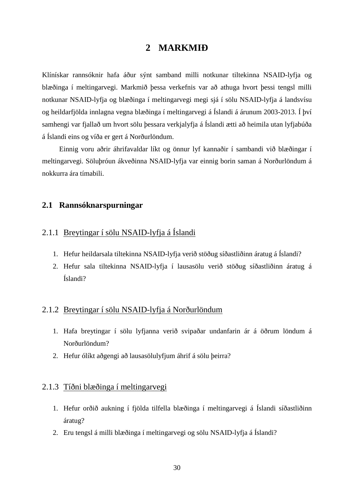## **2 MARKMIÐ**

Klínískar rannsóknir hafa áður sýnt samband milli notkunar tiltekinna NSAID-lyfja og blæðinga í meltingarvegi. Markmið þessa verkefnis var að athuga hvort þessi tengsl milli notkunar NSAID-lyfja og blæðinga í meltingarvegi megi sjá í sölu NSAID-lyfja á landsvísu og heildarfjölda innlagna vegna blæðinga í meltingarvegi á Íslandi á árunum 2003-2013. Í því samhengi var fjallað um hvort sölu þessara verkjalyfja á Íslandi ætti að heimila utan lyfjabúða á Íslandi eins og víða er gert á Norðurlöndum.

Einnig voru aðrir áhrifavaldar líkt og önnur lyf kannaðir í sambandi við blæðingar í meltingarvegi. Söluþróun ákveðinna NSAID-lyfja var einnig borin saman á Norðurlöndum á nokkurra ára tímabili.

## **2.1 Rannsóknarspurningar**

## 2.1.1 Breytingar í sölu NSAID-lyfja á Íslandi

- 1. Hefur heildarsala tiltekinna NSAID-lyfja verið stöðug síðastliðinn áratug á Íslandi?
- 2. Hefur sala tiltekinna NSAID-lyfja í lausasölu verið stöðug síðastliðinn áratug á Íslandi?

### 2.1.2 Breytingar í sölu NSAID-lyfja á Norðurlöndum

- 1. Hafa breytingar í sölu lyfjanna verið svipaðar undanfarin ár á öðrum löndum á Norðurlöndum?
- 2. Hefur ólíkt aðgengi að lausasölulyfjum áhrif á sölu þeirra?

### 2.1.3 Tíðni blæðinga í meltingarvegi

- 1. Hefur orðið aukning í fjölda tilfella blæðinga í meltingarvegi á Íslandi síðastliðinn áratug?
- 2. Eru tengsl á milli blæðinga í meltingarvegi og sölu NSAID-lyfja á Íslandi?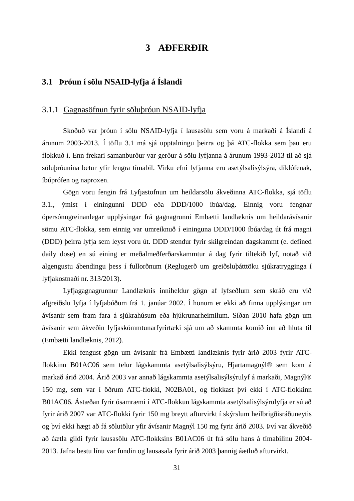## **3 AÐFERÐIR**

## **3.1 Þróun í sölu NSAID-lyfja á Íslandi**

#### 3.1.1 Gagnasöfnun fyrir söluþróun NSAID-lyfja

Skoðuð var þróun í sölu NSAID-lyfja í lausasölu sem voru á markaði á Íslandi á árunum 2003-2013. Í töflu 3.1 má sjá upptalningu þeirra og þá ATC-flokka sem þau eru flokkuð í. Enn frekari samanburður var gerður á sölu lyfjanna á árunum 1993-2013 til að sjá söluþróunina betur yfir lengra tímabil. Virku efni lyfjanna eru asetýlsalisýlsýra, díklófenak, íbúprófen og naproxen.

Gögn voru fengin frá Lyfjastofnun um heildarsölu ákveðinna ATC-flokka, sjá töflu 3.1., ýmist í einingunni DDD eða DDD/1000 íbúa/dag. Einnig voru fengnar ópersónugreinanlegar upplýsingar frá gagnagrunni Embætti landlæknis um heildarávísanir sömu ATC-flokka, sem einnig var umreiknuð í eininguna DDD/1000 íbúa/dag út frá magni (DDD) þeirra lyfja sem leyst voru út. DDD stendur fyrir skilgreindan dagskammt (e. defined daily dose) en sú eining er meðalmeðferðarskammtur á dag fyrir tiltekið lyf, notað við algengustu ábendingu þess í fullorðnum (Reglugerð um greiðsluþátttöku sjúkratrygginga í lyfjakostnaði nr. 313/2013).

Lyfjagagnagrunnur Landlæknis inniheldur gögn af lyfseðlum sem skráð eru við afgreiðslu lyfja í lyfjabúðum frá 1. janúar 2002. Í honum er ekki að finna upplýsingar um ávísanir sem fram fara á sjúkrahúsum eða hjúkrunarheimilum. Síðan 2010 hafa gögn um ávísanir sem ákveðin lyfjaskömmtunarfyrirtæki sjá um að skammta komið inn að hluta til (Embætti landlæknis, 2012).

Ekki fengust gögn um ávísanir frá Embætti landlæknis fyrir árið 2003 fyrir ATCflokkinn B01AC06 sem telur lágskammta asetýlsalisýlsýru, Hjartamagnýl® sem kom á markað árið 2004. Árið 2003 var annað lágskammta asetýlsalisýlsýrulyf á markaði, Magnýl® 150 mg, sem var í öðrum ATC-flokki, N02BA01, og flokkast því ekki í ATC-flokkinn B01AC06. Ástæðan fyrir ósamræmi í ATC-flokkun lágskammta asetýlsalisýlsýrulyfja er sú að fyrir árið 2007 var ATC-flokki fyrir 150 mg breytt afturvirkt í skýrslum heilbrigðisráðuneytis og því ekki hægt að fá sölutölur yfir ávísanir Magnýl 150 mg fyrir árið 2003. Því var ákveðið að áætla gildi fyrir lausasölu ATC-flokksins B01AC06 út frá sölu hans á tímabilinu 2004- 2013. Jafna bestu línu var fundin og lausasala fyrir árið 2003 þannig áætluð afturvirkt.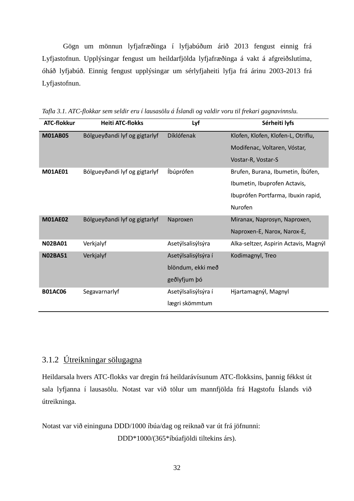Gögn um mönnun lyfjafræðinga í lyfjabúðum árið 2013 fengust einnig frá Lyfjastofnun. Upplýsingar fengust um heildarfjölda lyfjafræðinga á vakt á afgreiðslutíma, óháð lyfjabúð. Einnig fengust upplýsingar um sérlyfjaheiti lyfja frá árinu 2003-2013 frá Lyfjastofnun.

| <b>ATC-flokkur</b> | <b>Heiti ATC-flokks</b>       | Lyf                 | Sérheiti lyfs                         |
|--------------------|-------------------------------|---------------------|---------------------------------------|
| <b>M01AB05</b>     | Bólgueyðandi lyf og gigtarlyf | Díklófenak          | Klofen, Klofen, Klofen-L, Otriflu,    |
|                    |                               |                     | Modifenac, Voltaren, Vóstar,          |
|                    |                               |                     | Vostar-R, Vostar-S                    |
| <b>M01AE01</b>     | Bólgueyðandi lyf og gigtarlyf | Íbúprófen           | Brufen, Burana, Ibumetin, Íbúfen,     |
|                    |                               |                     | Ibumetin, Ibuprofen Actavis,          |
|                    |                               |                     | Ibuprófen Portfarma, Ibuxin rapid,    |
|                    |                               |                     | Nurofen                               |
| <b>M01AE02</b>     | Bólgueyðandi lyf og gigtarlyf | Naproxen            | Miranax, Naprosyn, Naproxen,          |
|                    |                               |                     | Naproxen-E, Narox, Narox-E,           |
| <b>N02BA01</b>     | Verkjalyf                     | Asetýlsalisýlsýra   | Alka-seltzer, Aspirin Actavis, Magnýl |
| <b>N02BA51</b>     | Verkjalyf                     | Asetýlsalisýlsýra í | Kodimagnyl, Treo                      |
|                    |                               | blöndum, ekki með   |                                       |
|                    |                               | geðlyfjum þó        |                                       |
| <b>B01AC06</b>     | Segavarnarlyf                 | Asetýlsalisýlsýra í | Hjartamagnýl, Magnyl                  |
|                    |                               | lægri skömmtum      |                                       |

*Tafla 3.1. ATC-flokkar sem seldir eru í lausasölu á Íslandi og valdir voru til frekari gagnavinnslu.*

## 3.1.2 Útreikningar sölugagna

Heildarsala hvers ATC-flokks var dregin frá heildarávísunum ATC-flokksins, þannig fékkst út sala lyfjanna í lausasölu. Notast var við tölur um mannfjölda frá Hagstofu Íslands við útreikninga.

Notast var við eininguna DDD/1000 íbúa/dag og reiknað var út frá jöfnunni: DDD\*1000/(365\*íbúafjöldi tiltekins árs).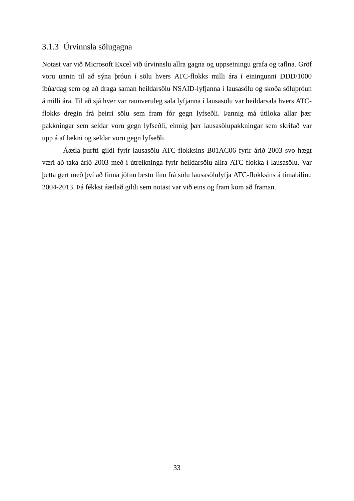## 3.1.3 Úrvinnsla sölugagna

Notast var við Microsoft Excel við úrvinnslu allra gagna og uppsetningu grafa og taflna. Gröf voru unnin til að sýna þróun í sölu hvers ATC-flokks milli ára í einingunni DDD/1000 íbúa/dag sem og að draga saman heildarsölu NSAID-lyfjanna í lausasölu og skoða söluþróun á milli ára. Til að sjá hver var raunveruleg sala lyfjanna í lausasölu var heildarsala hvers ATCflokks dregin frá þeirri sölu sem fram fór gegn lyfseðli. Þannig má útiloka allar þær pakkningar sem seldar voru gegn lyfseðli, einnig þær lausasölupakkningar sem skrifað var upp á af lækni og seldar voru gegn lyfseðli.

Áætla þurfti gildi fyrir lausasölu ATC-flokksins B01AC06 fyrir árið 2003 svo hægt væri að taka árið 2003 með í útreikninga fyrir heildarsölu allra ATC-flokka í lausasölu. Var þetta gert með því að finna jöfnu bestu línu frá sölu lausasölulyfja ATC-flokksins á tímabilinu 2004-2013. Þá fékkst áætlað gildi sem notast var við eins og fram kom að framan.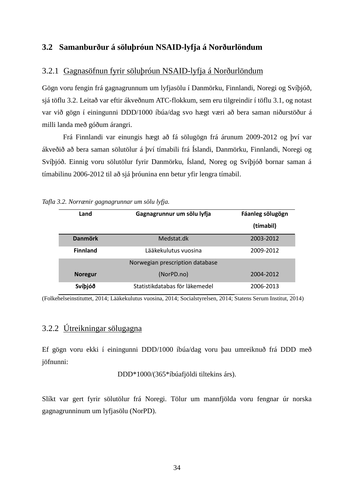## **3.2 Samanburður á söluþróun NSAID-lyfja á Norðurlöndum**

### 3.2.1 Gagnasöfnun fyrir söluþróun NSAID-lyfja á Norðurlöndum

Gögn voru fengin frá gagnagrunnum um lyfjasölu í Danmörku, Finnlandi, Noregi og Svíþjóð, sjá töflu 3.2. Leitað var eftir ákveðnum ATC-flokkum, sem eru tilgreindir í töflu 3.1, og notast var við gögn í einingunni DDD/1000 íbúa/dag svo hægt væri að bera saman niðurstöður á milli landa með góðum árangri.

Frá Finnlandi var einungis hægt að fá sölugögn frá árunum 2009-2012 og því var ákveðið að bera saman sölutölur á því tímabili frá Íslandi, Danmörku, Finnlandi, Noregi og Svíþjóð. Einnig voru sölutölur fyrir Danmörku, Ísland, Noreg og Svíþjóð bornar saman á tímabilinu 2006-2012 til að sjá þróunina enn betur yfir lengra tímabil.

| Land            | Gagnagrunnur um sölu lyfja      | Fáanleg sölugögn |
|-----------------|---------------------------------|------------------|
|                 |                                 | (tímabil)        |
| <b>Danmörk</b>  | Medstat.dk                      | 2003-2012        |
| <b>Finnland</b> | Lääkekulutus vuosina            | 2009-2012        |
|                 | Norwegian prescription database |                  |
| <b>Noregur</b>  | (NorPD.no)                      | 2004-2012        |
| Svíþjóð         | Statistikdatabas för läkemedel  | 2006-2013        |

*Tafla 3.2. Norrænir gagnagrunnar um sölu lyfja.*

(Folkehelseinstituttet, 2014; Lääkekulutus vuosina, 2014; Socialstyrelsen, 2014; Statens Serum Institut, 2014)

## 3.2.2 Útreikningar sölugagna

Ef gögn voru ekki í einingunni DDD/1000 íbúa/dag voru þau umreiknuð frá DDD með jöfnunni:

DDD\*1000/(365\*íbúafjöldi tiltekins árs).

Slíkt var gert fyrir sölutölur frá Noregi. Tölur um mannfjölda voru fengnar úr norska gagnagrunninum um lyfjasölu (NorPD).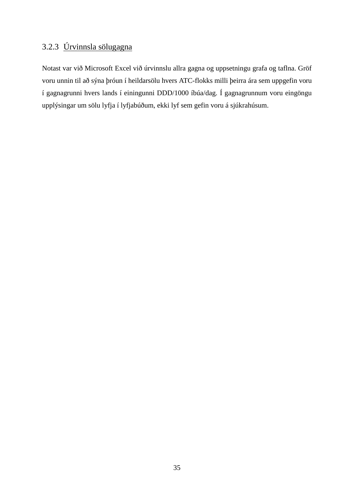# 3.2.3 Úrvinnsla sölugagna

Notast var við Microsoft Excel við úrvinnslu allra gagna og uppsetningu grafa og taflna. Gröf voru unnin til að sýna þróun í heildarsölu hvers ATC-flokks milli þeirra ára sem uppgefin voru í gagnagrunni hvers lands í einingunni DDD/1000 íbúa/dag. Í gagnagrunnum voru eingöngu upplýsingar um sölu lyfja í lyfjabúðum, ekki lyf sem gefin voru á sjúkrahúsum.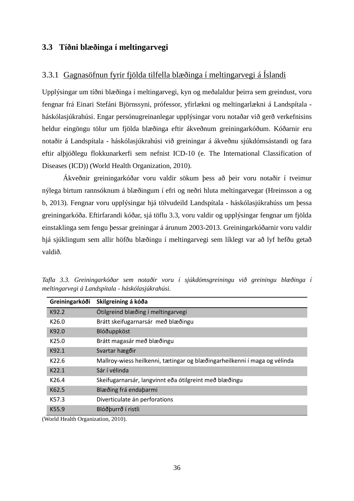## **3.3 Tíðni blæðinga í meltingarvegi**

## 3.3.1 Gagnasöfnun fyrir fjölda tilfella blæðinga í meltingarvegi á Íslandi

Upplýsingar um tíðni blæðinga í meltingarvegi, kyn og meðalaldur þeirra sem greindust, voru fengnar frá Einari Stefáni Björnssyni, prófessor, yfirlækni og meltingarlækni á Landspítala háskólasjúkrahúsi. Engar persónugreinanlegar upplýsingar voru notaðar við gerð verkefnisins heldur eingöngu tölur um fjölda blæðinga eftir ákveðnum greiningarkóðum. Kóðarnir eru notaðir á Landspítala - háskólasjúkrahúsi við greiningar á ákveðnu sjúkdómsástandi og fara eftir alþjóðlegu flokkunarkerfi sem nefnist ICD-10 (e. The International Classification of Diseases (ICD)) (World Health Organization, 2010).

Ákveðnir greiningarkóðar voru valdir sökum þess að þeir voru notaðir í tveimur nýlega birtum rannsóknum á blæðingum í efri og neðri hluta meltingarvegar (Hreinsson a og b, 2013). Fengnar voru upplýsingar hjá tölvudeild Landspítala - háskólasjúkrahúss um þessa greiningarkóða. Eftirfarandi kóðar, sjá töflu 3.3, voru valdir og upplýsingar fengnar um fjölda einstaklinga sem fengu þessar greiningar á árunum 2003-2013. Greiningarkóðarnir voru valdir hjá sjúklingum sem allir höfðu blæðingu í meltingarvegi sem líklegt var að lyf hefðu getað valdið.

| Greiningarkóði    | Skilgreining á kóða                                                       |
|-------------------|---------------------------------------------------------------------------|
| K92.2             | Ótilgreind blæðing í meltingarvegi                                        |
| K26.0             | Brátt skeifugarnarsár með blæðingu                                        |
| K92.0             | Blóðuppköst                                                               |
| K <sub>25.0</sub> | Brátt magasár með blæðingu                                                |
| K92.1             | Svartar hægðir                                                            |
| K <sub>22.6</sub> | Mallroy-wiess heilkenni, tætingar og blæðingarheilkenni í maga og vélinda |
| K22.1             | Sár í vélinda                                                             |
| K26.4             | Skeifugarnarsár, langvinnt eða ótilgreint með blæðingu                    |
| K62.5             | Blæðing frá endaþarmi                                                     |
| K57.3             | Diverticulate án perforations                                             |
| K55.9             | Blóðþurrð í ristli                                                        |

*Tafla 3.3. Greiningarkóðar sem notaðir voru í sjúkdómsgreiningu við greiningu blæðinga í meltingarvegi á Landspítala - háskólasjúkrahúsi.*

(World Health Organization, 2010).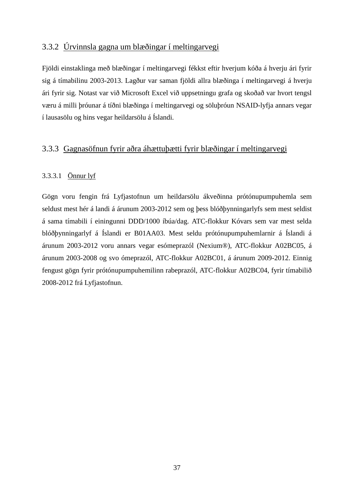## 3.3.2 Úrvinnsla gagna um blæðingar í meltingarvegi

Fjöldi einstaklinga með blæðingar í meltingarvegi fékkst eftir hverjum kóða á hverju ári fyrir sig á tímabilinu 2003-2013. Lagður var saman fjöldi allra blæðinga í meltingarvegi á hverju ári fyrir sig. Notast var við Microsoft Excel við uppsetningu grafa og skoðað var hvort tengsl væru á milli þróunar á tíðni blæðinga í meltingarvegi og söluþróun NSAID-lyfja annars vegar í lausasölu og hins vegar heildarsölu á Íslandi.

## 3.3.3 Gagnasöfnun fyrir aðra áhættuþætti fyrir blæðingar í meltingarvegi

## 3.3.3.1 Önnur lyf

Gögn voru fengin frá Lyfjastofnun um heildarsölu ákveðinna prótónupumpuhemla sem seldust mest hér á landi á árunum 2003-2012 sem og þess blóðþynningarlyfs sem mest seldist á sama tímabili í einingunni DDD/1000 íbúa/dag. ATC-flokkur Kóvars sem var mest selda blóðþynningarlyf á Íslandi er B01AA03. Mest seldu prótónupumpuhemlarnir á Íslandi á árunum 2003-2012 voru annars vegar esómeprazól (Nexium®), ATC-flokkur A02BC05, á árunum 2003-2008 og svo ómeprazól, ATC-flokkur A02BC01, á árunum 2009-2012. Einnig fengust gögn fyrir prótónupumpuhemilinn rabeprazól, ATC-flokkur A02BC04, fyrir tímabilið 2008-2012 frá Lyfjastofnun.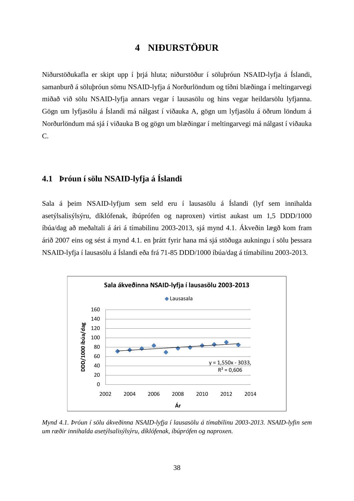# **4 NIÐURSTÖÐUR**

Niðurstöðukafla er skipt upp í þrjá hluta; niðurstöður í söluþróun NSAID-lyfja á Íslandi, samanburð á söluþróun sömu NSAID-lyfja á Norðurlöndum og tíðni blæðinga í meltingarvegi miðað við sölu NSAID-lyfja annars vegar í lausasölu og hins vegar heildarsölu lyfjanna. Gögn um lyfjasölu á Íslandi má nálgast í viðauka A, gögn um lyfjasölu á öðrum löndum á Norðurlöndum má sjá í viðauka B og gögn um blæðingar í meltingarvegi má nálgast í viðauka C.

# **4.1 Þróun í sölu NSAID-lyfja á Íslandi**

Sala á þeim NSAID-lyfjum sem seld eru í lausasölu á Íslandi (lyf sem innihalda asetýlsalisýlsýru, díklófenak, íbúprófen og naproxen) virtist aukast um 1,5 DDD/1000 íbúa/dag að meðaltali á ári á tímabilinu 2003-2013, sjá mynd 4.1. Ákveðin lægð kom fram árið 2007 eins og sést á mynd 4.1. en þrátt fyrir hana má sjá stöðuga aukningu í sölu þessara NSAID-lyfja í lausasölu á Íslandi eða frá 71-85 DDD/1000 íbúa/dag á tímabilinu 2003-2013.



*Mynd 4.1. Þróun í sölu ákveðinna NSAID-lyfja í lausasölu á tímabilinu 2003-2013. NSAID-lyfin sem um ræðir innihalda asetýlsalisýlsýru, díklófenak, íbúprófen og naproxen.*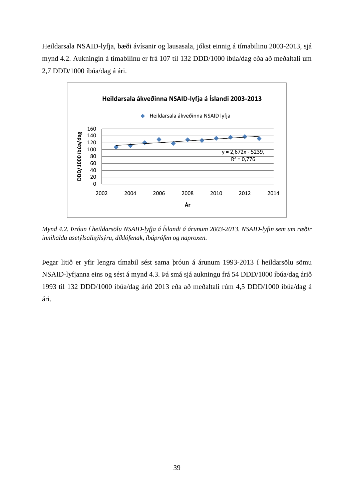Heildarsala NSAID-lyfja, bæði ávísanir og lausasala, jókst einnig á tímabilinu 2003-2013, sjá mynd 4.2. Aukningin á tímabilinu er frá 107 til 132 DDD/1000 íbúa/dag eða að meðaltali um 2,7 DDD/1000 íbúa/dag á ári.



*Mynd 4.2. Þróun í heildarsölu NSAID-lyfja á Íslandi á árunum 2003-2013. NSAID-lyfin sem um ræðir innihalda asetýlsalisýlsýru, díklófenak, íbúprófen og naproxen.*

Þegar litið er yfir lengra tímabil sést sama þróun á árunum 1993-2013 í heildarsölu sömu NSAID-lyfjanna eins og sést á mynd 4.3. Þá smá sjá aukningu frá 54 DDD/1000 íbúa/dag árið 1993 til 132 DDD/1000 íbúa/dag árið 2013 eða að meðaltali rúm 4,5 DDD/1000 íbúa/dag á ári.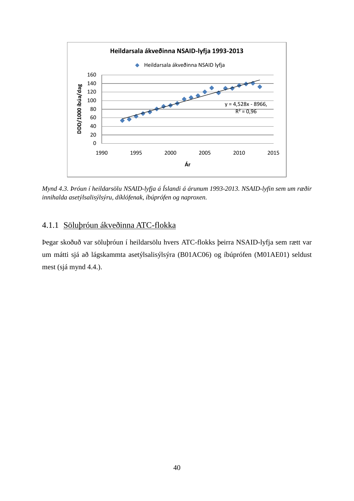

*Mynd 4.3. Þróun í heildarsölu NSAID-lyfja á Íslandi á árunum 1993-2013. NSAID-lyfin sem um ræðir innihalda asetýlsalisýlsýru, díklófenak, íbúprófen og naproxen.*

## 4.1.1 Söluþróun ákveðinna ATC-flokka

Þegar skoðuð var söluþróun í heildarsölu hvers ATC-flokks þeirra NSAID-lyfja sem rætt var um mátti sjá að lágskammta asetýlsalisýlsýra (B01AC06) og íbúprófen (M01AE01) seldust mest (sjá mynd 4.4.).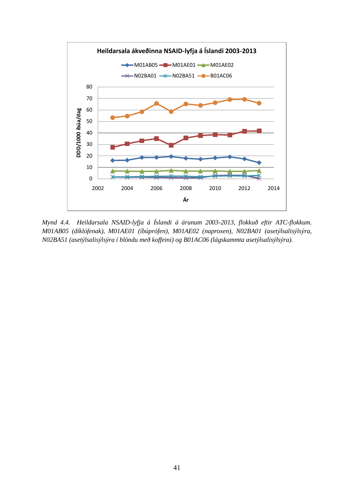

*Mynd 4.4. Heildarsala NSAID-lyfja á Íslandi á árunum 2003-2013, flokkuð eftir ATC-flokkum. M01AB05 (díklófenak), M01AE01 (íbúprófen), M01AE02 (naproxen), N02BA01 (asetýlsalisýlsýra, N02BA51 (asetýlsalisýlsýra í blöndu með koffeini) og B01AC06 (lágskammta asetýlsalisýlsýra).*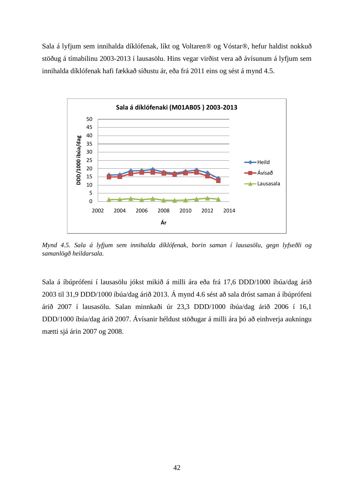Sala á lyfjum sem innihalda díklófenak, líkt og Voltaren® og Vóstar®, hefur haldist nokkuð stöðug á tímabilinu 2003-2013 í lausasölu. Hins vegar virðist vera að ávísunum á lyfjum sem innihalda díklófenak hafi fækkað síðustu ár, eða frá 2011 eins og sést á mynd 4.5.



*Mynd 4.5. Sala á lyfjum sem innihalda díklófenak, borin saman í lausasölu, gegn lyfseðli og samanlögð heildarsala.*

Sala á íbúprófeni í lausasölu jókst mikið á milli ára eða frá 17,6 DDD/1000 íbúa/dag árið 2003 til 31,9 DDD/1000 íbúa/dag árið 2013. Á mynd 4.6 sést að sala dróst saman á íbúprófeni árið 2007 í lausasölu. Salan minnkaði úr 23,3 DDD/1000 íbúa/dag árið 2006 í 16,1 DDD/1000 íbúa/dag árið 2007. Ávísanir héldust stöðugar á milli ára þó að einhverja aukningu mætti sjá árin 2007 og 2008.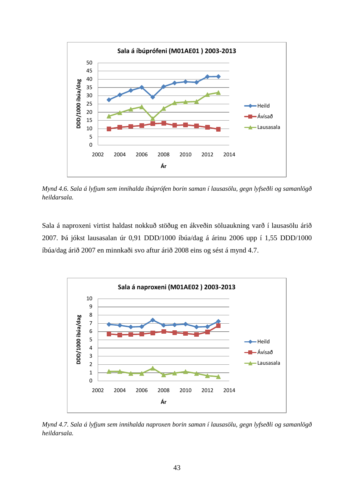

*Mynd 4.6. Sala á lyfjum sem innihalda íbúprófen borin saman í lausasölu, gegn lyfseðli og samanlögð heildarsala.*

Sala á naproxeni virtist haldast nokkuð stöðug en ákveðin söluaukning varð í lausasölu árið 2007. Þá jókst lausasalan úr 0,91 DDD/1000 íbúa/dag á árinu 2006 upp í 1,55 DDD/1000 íbúa/dag árið 2007 en minnkaði svo aftur árið 2008 eins og sést á mynd 4.7.



*Mynd 4.7. Sala á lyfjum sem innihalda naproxen borin saman í lausasölu, gegn lyfseðli og samanlögð heildarsala.*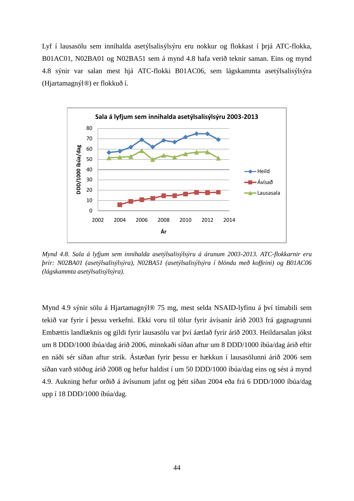Lyf í lausasölu sem innihalda asetýlsalisýlsýru eru nokkur og flokkast í þrjá ATC-flokka, B01AC01, N02BA01 og N02BA51 sem á mynd 4.8 hafa verið teknir saman. Eins og mynd 4.8 sýnir var salan mest hjá ATC-flokki B01AC06, sem lágskammta asetýlsalisýlsýra (Hjartamagnýl*®*) er flokkuð í.



*Mynd 4.8. Sala á lyfjum sem innihalda asetýlsalisýlsýru á árunum 2003-2013. ATC-flokkarnir eru þrír: N02BA01 (asetýlsalisýlsýra), N02BA51 (asetýlsalisýlsýra í blöndu með koffeini) og B01AC06 (lágskammta asetýlsalisýlsýra).*

Mynd 4.9 sýnir sölu á Hjartamagnýl® 75 mg, mest selda NSAID-lyfinu á því tímabili sem tekið var fyrir í þessu verkefni. Ekki voru til tölur fyrir ávísanir árið 2003 frá gagnagrunni Embættis landlæknis og gildi fyrir lausasölu var því áætlað fyrir árið 2003. Heildarsalan jókst um 8 DDD/1000 íbúa/dag árið 2006, minnkaði síðan aftur um 8 DDD/1000 íbúa/dag árið eftir en náði sér síðan aftur strik. Ástæðan fyrir þessu er hækkun í lausasölunni árið 2006 sem síðan varð stöðug árið 2008 og hefur haldist í um 50 DDD/1000 íbúa/dag eins og sést á mynd 4.9. Aukning hefur orðið á ávísunum jafnt og þétt síðan 2004 eða frá 6 DDD/1000 íbúa/dag upp í 18 DDD/1000 íbúa/dag.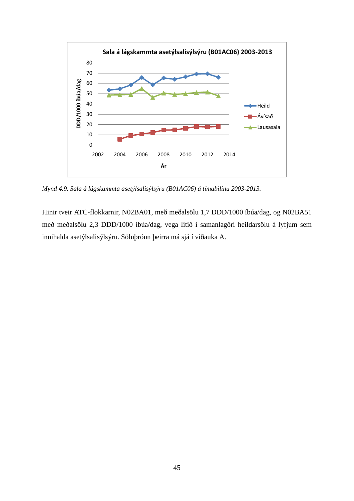

*Mynd 4.9. Sala á lágskammta asetýlsalisýlsýru (B01AC06) á tímabilinu 2003-2013.*

Hinir tveir ATC-flokkarnir, N02BA01, með meðalsölu 1,7 DDD/1000 íbúa/dag, og N02BA51 með meðalsölu 2,3 DDD/1000 íbúa/dag, vega lítið í samanlagðri heildarsölu á lyfjum sem innihalda asetýlsalisýlsýru. Söluþróun þeirra má sjá í viðauka A.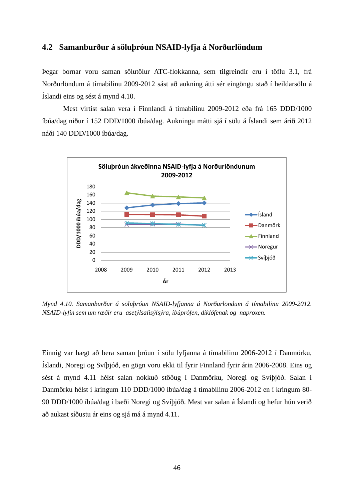### **4.2 Samanburður á söluþróun NSAID-lyfja á Norðurlöndum**

Þegar bornar voru saman sölutölur ATC-flokkanna, sem tilgreindir eru í töflu 3.1, frá Norðurlöndum á tímabilinu 2009-2012 sást að aukning átti sér eingöngu stað í heildarsölu á Íslandi eins og sést á mynd 4.10.

Mest virtist salan vera í Finnlandi á tímabilinu 2009-2012 eða frá 165 DDD/1000 íbúa/dag niður í 152 DDD/1000 íbúa/dag. Aukningu mátti sjá í sölu á Íslandi sem árið 2012 náði 140 DDD/1000 íbúa/dag.



*Mynd 4.10. Samanburður á söluþróun NSAID-lyfjanna á Norðurlöndum á tímabilinu 2009-2012. NSAID-lyfin sem um ræðir eru asetýlsalisýlsýra, íbúprófen, díklófenak og naproxen.*

Einnig var hægt að bera saman þróun í sölu lyfjanna á tímabilinu 2006-2012 í Danmörku, Íslandi, Noregi og Svíþjóð, en gögn voru ekki til fyrir Finnland fyrir árin 2006-2008. Eins og sést á mynd 4.11 hélst salan nokkuð stöðug í Danmörku, Noregi og Svíþjóð. Salan í Danmörku hélst í kringum 110 DDD/1000 íbúa/dag á tímabilinu 2006-2012 en í kringum 80- 90 DDD/1000 íbúa/dag í bæði Noregi og Svíþjóð. Mest var salan á Íslandi og hefur hún verið að aukast síðustu ár eins og sjá má á mynd 4.11.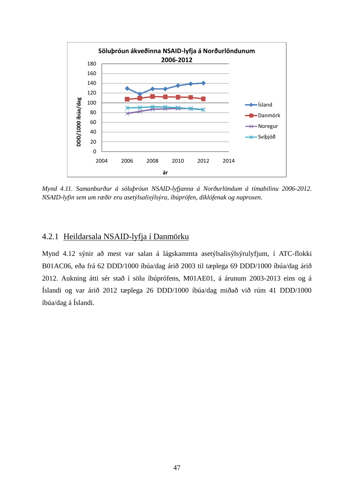

*Mynd 4.11. Samanburður á söluþróun NSAID-lyfjanna á Norðurlöndum á tímabilinu 2006-2012. NSAID-lyfin sem um ræðir eru asetýlsalisýlsýra, íbúprófen, díklófenak og naproxen.*

### 4.2.1 Heildarsala NSAID-lyfja í Danmörku

Mynd 4.12 sýnir að mest var salan á lágskammta asetýlsalisýlsýrulyfjum, í ATC-flokki B01AC06, eða frá 62 DDD/1000 íbúa/dag árið 2003 til tæplega 69 DDD/1000 íbúa/dag árið 2012. Aukning átti sér stað í sölu íbúprófens, M01AE01, á árunum 2003-2013 eins og á Íslandi og var árið 2012 tæplega 26 DDD/1000 íbúa/dag miðað við rúm 41 DDD/1000 íbúa/dag á Íslandi.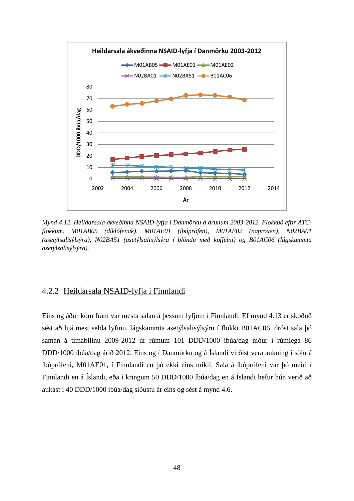

*Mynd 4.12. Heildarsala ákveðinna NSAID-lyfja í Danmörku á árunum 2003-2012. Flokkuð eftir ATCflokkum. M01AB05 (díklófenak), M01AE01 (íbúprófen), M01AE02 (naproxen), N02BA01 (asetýlsalisýlsýra), N02BA51 (asetýlsalisýlsýra í blöndu með koffeini) og B01AC06 (lágskammta asetýlsalisýlsýra).*

### 4.2.2 Heildarsala NSAID-lyfja í Finnlandi

Eins og áður kom fram var mesta salan á þessum lyfjum í Finnlandi. Ef mynd 4.13 er skoðuð sést að hjá mest selda lyfinu, lágskammta asetýlsalisýlsýru í flokki B01AC06, dróst sala þó saman á tímabilinu 2009-2012 úr rúmum 101 DDD/1000 íbúa/dag niður í rúmlega 86 DDD/1000 íbúa/dag árið 2012. Eins og í Danmörku og á Íslandi virðist vera aukning í sölu á íbúprófeni, M01AE01, í Finnlandi en þó ekki eins mikil. Sala á íbúprófeni var þó meiri í Finnlandi en á Íslandi, eða í kringum 50 DDD/1000 íbúa/dag en á Íslandi hefur hún verið að aukast í 40 DDD/1000 íbúa/dag síðustu ár eins og sést á mynd 4.6.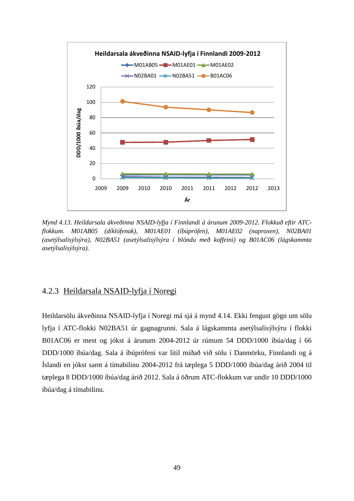

*Mynd 4.13. Heildarsala ákveðinna NSAID-lyfja í Finnlandi á árunum 2009-2012. Flokkuð eftir ATCflokkum. M01AB05 (díklófenak), M01AE01 (íbúprófen), M01AE02 (naproxen), N02BA01 (asetýlsalisýlsýra), N02BA51 (asetýlsalisýlsýra í blöndu með koffeini) og B01AC06 (lágskammta asetýlsalisýlsýra).*

## 4.2.3 Heildarsala NSAID-lyfja í Noregi

Heildarsölu ákveðinna NSAID-lyfja í Noregi má sjá á mynd 4.14. Ekki fengust gögn um sölu lyfja í ATC-flokki N02BA51 úr gagnagrunni. Sala á lágskammta asetýlsalisýlsýru í flokki B01AC06 er mest og jókst á árunum 2004-2012 úr rúmum 54 DDD/1000 íbúa/dag í 66 DDD/1000 íbúa/dag. Sala á íbúprófeni var lítil miðað við sölu í Danmörku, Finnlandi og á Íslandi en jókst samt á tímabilinu 2004-2012 frá tæplega 5 DDD/1000 íbúa/dag árið 2004 til tæplega 8 DDD/1000 íbúa/dag árið 2012. Sala á öðrum ATC-flokkum var undir 10 DDD/1000 íbúa/dag á tímabilinu.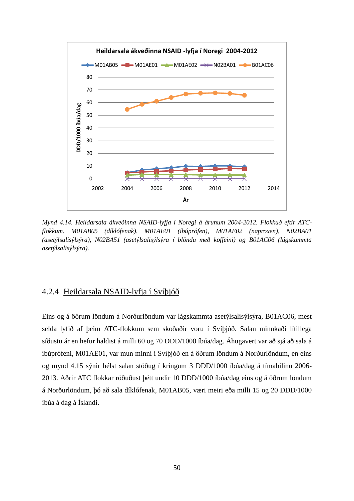

*Mynd 4.14. Heildarsala ákveðinna NSAID-lyfja í Noregi á árunum 2004-2012. Flokkuð eftir ATCflokkum. M01AB05 (díklófenak), M01AE01 (íbúprófen), M01AE02 (naproxen), N02BA01 (asetýlsalisýlsýra), N02BA51 (asetýlsalisýlsýra í blöndu með koffeini) og B01AC06 (lágskammta asetýlsalisýlsýra).*

## 4.2.4 Heildarsala NSAID-lyfja í Svíþjóð

Eins og á öðrum löndum á Norðurlöndum var lágskammta asetýlsalisýlsýra, B01AC06, mest selda lyfið af þeim ATC-flokkum sem skoðaðir voru í Svíþjóð. Salan minnkaði lítillega síðustu ár en hefur haldist á milli 60 og 70 DDD/1000 íbúa/dag. Áhugavert var að sjá að sala á íbúprófeni, M01AE01, var mun minni í Svíþjóð en á öðrum löndum á Norðurlöndum, en eins og mynd 4.15 sýnir hélst salan stöðug í kringum 3 DDD/1000 íbúa/dag á tímabilinu 2006- 2013. Aðrir ATC flokkar röðuðust þétt undir 10 DDD/1000 íbúa/dag eins og á öðrum löndum á Norðurlöndum, þó að sala díklófenak, M01AB05, væri meiri eða milli 15 og 20 DDD/1000 íbúa á dag á Íslandi.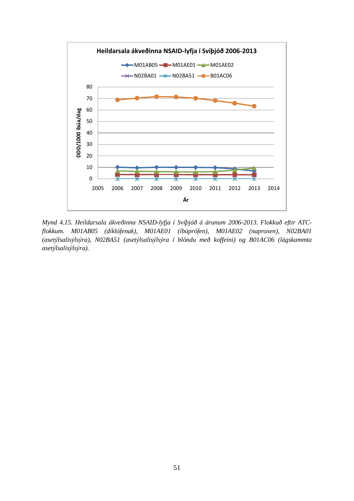

*Mynd 4.15. Heildarsala ákveðinna NSAID-lyfja í Svíþjóð á árunum 2006-2013. Flokkuð eftir ATCflokkum. M01AB05 (díklófenak), M01AE01 (íbúprófen), M01AE02 (naproxen), N02BA01 (asetýlsalisýlsýra), N02BA51 (asetýlsalisýlsýra í blöndu með koffeini) og B01AC06 (lágskammta asetýlsalisýlsýra).*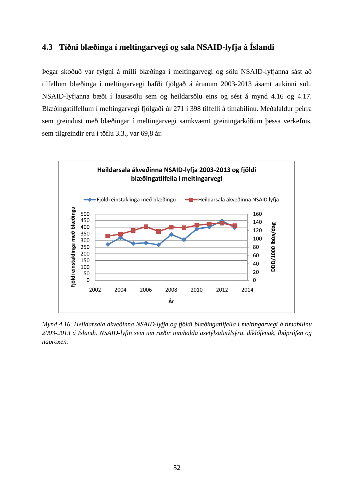# **4.3 Tíðni blæðinga í meltingarvegi og sala NSAID-lyfja á Íslandi**

Þegar skoðuð var fylgni á milli blæðinga í meltingarvegi og sölu NSAID-lyfjanna sást að tilfellum blæðinga í meltingarvegi hafði fjölgað á árunum 2003-2013 ásamt aukinni sölu NSAID-lyfjanna bæði í lausasölu sem og heildarsölu eins og sést á mynd 4.16 og 4.17. Blæðingatilfellum í meltingarvegi fjölgaði úr 271 í 398 tilfelli á tímabilinu. Meðalaldur þeirra sem greindust með blæðingar í meltingarvegi samkvæmt greiningarkóðum þessa verkefnis, sem tilgreindir eru í töflu 3.3., var 69,8 ár.



*Mynd 4.16. Heildarsala ákveðinna NSAID-lyfja og fjöldi blæðingatilfella í meltingarvegi á tímabilinu 2003-2013 á Íslandi. NSAID-lyfin sem um ræðir innihalda asetýlsalisýlsýru, díklófenak, íbúprófen og naproxen.*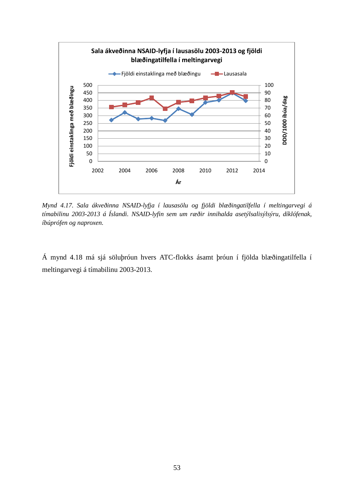

*Mynd 4.17. Sala ákveðinna NSAID-lyfja í lausasölu og fjöldi blæðingatilfella í meltingarvegi á tímabilinu 2003-2013 á Íslandi. NSAID-lyfin sem um ræðir innihalda asetýlsalisýlsýru, díklófenak, íbúprófen og naproxen.*

Á mynd 4.18 má sjá söluþróun hvers ATC-flokks ásamt þróun í fjölda blæðingatilfella í meltingarvegi á tímabilinu 2003-2013.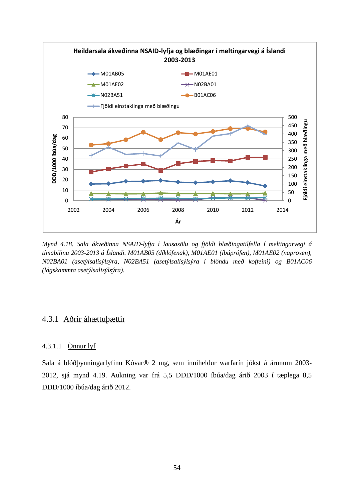

*Mynd 4.18. Sala ákveðinna NSAID-lyfja í lausasölu og fjöldi blæðingatilfella í meltingarvegi á tímabilinu 2003-2013 á Íslandi. M01AB05 (díklófenak), M01AE01 (íbúprófen), M01AE02 (naproxen), N02BA01 (asetýlsalisýlsýra, N02BA51 (asetýlsalisýlsýra í blöndu með koffeini) og B01AC06 (lágskammta asetýlsalisýlsýra).*

## 4.3.1 Aðrir áhættuþættir

### 4.3.1.1 Önnur lyf

Sala á blóðþynningarlyfinu Kóvar® 2 mg, sem inniheldur warfarín jókst á árunum 2003- 2012, sjá mynd 4.19. Aukning var frá 5,5 DDD/1000 íbúa/dag árið 2003 í tæplega 8,5 DDD/1000 íbúa/dag árið 2012.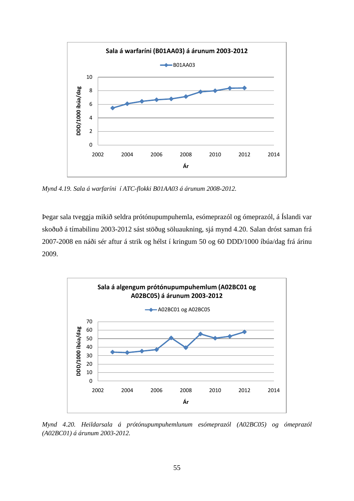

*Mynd 4.19. Sala á warfaríni í ATC-flokki B01AA03 á árunum 2008-2012.*

Þegar sala tveggja mikið seldra prótónupumpuhemla, esómeprazól og ómeprazól, á Íslandi var skoðuð á tímabilinu 2003-2012 sást stöðug söluaukning, sjá mynd 4.20. Salan dróst saman frá 2007-2008 en náði sér aftur á strik og hélst í kringum 50 og 60 DDD/1000 íbúa/dag frá árinu 2009.



*Mynd 4.20. Heildarsala á prótónupumpuhemlunum esómeprazól (A02BC05) og ómeprazól (A02BC01) á árunum 2003-2012.*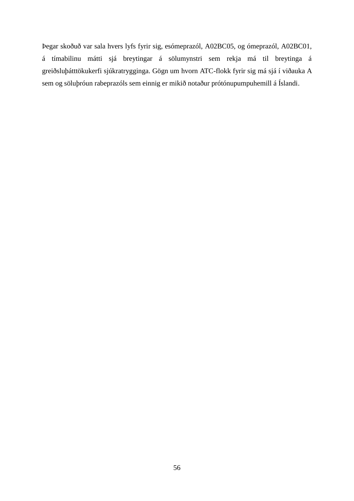Þegar skoðuð var sala hvers lyfs fyrir sig, esómeprazól, A02BC05, og ómeprazól, A02BC01, á tímabilinu mátti sjá breytingar á sölumynstri sem rekja má til breytinga á greiðsluþátttökukerfi sjúkratrygginga. Gögn um hvorn ATC-flokk fyrir sig má sjá í viðauka A sem og söluþróun rabeprazóls sem einnig er mikið notaður prótónupumpuhemill á Íslandi.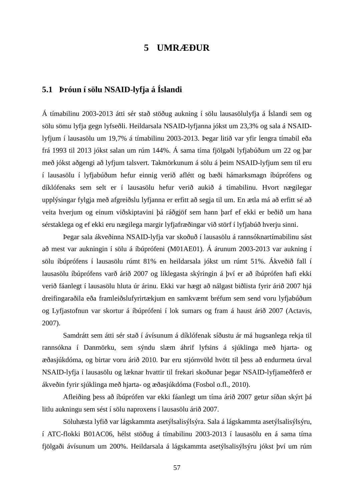## **5 UMRÆÐUR**

## **5.1 Þróun í sölu NSAID-lyfja á Íslandi**

Á tímabilinu 2003-2013 átti sér stað stöðug aukning í sölu lausasölulyfja á Íslandi sem og sölu sömu lyfja gegn lyfseðli. Heildarsala NSAID-lyfjanna jókst um 23,3% og sala á NSAIDlyfjum í lausasölu um 19,7% á tímabilinu 2003-2013. Þegar litið var yfir lengra tímabil eða frá 1993 til 2013 jókst salan um rúm 144%. Á sama tíma fjölgaði lyfjabúðum um 22 og þar með jókst aðgengi að lyfjum talsvert. Takmörkunum á sölu á þeim NSAID-lyfjum sem til eru í lausasölu í lyfjabúðum hefur einnig verið aflétt og bæði hámarksmagn íbúprófens og díklófenaks sem selt er í lausasölu hefur verið aukið á tímabilinu. Hvort nægilegar upplýsingar fylgja með afgreiðslu lyfjanna er erfitt að segja til um. En ætla má að erfitt sé að veita hverjum og einum viðskiptavini þá ráðgjöf sem hann þarf ef ekki er beðið um hana sérstaklega og ef ekki eru nægilega margir lyfjafræðingar við störf í lyfjabúð hverju sinni.

Þegar sala ákveðinna NSAID-lyfja var skoðuð í lausasölu á rannsóknartímabilinu sást að mest var aukningin í sölu á íbúprófeni (M01AE01). Á árunum 2003-2013 var aukning í sölu íbúprófens í lausasölu rúmt 81% en heildarsala jókst um rúmt 51%. Ákveðið fall í lausasölu íbúprófens varð árið 2007 og líklegasta skýringin á því er að íbúprófen hafi ekki verið fáanlegt í lausasölu hluta úr árinu. Ekki var hægt að nálgast biðlista fyrir árið 2007 hjá dreifingaraðila eða framleiðslufyrirtækjum en samkvæmt bréfum sem send voru lyfjabúðum og Lyfjastofnun var skortur á íbúprófeni í lok sumars og fram á haust árið 2007 (Actavis, 2007).

Samdrátt sem átti sér stað í ávísunum á díklófenak síðustu ár má hugsanlega rekja til rannsókna í Danmörku, sem sýndu slæm áhrif lyfsins á sjúklinga með hjarta- og æðasjúkdóma, og birtar voru árið 2010. Þar eru stjórnvöld hvött til þess að endurmeta úrval NSAID-lyfja í lausasölu og læknar hvattir til frekari skoðunar þegar NSAID-lyfjameðferð er ákveðin fyrir sjúklinga með hjarta- og æðasjúkdóma (Fosbol o.fl., 2010).

Afleiðing þess að íbúprófen var ekki fáanlegt um tíma árið 2007 getur síðan skýrt þá litlu aukningu sem sést í sölu naproxens í lausasölu árið 2007.

Söluhæsta lyfið var lágskammta asetýlsalisýlsýra. Sala á lágskammta asetýlsalisýlsýru, í ATC-flokki B01AC06, hélst stöðug á tímabilinu 2003-2013 í lausasölu en á sama tíma fjölgaði ávísunum um 200%. Heildarsala á lágskammta asetýlsalisýlsýru jókst því um rúm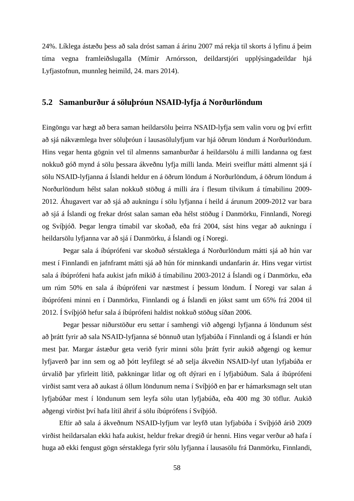24%. Líklega ástæðu þess að sala dróst saman á árinu 2007 má rekja til skorts á lyfinu á þeim tíma vegna framleiðslugalla (Mímir Arnórsson, deildarstjóri upplýsingadeildar hjá Lyfjastofnun, munnleg heimild, 24. mars 2014).

### **5.2 Samanburður á söluþróun NSAID-lyfja á Norðurlöndum**

Eingöngu var hægt að bera saman heildarsölu þeirra NSAID-lyfja sem valin voru og því erfitt að sjá nákvæmlega hver söluþróun í lausasölulyfjum var hjá öðrum löndum á Norðurlöndum. Hins vegar henta gögnin vel til almenns samanburðar á heildarsölu á milli landanna og fæst nokkuð góð mynd á sölu þessara ákveðnu lyfja milli landa. Meiri sveiflur mátti almennt sjá í sölu NSAID-lyfjanna á Íslandi heldur en á öðrum löndum á Norðurlöndum, á öðrum löndum á Norðurlöndum hélst salan nokkuð stöðug á milli ára í flesum tilvikum á tímabilinu 2009- 2012. Áhugavert var að sjá að aukningu í sölu lyfjanna í heild á árunum 2009-2012 var bara að sjá á Íslandi og frekar dróst salan saman eða hélst stöðug í Danmörku, Finnlandi, Noregi og Svíþjóð. Þegar lengra tímabil var skoðað, eða frá 2004, sást hins vegar að aukningu í heildarsölu lyfjanna var að sjá í Danmörku, á Íslandi og í Noregi.

Þegar sala á íbúprófeni var skoðuð sérstaklega á Norðurlöndum mátti sjá að hún var mest í Finnlandi en jafnframt mátti sjá að hún fór minnkandi undanfarin ár. Hins vegar virtist sala á íbúprófeni hafa aukist jafn mikið á tímabilinu 2003-2012 á Íslandi og í Danmörku, eða um rúm 50% en sala á íbúprófeni var næstmest í þessum löndum. Í Noregi var salan á íbúprófeni minni en í Danmörku, Finnlandi og á Íslandi en jókst samt um 65% frá 2004 til 2012. Í Svíþjóð hefur sala á íbúprófeni haldist nokkuð stöðug síðan 2006.

Þegar þessar niðurstöður eru settar í samhengi við aðgengi lyfjanna á löndunum sést að þrátt fyrir að sala NSAID-lyfjanna sé bönnuð utan lyfjabúða í Finnlandi og á Íslandi er hún mest þar. Margar ástæður geta verið fyrir minni sölu þrátt fyrir aukið aðgengi og kemur lyfjaverð þar inn sem og að þótt leyfilegt sé að selja ákveðin NSAID-lyf utan lyfjabúða er úrvalið þar yfirleitt lítið, pakkningar litlar og oft dýrari en í lyfjabúðum. Sala á íbúprófeni virðist samt vera að aukast á öllum löndunum nema í Svíþjóð en þar er hámarksmagn selt utan lyfjabúðar mest í löndunum sem leyfa sölu utan lyfjabúða, eða 400 mg 30 töflur. Aukið aðgengi virðist því hafa lítil áhrif á sölu íbúprófens í Svíþjóð.

Eftir að sala á ákveðnum NSAID-lyfjum var leyfð utan lyfjabúða í Svíþjóð árið 2009 virðist heildarsalan ekki hafa aukist, heldur frekar dregið úr henni. Hins vegar verður að hafa í huga að ekki fengust gögn sérstaklega fyrir sölu lyfjanna í lausasölu frá Danmörku, Finnlandi,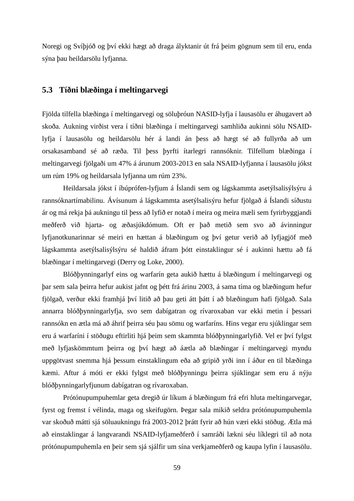Noregi og Svíþjóð og því ekki hægt að draga ályktanir út frá þeim gögnum sem til eru, enda sýna þau heildarsölu lyfjanna.

### **5.3 Tíðni blæðinga í meltingarvegi**

Fjölda tilfella blæðinga í meltingarvegi og söluþróun NASID-lyfja í lausasölu er áhugavert að skoða. Aukning virðist vera í tíðni blæðinga í meltingarvegi samhliða aukinni sölu NSAIDlyfja í lausasölu og heildarsölu hér á landi án þess að hægt sé að fullyrða að um orsakasamband sé að ræða. Til þess þyrfti ítarlegri rannsóknir. Tilfellum blæðinga í meltingarvegi fjölgaði um 47% á árunum 2003-2013 en sala NSAID-lyfjanna í lausasölu jókst um rúm 19% og heildarsala lyfjanna um rúm 23%.

Heildarsala jókst í íbúprófen-lyfjum á Íslandi sem og lágskammta asetýlsalisýlsýru á rannsóknartímabilinu. Ávísunum á lágskammta asetýlsalisýru hefur fjölgað á Íslandi síðustu ár og má rekja þá aukningu til þess að lyfið er notað í meira og meira mæli sem fyrirbyggjandi meðferð við hjarta- og æðasjúkdómum. Oft er það metið sem svo að ávinningur lyfjanotkunarinnar sé meiri en hættan á blæðingum og því getur verið að lyfjagjöf með lágskammta asetýlsalisýlsýru sé haldið áfram þótt einstaklingur sé í aukinni hættu að fá blæðingar í meltingarvegi (Derry og Loke, 2000).

Blóðþynningarlyf eins og warfarín geta aukið hættu á blæðingum í meltingarvegi og þar sem sala þeirra hefur aukist jafnt og þétt frá árinu 2003, á sama tíma og blæðingum hefur fjölgað, verður ekki framhjá því litið að þau geti átt þátt í að blæðingum hafi fjölgað. Sala annarra blóðþynningarlyfja, svo sem dabígatran og rívaroxaban var ekki metin í þessari rannsókn en ætla má að áhrif þeirra séu þau sömu og warfaríns. Hins vegar eru sjúklingar sem eru á warfaríni í stöðugu eftirliti hjá þeim sem skammta blóðþynningarlyfið. Vel er því fylgst með lyfjaskömmtum þeirra og því hægt að áætla að blæðingar í meltingarvegi myndu uppgötvast snemma hjá þessum einstaklingum eða að gripið yrði inn í áður en til blæðinga kæmi. Aftur á móti er ekki fylgst með blóðþynningu þeirra sjúklingar sem eru á nýju blóðþynningarlyfjunum dabígatran og rívaroxaban.

Prótónupumpuhemlar geta dregið úr líkum á blæðingum frá efri hluta meltingarvegar, fyrst og fremst í vélinda, maga og skeifugörn. Þegar sala mikið seldra prótónupumpuhemla var skoðuð mátti sjá söluaukningu frá 2003-2012 þrátt fyrir að hún væri ekki stöðug. Ætla má að einstaklingar á langvarandi NSAID-lyfjameðferð í samráði lækni séu líklegri til að nota prótónupumpuhemla en þeir sem sjá sjálfir um sína verkjameðferð og kaupa lyfin í lausasölu.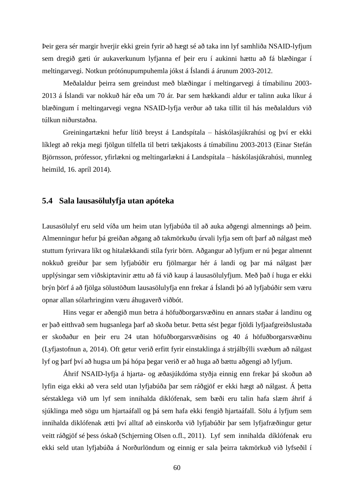Þeir gera sér margir hverjir ekki grein fyrir að hægt sé að taka inn lyf samhliða NSAID-lyfjum sem dregið gæti úr aukaverkunum lyfjanna ef þeir eru í aukinni hættu að fá blæðingar í meltingarvegi. Notkun prótónupumpuhemla jókst á Íslandi á árunum 2003-2012.

Meðalaldur þeirra sem greindust með blæðingar í meltingarvegi á tímabilinu 2003- 2013 á Íslandi var nokkuð hár eða um 70 ár. Þar sem hækkandi aldur er talinn auka líkur á blæðingum í meltingarvegi vegna NSAID-lyfja verður að taka tillit til hás meðalaldurs við túlkun niðurstaðna.

Greiningartækni hefur lítið breyst á Landspítala – háskólasjúkrahúsi og því er ekki líklegt að rekja megi fjölgun tilfella til betri tækjakosts á tímabilinu 2003-2013 (Einar Stefán Björnsson, prófessor, yfirlækni og meltingarlækni á Landspítala – háskólasjúkrahúsi, munnleg heimild, 16. apríl 2014).

### **5.4 Sala lausasölulyfja utan apóteka**

Lausasölulyf eru seld víða um heim utan lyfjabúða til að auka aðgengi almennings að þeim. Almenningur hefur þá greiðan aðgang að takmörkuðu úrvali lyfja sem oft þarf að nálgast með stuttum fyrirvara líkt og hitalækkandi stíla fyrir börn. Aðgangur að lyfjum er nú þegar almennt nokkuð greiður þar sem lyfjabúðir eru fjölmargar hér á landi og þar má nálgast þær upplýsingar sem viðskiptavinir ættu að fá við kaup á lausasölulyfjum. Með það í huga er ekki brýn þörf á að fjölga sölustöðum lausasölulyfja enn frekar á Íslandi þó að lyfjabúðir sem væru opnar allan sólarhringinn væru áhugaverð viðbót.

Hins vegar er aðengið mun betra á höfuðborgarsvæðinu en annars staðar á landinu og er það eitthvað sem hugsanlega þarf að skoða betur. Þetta sést þegar fjöldi lyfjaafgreiðslustaða er skoðaður en þeir eru 24 utan höfuðborgarsvæðisins og 40 á höfuðborgarsvæðinu (Lyfjastofnun a, 2014). Oft getur verið erfitt fyrir einstaklinga á strjálbýlli svæðum að nálgast lyf og þarf því að hugsa um þá hópa þegar verið er að huga að bættu aðgengi að lyfjum.

Áhrif NSAID-lyfja á hjarta- og æðasjúkdóma styðja einnig enn frekar þá skoðun að lyfin eiga ekki að vera seld utan lyfjabúða þar sem ráðgjöf er ekki hægt að nálgast. Á þetta sérstaklega við um lyf sem innihalda diklófenak, sem bæði eru talin hafa slæm áhrif á sjúklinga með sögu um hjartaáfall og þá sem hafa ekki fengið hjartaáfall. Sölu á lyfjum sem innihalda diklófenak ætti því alltaf að einskorða við lyfjabúðir þar sem lyfjafræðingur getur veitt ráðgjöf sé þess óskað (Schjerning Olsen o.fl., 2011). Lyf sem innihalda díklófenak eru ekki seld utan lyfjabúða á Norðurlöndum og einnig er sala þeirra takmörkuð við lyfseðil í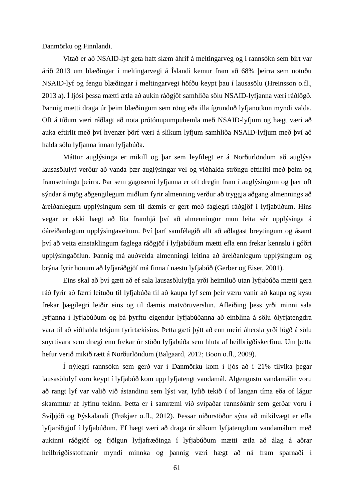Danmörku og Finnlandi.

Vitað er að NSAID-lyf geta haft slæm áhrif á meltingarveg og í rannsókn sem birt var árið 2013 um blæðingar í meltingarvegi á Íslandi kemur fram að 68% þeirra sem notuðu NSAID-lyf og fengu blæðingar í meltingarvegi höfðu keypt þau í lausasölu (Hreinsson o.fl., 2013 a). Í ljósi þessa mætti ætla að aukin ráðgjöf samhliða sölu NSAID-lyfjanna væri ráðlögð. Þannig mætti draga úr þeim blæðingum sem röng eða illa ígrunduð lyfjanotkun myndi valda. Oft á tíðum væri ráðlagt að nota prótónupumpuhemla með NSAID-lyfjum og hægt væri að auka eftirlit með því hvenær þörf væri á slíkum lyfjum samhliða NSAID-lyfjum með því að halda sölu lyfjanna innan lyfjabúða.

Máttur auglýsinga er mikill og þar sem leyfilegt er á Norðurlöndum að auglýsa lausasölulyf verður að vanda þær auglýsingar vel og viðhalda ströngu eftirliti með þeim og framsetningu þeirra. Þar sem gagnsemi lyfjanna er oft dregin fram í auglýsingum og þær oft sýndar á mjög aðgengilegum miðlum fyrir almenning verður að tryggja aðgang almennings að áreiðanlegum upplýsingum sem til dæmis er gert með faglegri ráðgjöf í lyfjabúðum. Hins vegar er ekki hægt að líta framhjá því að almenningur mun leita sér upplýsinga á óáreiðanlegum upplýsingaveitum. Því þarf samfélagið allt að aðlagast breytingum og ásamt því að veita einstaklingum faglega ráðgjöf í lyfjabúðum mætti efla enn frekar kennslu í góðri upplýsingaöflun. Þannig má auðvelda almenningi leitina að áreiðanlegum upplýsingum og brýna fyrir honum að lyfjaráðgjöf má finna í næstu lyfjabúð (Gerber og Eiser, 2001).

Eins skal að því gætt að ef sala lausasölulyfja yrði heimiluð utan lyfjabúða mætti gera ráð fyrir að færri leituðu til lyfjabúða til að kaupa lyf sem þeir væru vanir að kaupa og kysu frekar þægilegri leiðir eins og til dæmis matvöruverslun. Afleiðing þess yrði minni sala lyfjanna í lyfjabúðum og þá þyrftu eigendur lyfjabúðanna að einblína á sölu ólyfjatengdra vara til að viðhalda tekjum fyrirtækisins. Þetta gæti þýtt að enn meiri áhersla yrði lögð á sölu snyrtivara sem drægi enn frekar úr stöðu lyfjabúða sem hluta af heilbrigðiskerfinu. Um þetta hefur verið mikið rætt á Norðurlöndum (Balgaard, 2012; Boon o.fl., 2009).

Í nýlegri rannsókn sem gerð var í Danmörku kom í ljós að í 21% tilvika þegar lausasölulyf voru keypt í lyfjabúð kom upp lyfjatengt vandamál. Algengustu vandamálin voru að rangt lyf var valið við ástandinu sem lýst var, lyfið tekið í of langan tíma eða of lágur skammtur af lyfinu tekinn. Þetta er í samræmi við svipaðar rannsóknir sem gerðar voru í Svíþjóð og Þýskalandi (Frøkjær o.fl., 2012). Þessar niðurstöður sýna að mikilvægt er efla lyfjaráðgjöf í lyfjabúðum. Ef hægt væri að draga úr slíkum lyfjatengdum vandamálum með aukinni ráðgjöf og fjölgun lyfjafræðinga í lyfjabúðum mætti ætla að álag á aðrar heilbrigðisstofnanir myndi minnka og þannig væri hægt að ná fram sparnaði í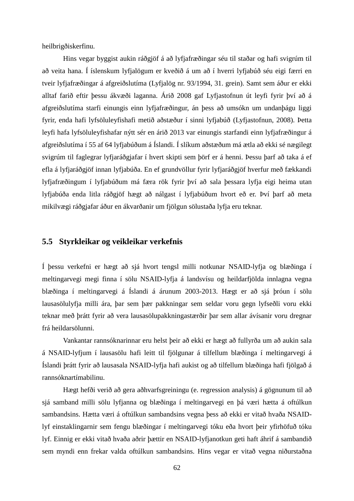heilbrigðiskerfinu.

Hins vegar byggist aukin ráðgjöf á að lyfjafræðingar séu til staðar og hafi svigrúm til að veita hana. Í íslenskum lyfjalögum er kveðið á um að í hverri lyfjabúð séu eigi færri en tveir lyfjafræðingar á afgreiðslutíma (Lyfjalög nr. 93/1994, 31. grein). Samt sem áður er ekki alltaf farið eftir þessu ákvæði laganna. Árið 2008 gaf Lyfjastofnun út leyfi fyrir því að á afgreiðslutíma starfi einungis einn lyfjafræðingur, án þess að umsókn um undanþágu liggi fyrir, enda hafi lyfsöluleyfishafi metið aðstæður í sinni lyfjabúð (Lyfjastofnun, 2008). Þetta leyfi hafa lyfsöluleyfishafar nýtt sér en árið 2013 var einungis starfandi einn lyfjafræðingur á afgreiðslutíma í 55 af 64 lyfjabúðum á Íslandi. Í slíkum aðstæðum má ætla að ekki sé nægilegt svigrúm til faglegrar lyfjaráðgjafar í hvert skipti sem þörf er á henni. Þessu þarf að taka á ef efla á lyfjaráðgjöf innan lyfjabúða. En ef grundvöllur fyrir lyfjaráðgjöf hverfur með fækkandi lyfjafræðingum í lyfjabúðum má færa rök fyrir því að sala þessara lyfja eigi heima utan lyfjabúða enda litla ráðgjöf hægt að nálgast í lyfjabúðum hvort eð er. Því þarf að meta mikilvægi ráðgjafar áður en ákvarðanir um fjölgun sölustaða lyfja eru teknar.

#### **5.5 Styrkleikar og veikleikar verkefnis**

Í þessu verkefni er hægt að sjá hvort tengsl milli notkunar NSAID-lyfja og blæðinga í meltingarvegi megi finna í sölu NSAID-lyfja á landsvísu og heildarfjölda innlagna vegna blæðinga í meltingarvegi á Íslandi á árunum 2003-2013. Hægt er að sjá þróun í sölu lausasölulyfja milli ára, þar sem þær pakkningar sem seldar voru gegn lyfseðli voru ekki teknar með þrátt fyrir að vera lausasölupakkningastærðir þar sem allar ávísanir voru dregnar frá heildarsölunni.

Vankantar rannsóknarinnar eru helst þeir að ekki er hægt að fullyrða um að aukin sala á NSAID-lyfjum í lausasölu hafi leitt til fjölgunar á tilfellum blæðinga í meltingarvegi á Íslandi þrátt fyrir að lausasala NSAID-lyfja hafi aukist og að tilfellum blæðinga hafi fjölgað á rannsóknartímabilinu.

Hægt hefði verið að gera aðhvarfsgreiningu (e. regression analysis) á gögnunum til að sjá samband milli sölu lyfjanna og blæðinga í meltingarvegi en þá væri hætta á oftúlkun sambandsins. Hætta væri á oftúlkun sambandsins vegna þess að ekki er vitað hvaða NSAIDlyf einstaklingarnir sem fengu blæðingar í meltingarvegi tóku eða hvort þeir yfirhöfuð tóku lyf. Einnig er ekki vitað hvaða aðrir þættir en NSAID-lyfjanotkun geti haft áhrif á sambandið sem myndi enn frekar valda oftúlkun sambandsins. Hins vegar er vitað vegna niðurstaðna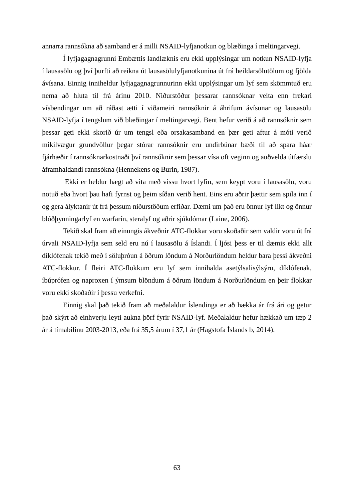annarra rannsókna að samband er á milli NSAID-lyfjanotkun og blæðinga í meltingarvegi.

Í lyfjagagnagrunni Embættis landlæknis eru ekki upplýsingar um notkun NSAID-lyfja í lausasölu og því þurfti að reikna út lausasölulyfjanotkunina út frá heildarsölutölum og fjölda ávísana. Einnig inniheldur lyfjagagnagrunnurinn ekki upplýsingar um lyf sem skömmtuð eru nema að hluta til frá árinu 2010. Niðurstöður þessarar rannsóknar veita enn frekari vísbendingar um að ráðast ætti í viðameiri rannsóknir á áhrifum ávísunar og lausasölu NSAID-lyfja í tengslum við blæðingar í meltingarvegi. Bent hefur verið á að rannsóknir sem þessar geti ekki skorið úr um tengsl eða orsakasamband en þær geti aftur á móti verið mikilvægur grundvöllur þegar stórar rannsóknir eru undirbúnar bæði til að spara háar fjárhæðir í rannsóknarkostnaði því rannsóknir sem þessar vísa oft veginn og auðvelda útfærslu áframhaldandi rannsókna (Hennekens og Burin, 1987).

Ekki er heldur hægt að vita með vissu hvort lyfin, sem keypt voru í lausasölu, voru notuð eða hvort þau hafi fyrnst og þeim síðan verið hent. Eins eru aðrir þættir sem spila inn í og gera ályktanir út frá þessum niðurstöðum erfiðar. Dæmi um það eru önnur lyf líkt og önnur blóðþynningarlyf en warfarín, steralyf og aðrir sjúkdómar (Laine, 2006).

Tekið skal fram að einungis ákveðnir ATC-flokkar voru skoðaðir sem valdir voru út frá úrvali NSAID-lyfja sem seld eru nú í lausasölu á Íslandi. Í ljósi þess er til dæmis ekki allt díklófenak tekið með í söluþróun á öðrum löndum á Norðurlöndum heldur bara þessi ákveðni ATC-flokkur. Í fleiri ATC-flokkum eru lyf sem innihalda asetýlsalisýlsýru, díklófenak, íbúprófen og naproxen í ýmsum blöndum á öðrum löndum á Norðurlöndum en þeir flokkar voru ekki skoðaðir í þessu verkefni.

Einnig skal það tekið fram að meðalaldur Íslendinga er að hækka ár frá ári og getur það skýrt að einhverju leyti aukna þörf fyrir NSAID-lyf. Meðalaldur hefur hækkað um tæp 2 ár á tímabilinu 2003-2013, eða frá 35,5 árum í 37,1 ár (Hagstofa Íslands b, 2014).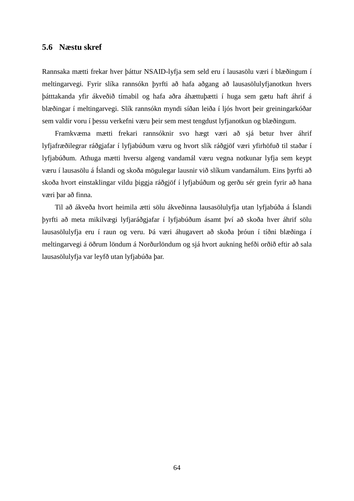### **5.6 Næstu skref**

Rannsaka mætti frekar hver þáttur NSAID-lyfja sem seld eru í lausasölu væri í blæðingum í meltingarvegi. Fyrir slíka rannsókn þyrfti að hafa aðgang að lausasölulyfjanotkun hvers þátttakanda yfir ákveðið tímabil og hafa aðra áhættuþætti í huga sem gætu haft áhrif á blæðingar í meltingarvegi. Slík rannsókn myndi síðan leiða í ljós hvort þeir greiningarkóðar sem valdir voru í þessu verkefni væru þeir sem mest tengdust lyfjanotkun og blæðingum.

Framkvæma mætti frekari rannsóknir svo hægt væri að sjá betur hver áhrif lyfjafræðilegrar ráðgjafar í lyfjabúðum væru og hvort slík ráðgjöf væri yfirhöfuð til staðar í lyfjabúðum. Athuga mætti hversu algeng vandamál væru vegna notkunar lyfja sem keypt væru í lausasölu á Íslandi og skoða mögulegar lausnir við slíkum vandamálum. Eins þyrfti að skoða hvort einstaklingar vildu þiggja ráðgjöf í lyfjabúðum og gerðu sér grein fyrir að hana væri þar að finna.

Til að ákveða hvort heimila ætti sölu ákveðinna lausasölulyfja utan lyfjabúða á Íslandi þyrfti að meta mikilvægi lyfjaráðgjafar í lyfjabúðum ásamt því að skoða hver áhrif sölu lausasölulyfja eru í raun og veru. Þá væri áhugavert að skoða þróun í tíðni blæðinga í meltingarvegi á öðrum löndum á Norðurlöndum og sjá hvort aukning hefði orðið eftir að sala lausasölulyfja var leyfð utan lyfjabúða þar.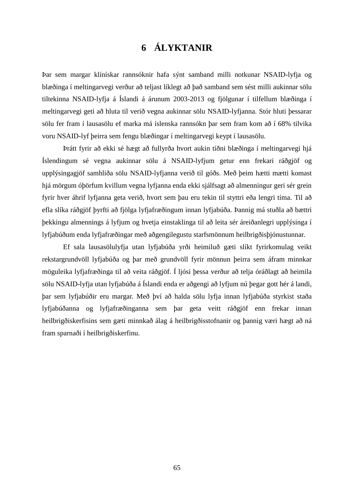## **6 ÁLYKTANIR**

Þar sem margar klínískar rannsóknir hafa sýnt samband milli notkunar NSAID-lyfja og blæðinga í meltingarvegi verður að teljast líklegt að það samband sem sést milli aukinnar sölu tiltekinna NSAID-lyfja á Íslandi á árunum 2003-2013 og fjölgunar í tilfellum blæðinga í meltingarvegi geti að hluta til verið vegna aukinnar sölu NSAID-lyfjanna. Stór hluti þessarar sölu fer fram í lausasölu ef marka má íslenska rannsókn þar sem fram kom að í 68% tilvika voru NSAID-lyf þeirra sem fengu blæðingar í meltingarvegi keypt í lausasölu.

Þrátt fyrir að ekki sé hægt að fullyrða hvort aukin tíðni blæðinga í meltingarvegi hjá Íslendingum sé vegna aukinnar sölu á NSAID-lyfjum getur enn frekari ráðgjöf og upplýsingagjöf samhliða sölu NSAID-lyfjanna verið til góðs. Með þeim hætti mætti komast hjá mörgum óþörfum kvillum vegna lyfjanna enda ekki sjálfsagt að almenningur geri sér grein fyrir hver áhrif lyfjanna geta verið, hvort sem þau eru tekin til styttri eða lengri tíma. Til að efla slíka ráðgjöf þyrfti að fjölga lyfjafræðingum innan lyfjabúða. Þannig má stuðla að bættri þekkingu almennings á lyfjum og hvetja einstaklinga til að leita sér áreiðanlegri upplýsinga í lyfjabúðum enda lyfjafræðingar með aðgengilegustu starfsmönnum heilbrigðisþjónustunnar.

Ef sala lausasölulyfja utan lyfjabúða yrði heimiluð gæti slíkt fyrirkomulag veikt rekstargrundvöll lyfjabúða og þar með grundvöll fyrir mönnun þeirra sem áfram minnkar möguleika lyfjafræðinga til að veita ráðgjöf. Í ljósi þessa verður að telja óráðlagt að heimila sölu NSAID-lyfja utan lyfjabúða á Íslandi enda er aðgengi að lyfjum nú þegar gott hér á landi, þar sem lyfjabúðir eru margar. Með því að halda sölu lyfja innan lyfjabúða styrkist staða lyfjabúðanna og lyfjafræðinganna sem þar geta veitt ráðgjöf enn frekar innan heilbrigðiskerfisins sem gæti minnkað álag á heilbrigðisstofnanir og þannig væri hægt að ná fram sparnaði í heilbrigðiskerfinu.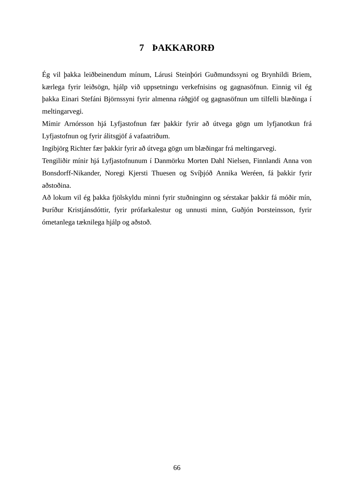## **7 ÞAKKARORÐ**

Ég vil þakka leiðbeinendum mínum, Lárusi Steinþóri Guðmundssyni og Brynhildi Briem, kærlega fyrir leiðsögn, hjálp við uppsetningu verkefnisins og gagnasöfnun. Einnig vil ég þakka Einari Stefáni Björnssyni fyrir almenna ráðgjöf og gagnasöfnun um tilfelli blæðinga í meltingarvegi.

Mímir Arnórsson hjá Lyfjastofnun fær þakkir fyrir að útvega gögn um lyfjanotkun frá Lyfjastofnun og fyrir álitsgjöf á vafaatriðum.

Ingibjörg Richter fær þakkir fyrir að útvega gögn um blæðingar frá meltingarvegi.

Tengiliðir mínir hjá Lyfjastofnunum í Danmörku Morten Dahl Nielsen, Finnlandi Anna von Bonsdorff-Nikander, Noregi Kjersti Thuesen og Svíþjóð Annika Weréen, fá þakkir fyrir aðstoðina.

Að lokum vil ég þakka fjölskyldu minni fyrir stuðninginn og sérstakar þakkir fá móðir mín, Þuríður Kristjánsdóttir, fyrir prófarkalestur og unnusti minn, Guðjón Þorsteinsson, fyrir ómetanlega tæknilega hjálp og aðstoð.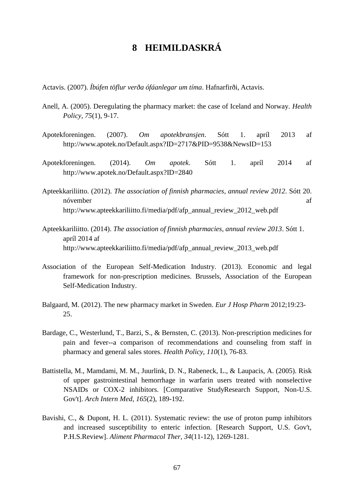# **8 HEIMILDASKRÁ**

Actavis. (2007). *Íbúfen töflur verða ófáanlegar um tíma*. Hafnarfirði, Actavis.

- Anell, A. (2005). Deregulating the pharmacy market: the case of Iceland and Norway. *Health Policy, 75*(1), 9-17.
- Apotekforeningen. (2007). *Om apotekbransjen*. Sótt 1. apríl 2013 af http://www.apotek.no/Default.aspx?ID=2717&PID=9538&NewsID=153
- Apotekforeningen. (2014). *Om apotek*. Sótt 1. apríl 2014 af <http://www.apotek.no/Default.aspx?ID=2840>
- Apteekkariliitto. (2012). *The association of finnish pharmacies, annual review 2012*. Sótt 20. nóvember af [http://www.apteekkariliitto.fi/media/pdf/afp\\_annual\\_review\\_2012\\_web.pdf](http://www.apteekkariliitto.fi/media/pdf/afp_annual_review_2012_web.pdf)
- Apteekkariliitto. (2014). *The association of finnish pharmacies, annual review 2013*. Sótt 1. apríl 2014 af http://www.apteekkariliitto.fi/media/pdf/afp\_annual\_review\_2013\_web.pdf
- Association of the European Self-Medication Industry. (2013). Economic and legal framework for non-prescription medicines. Brussels, Association of the European Self-Medication Industry.
- Balgaard, M. (2012). The new pharmacy market in Sweden. *Eur J Hosp Pharm* 2012;19:23- 25.
- Bardage, C., Westerlund, T., Barzi, S., & Bernsten, C. (2013). Non-prescription medicines for pain and fever--a comparison of recommendations and counseling from staff in pharmacy and general sales stores. *Health Policy, 110*(1), 76-83.
- Battistella, M., Mamdami, M. M., Juurlink, D. N., Rabeneck, L., & Laupacis, A. (2005). Risk of upper gastrointestinal hemorrhage in warfarin users treated with nonselective NSAIDs or COX-2 inhibitors. [Comparative StudyResearch Support, Non-U.S. Gov't]. *Arch Intern Med, 165*(2), 189-192.
- Bavishi, C., & Dupont, H. L. (2011). Systematic review: the use of proton pump inhibitors and increased susceptibility to enteric infection. [Research Support, U.S. Gov't, P.H.S.Review]. *Aliment Pharmacol Ther, 34*(11-12), 1269-1281.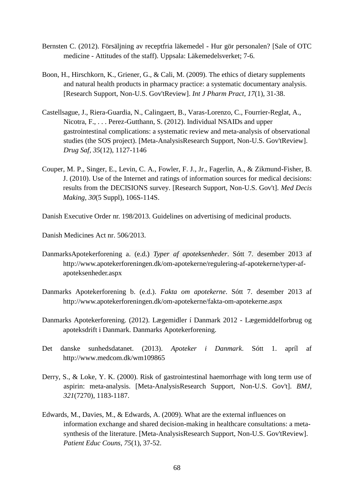- Bernsten C. (2012). Försäljning av receptfria läkemedel Hur gör personalen? [Sale of OTC medicine - Attitudes of the staff). Uppsala: Läkemedelsverket; 7-6.
- Boon, H., Hirschkorn, K., Griener, G., & Cali, M. (2009). The ethics of dietary supplements and natural health products in pharmacy practice: a systematic documentary analysis. [Research Support, Non-U.S. Gov'tReview]. *Int J Pharm Pract, 17*(1), 31-38.
- Castellsague, J., Riera-Guardia, N., Calingaert, B., Varas-Lorenzo, C., Fourrier-Reglat, A., Nicotra, F., . . . Perez-Gutthann, S. (2012). Individual NSAIDs and upper gastrointestinal complications: a systematic review and meta-analysis of observational studies (the SOS project). [Meta-AnalysisResearch Support, Non-U.S. Gov'tReview]. *Drug Saf, 35*(12), 1127-1146
- Couper, M. P., Singer, E., Levin, C. A., Fowler, F. J., Jr., Fagerlin, A., & Zikmund-Fisher, B. J. (2010). Use of the Internet and ratings of information sources for medical decisions: results from the DECISIONS survey. [Research Support, Non-U.S. Gov't]. *Med Decis Making, 30*(5 Suppl), 106S-114S.

Danish Executive Order nr. 198/2013. Guidelines on advertising of medicinal products.

Danish Medicines Act nr. 506/2013.

- DanmarksApotekerforening a. (e.d.) *Typer af apoteksenheder*. Sótt 7. desember 2013 af [http://www.apotekerforeningen.dk/om-apotekerne/regulering-af-apotekerne/typer-af](http://www.apotekerforeningen.dk/om-apotekerne/regulering-af-apotekerne/typer-af-apoteksenheder.aspx)[apoteksenheder.aspx](http://www.apotekerforeningen.dk/om-apotekerne/regulering-af-apotekerne/typer-af-apoteksenheder.aspx)
- Danmarks Apotekerforening b. (e.d.). *Fakta om apotekerne*. Sótt 7. desember 2013 af <http://www.apotekerforeningen.dk/om-apotekerne/fakta-om-apotekerne.aspx>
- Danmarks Apotekerforening. (2012). Lægemidler í Danmark 2012 Lægemiddelforbrug og apoteksdrift i Danmark. Danmarks Apotekerforening.
- Det danske sunhedsdatanet. (2013). *Apoteker i Danmark*. Sótt 1. apríl af http://www.medcom.dk/wm109865
- Derry, S., & Loke, Y. K. (2000). Risk of gastrointestinal haemorrhage with long term use of aspirin: meta-analysis. [Meta-AnalysisResearch Support, Non-U.S. Gov't]. *BMJ, 321*(7270), 1183-1187.
- Edwards, M., Davies, M., & Edwards, A. (2009). What are the external influences on information exchange and shared decision-making in healthcare consultations: a metasynthesis of the literature. [Meta-AnalysisResearch Support, Non-U.S. Gov'tReview]. *Patient Educ Couns, 75*(1), 37-52.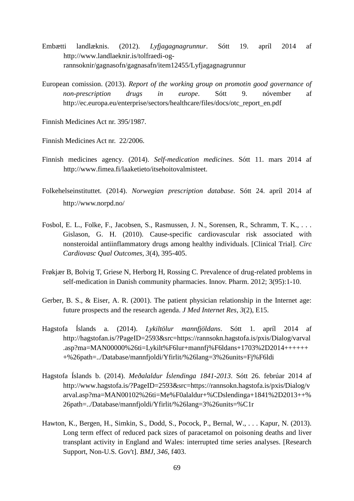- Embætti landlæknis. (2012). *Lyfjagagnagrunnur*. Sótt 19. apríl 2014 af http://www.landlaeknir.is/tolfraedi-ogrannsoknir/gagnasofn/gagnasafn/item12455/Lyfjagagnagrunnur
- European comission. (2013). *Report of the working group on promotin good governance of non-prescription drugs in europe*. Sótt 9. nóvember af [http://ec.europa.eu/enterprise/sectors/healthcare/files/docs/otc\\_report\\_en.pdf](http://ec.europa.eu/enterprise/sectors/healthcare/files/docs/otc_report_en.pdf)

Finnish Medicines Act nr. 395/1987.

Finnish Medicines Act nr. 22/2006.

- Finnish medicines agency. (2014). *Self-medication medicines*. Sótt 11. mars 2014 af [http://www.fimea.fi/laaketieto/itsehoitovalmisteet.](http://www.fimea.fi/laaketieto/itsehoitovalmisteet)
- Folkehelseinstituttet. (2014). *Norwegian prescription database*. Sótt 24. apríl 2014 af http://www.norpd.no/
- Fosbol, E. L., Folke, F., Jacobsen, S., Rasmussen, J. N., Sorensen, R., Schramm, T. K., . . . Gislason, G. H. (2010). Cause-specific cardiovascular risk associated with nonsteroidal antiinflammatory drugs among healthy individuals. [Clinical Trial]. *Circ Cardiovasc Qual Outcomes, 3*(4), 395-405.
- Frøkjær B, Bolvig T, Griese N, Herborg H, Rossing C. Prevalence of drug-related problems in self-medication in Danish community pharmacies. Innov. Pharm. 2012; 3(95):1-10.
- Gerber, B. S., & Eiser, A. R. (2001). The patient physician relationship in the Internet age: future prospects and the research agenda. *J Med Internet Res, 3*(2), E15.
- Hagstofa Íslands a. (2014). *Lykiltölur mannfjöldans*. Sótt 1. apríl 2014 af [http://hagstofan.is/?PageID=2593&src=https://rannsokn.hagstofa.is/pxis/Dialog/varval](http://hagstofan.is/?PageID=2593&src=https://rannsokn.hagstofa.is/pxis/Dialog/varval.asp?ma=MAN00000%26ti=Lykilt%F6lur+mannfj%F6ldans+1703%2D2014+++++++%26path=../Database/mannfjoldi/Yfirlit/%26lang=3%26units=Fj%F6ldi) [.asp?ma=MAN00000%26ti=Lykilt%F6lur+mannfj%F6ldans+1703%2D2014++++++](http://hagstofan.is/?PageID=2593&src=https://rannsokn.hagstofa.is/pxis/Dialog/varval.asp?ma=MAN00000%26ti=Lykilt%F6lur+mannfj%F6ldans+1703%2D2014+++++++%26path=../Database/mannfjoldi/Yfirlit/%26lang=3%26units=Fj%F6ldi) [+%26path=../Database/mannfjoldi/Yfirlit/%26lang=3%26units=Fj%F6ldi](http://hagstofan.is/?PageID=2593&src=https://rannsokn.hagstofa.is/pxis/Dialog/varval.asp?ma=MAN00000%26ti=Lykilt%F6lur+mannfj%F6ldans+1703%2D2014+++++++%26path=../Database/mannfjoldi/Yfirlit/%26lang=3%26units=Fj%F6ldi)
- Hagstofa Íslands b. (2014). *Meðalaldur Íslendinga 1841-2013*. Sótt 26. febrúar 2014 af http://www.hagstofa.is/?PageID=2593&src=https://rannsokn.hagstofa.is/pxis/Dialog/v arval.asp?ma=MAN00102%26ti=Me%F0alaldur+%CDslendinga+1841%2D2013++% 26path=../Database/mannfjoldi/Yfirlit/%26lang=3%26units=%C1r
- Hawton, K., Bergen, H., Simkin, S., Dodd, S., Pocock, P., Bernal, W., . . . Kapur, N. (2013). Long term effect of reduced pack sizes of paracetamol on poisoning deaths and liver transplant activity in England and Wales: interrupted time series analyses. [Research Support, Non-U.S. Gov't]. *BMJ, 346*, f403.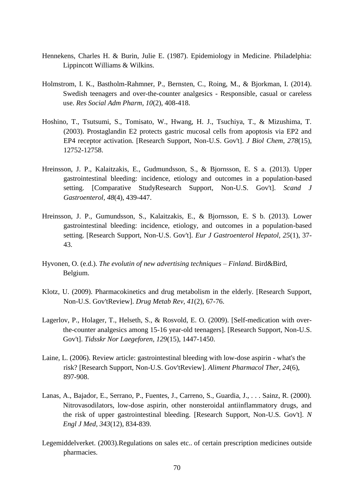- Hennekens, Charles H. & Burin, Julie E. (1987). Epidemiology in Medicine. Philadelphia: Lippincott Williams & Wilkins.
- Holmstrom, I. K., Bastholm-Rahmner, P., Bernsten, C., Roing, M., & Bjorkman, I. (2014). Swedish teenagers and over-the-counter analgesics - Responsible, casual or careless use. *Res Social Adm Pharm, 10*(2), 408-418.
- Hoshino, T., Tsutsumi, S., Tomisato, W., Hwang, H. J., Tsuchiya, T., & Mizushima, T. (2003). Prostaglandin E2 protects gastric mucosal cells from apoptosis via EP2 and EP4 receptor activation. [Research Support, Non-U.S. Gov't]. *J Biol Chem, 278*(15), 12752-12758.
- Hreinsson, J. P., Kalaitzakis, E., Gudmundsson, S., & Bjornsson, E. S a. (2013). Upper gastrointestinal bleeding: incidence, etiology and outcomes in a population-based setting. [Comparative StudyResearch Support, Non-U.S. Gov't]. *Scand J Gastroenterol, 48*(4), 439-447.
- Hreinsson, J. P., Gumundsson, S., Kalaitzakis, E., & Bjornsson, E. S b. (2013). Lower gastrointestinal bleeding: incidence, etiology, and outcomes in a population-based setting. [Research Support, Non-U.S. Gov't]. *Eur J Gastroenterol Hepatol, 25*(1), 37- 43.
- Hyvonen, O. (e.d.). *The evolutin of new advertising techniques – Finland*. Bird&Bird, Belgium.
- Klotz, U. (2009). Pharmacokinetics and drug metabolism in the elderly. [Research Support, Non-U.S. Gov'tReview]. *Drug Metab Rev, 41*(2), 67-76.
- Lagerlov, P., Holager, T., Helseth, S., & Rosvold, E. O. (2009). [Self-medication with overthe-counter analgesics among 15-16 year-old teenagers]. [Research Support, Non-U.S. Gov't]. *Tidsskr Nor Laegeforen, 129*(15), 1447-1450.
- Laine, L. (2006). Review article: gastrointestinal bleeding with low-dose aspirin what's the risk? [Research Support, Non-U.S. Gov'tReview]. *Aliment Pharmacol Ther, 24*(6), 897-908.
- Lanas, A., Bajador, E., Serrano, P., Fuentes, J., Carreno, S., Guardia, J., . . . Sainz, R. (2000). Nitrovasodilators, low-dose aspirin, other nonsteroidal antiinflammatory drugs, and the risk of upper gastrointestinal bleeding. [Research Support, Non-U.S. Gov't]. *N Engl J Med, 343*(12), 834-839.
- Legemiddelverket. (2003).Regulations on sales etc.. of certain prescription medicines outside pharmacies.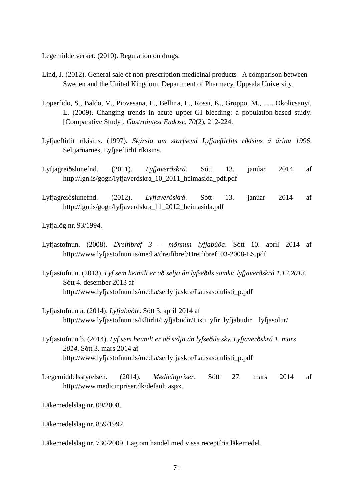Legemiddelverket. (2010). Regulation on drugs.

- Lind, J. (2012). General sale of non-prescription medicinal products A comparison between Sweden and the United Kingdom. Department of Pharmacy, Uppsala University.
- Loperfido, S., Baldo, V., Piovesana, E., Bellina, L., Rossi, K., Groppo, M., . . . Okolicsanyi, L. (2009). Changing trends in acute upper-GI bleeding: a population-based study. [Comparative Study]. *Gastrointest Endosc, 70*(2), 212-224.
- Lyfjaeftirlit ríkisins. (1997). *Skýrsla um starfsemi Lyfjaeftirlits ríkisins á árinu 1996*. Seltjarnarnes, Lyfjaeftirlit ríkisins.
- Lyfjagreiðslunefnd. (2011). *Lyfjaverðskrá*. Sótt 13. janúar 2014 af [http://lgn.is/gogn/lyfjaverdskra\\_10\\_2011\\_heimasida\\_pdf.pdf](http://lgn.is/gogn/lyfjaverdskra_10_2011_heimasida_pdf.pdf)
- Lyfjagreiðslunefnd. (2012). *Lyfjaverðskrá*. Sótt 13. janúar 2014 af [http://lgn.is/gogn/lyfjaverdskra\\_11\\_2012\\_heimasida.pdf](http://lgn.is/gogn/lyfjaverdskra_11_2012_heimasida.pdf)

Lyfjalög nr. 93/1994.

- Lyfjastofnun. (2008). *Dreifibréf 3 – mönnun lyfjabúða*. Sótt 10. apríl 2014 af http://www.lyfjastofnun.is/media/dreifibref/Dreifibref\_03-2008-LS.pdf
- Lyfjastofnun. (2013). *Lyf sem heimilt er að selja án lyfseðils samkv. lyfjaverðskrá 1.12.2013*. Sótt 4. desember 2013 af [http://www.lyfjastofnun.is/media/serlyfjaskra/Lausasolulisti\\_p.pdf](http://www.lyfjastofnun.is/media/serlyfjaskra/Lausasolulisti_p.pdf)
- Lyfjastofnun a. (2014). *Lyfjabúðir*. Sótt 3. apríl 2014 af [http://www.lyfjastofnun.is/Eftirlit/Lyfjabudir/Listi\\_yfir\\_lyfjabudir\\_\\_lyfjasolur/](http://www.lyfjastofnun.is/Eftirlit/Lyfjabudir/Listi_yfir_lyfjabudir__lyfjasolur/)
- Lyfjastofnun b. (2014). *Lyf sem heimilt er að selja án lyfseðils skv. Lyfjaverðskrá 1. mars 2014*. Sótt 3. mars 2014 af [http://www.lyfjastofnun.is/media/serlyfjaskra/Lausasolulisti\\_p.pdf](http://www.lyfjastofnun.is/media/serlyfjaskra/Lausasolulisti_p.pdf)
- Lægemiddelsstyrelsen. (2014). *Medicinpriser*. Sótt 27. mars 2014 af [http://www.medicinpriser.dk/default.aspx.](http://www.medicinpriser.dk/default.aspx)

Läkemedelslag nr. 09/2008.

Läkemedelslag nr. 859/1992.

Läkemedelslag nr. 730/2009. Lag om handel med vissa receptfria läkemedel.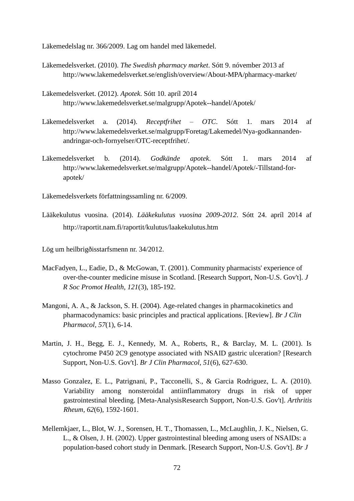Läkemedelslag nr. 366/2009. Lag om handel med läkemedel.

- Läkemedelsverket. (2010). *The Swedish pharmacy market*. Sótt 9. nóvember 2013 af <http://www.lakemedelsverket.se/english/overview/About-MPA/pharmacy-market/>
- Läkemedelsverket. (2012). *Apotek*. Sótt 10. apríl 2014 http://www.lakemedelsverket.se/malgrupp/Apotek--handel/Apotek/
- Läkemedelsverket a. (2014). *Receptfrihet – OTC*. Sótt 1. mars 2014 af [http://www.lakemedelsverket.se/malgrupp/Foretag/Lakemedel/Nya-godkannanden](http://www.lakemedelsverket.se/malgrupp/Foretag/Lakemedel/Nya-godkannanden-andringar-och-fornyelser/OTC-receptfrihet/)[andringar-och-fornyelser/OTC-receptfrihet/.](http://www.lakemedelsverket.se/malgrupp/Foretag/Lakemedel/Nya-godkannanden-andringar-och-fornyelser/OTC-receptfrihet/)
- Läkemedelsverket b. (2014). *Godkände apotek*. Sótt 1. mars 2014 af http://www.lakemedelsverket.se/malgrupp/Apotek--handel/Apotek/-Tillstand-forapotek/

Läkemedelsverkets författningssamling nr. 6/2009.

Lääkekulutus vuosina. (2014). *Lääkekulutus vuosina 2009-2012*. Sótt 24. apríl 2014 af http://raportit.nam.fi/raportit/kulutus/laakekulutus.htm

Lög um heilbrigðisstarfsmenn nr. 34/2012.

- MacFadyen, L., Eadie, D., & McGowan, T. (2001). Community pharmacists' experience of over-the-counter medicine misuse in Scotland. [Research Support, Non-U.S. Gov't]. *J R Soc Promot Health, 121*(3), 185-192.
- Mangoni, A. A., & Jackson, S. H. (2004). Age-related changes in pharmacokinetics and pharmacodynamics: basic principles and practical applications. [Review]. *Br J Clin Pharmacol, 57*(1), 6-14.
- Martin, J. H., Begg, E. J., Kennedy, M. A., Roberts, R., & Barclay, M. L. (2001). Is cytochrome P450 2C9 genotype associated with NSAID gastric ulceration? [Research Support, Non-U.S. Gov't]. *Br J Clin Pharmacol, 51*(6), 627-630.
- Masso Gonzalez, E. L., Patrignani, P., Tacconelli, S., & Garcia Rodriguez, L. A. (2010). Variability among nonsteroidal antiinflammatory drugs in risk of upper gastrointestinal bleeding. [Meta-AnalysisResearch Support, Non-U.S. Gov't]. *Arthritis Rheum, 62*(6), 1592-1601.
- Mellemkjaer, L., Blot, W. J., Sorensen, H. T., Thomassen, L., McLaughlin, J. K., Nielsen, G. L., & Olsen, J. H. (2002). Upper gastrointestinal bleeding among users of NSAIDs: a population-based cohort study in Denmark. [Research Support, Non-U.S. Gov't]. *Br J*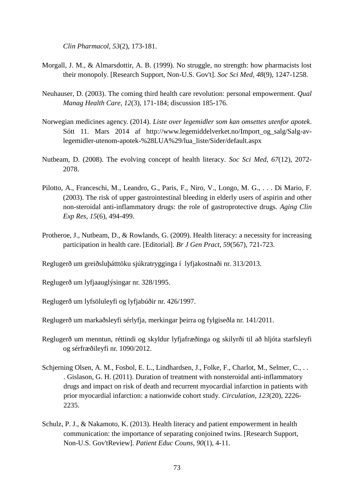*Clin Pharmacol, 53*(2), 173-181.

- Morgall, J. M., & Almarsdottir, A. B. (1999). No struggle, no strength: how pharmacists lost their monopoly. [Research Support, Non-U.S. Gov't]. *Soc Sci Med, 48*(9), 1247-1258.
- Neuhauser, D. (2003). The coming third health care revolution: personal empowerment. *Qual Manag Health Care, 12*(3), 171-184; discussion 185-176.
- Norwegian medicines agency. (2014). *Liste over legemidler som kan omsettes utenfor apotek*. Sótt 11. Mars 2014 af http://www.legemiddelverket.no/Import\_og\_salg/Salg-avlegemidler-utenom-apotek-%28LUA%29/lua\_liste/Sider/default.aspx
- Nutbeam, D. (2008). The evolving concept of health literacy. *Soc Sci Med, 67*(12), 2072- 2078.
- Pilotto, A., Franceschi, M., Leandro, G., Paris, F., Niro, V., Longo, M. G., . . . Di Mario, F. (2003). The risk of upper gastrointestinal bleeding in elderly users of aspirin and other non-steroidal anti-inflammatory drugs: the role of gastroprotective drugs. *Aging Clin Exp Res, 15*(6), 494-499.
- Protheroe, J., Nutbeam, D., & Rowlands, G. (2009). Health literacy: a necessity for increasing participation in health care. [Editorial]. *Br J Gen Pract, 59*(567), 721-723.

Reglugerð um greiðsluþátttöku sjúkratrygginga í lyfjakostnaði nr. 313/2013.

Reglugerð um lyfjaauglýsingar nr. 328/1995.

Reglugerð um lyfsöluleyfi og lyfjabúðir nr. 426/1997.

Reglugerð um markaðsleyfi sérlyfja, merkingar þeirra og fylgiseðla nr. 141/2011.

- Reglugerð um menntun, réttindi og skyldur lyfjafræðinga og skilyrði til að hljóta starfsleyfi og sérfræðileyfi nr. 1090/2012.
- Schjerning Olsen, A. M., Fosbol, E. L., Lindhardsen, J., Folke, F., Charlot, M., Selmer, C., . . . Gislason, G. H. (2011). Duration of treatment with nonsteroidal anti-inflammatory drugs and impact on risk of death and recurrent myocardial infarction in patients with prior myocardial infarction: a nationwide cohort study. *Circulation, 123*(20), 2226- 2235.
- Schulz, P. J., & Nakamoto, K. (2013). Health literacy and patient empowerment in health communication: the importance of separating conjoined twins. [Research Support, Non-U.S. Gov'tReview]. *Patient Educ Couns, 90*(1), 4-11.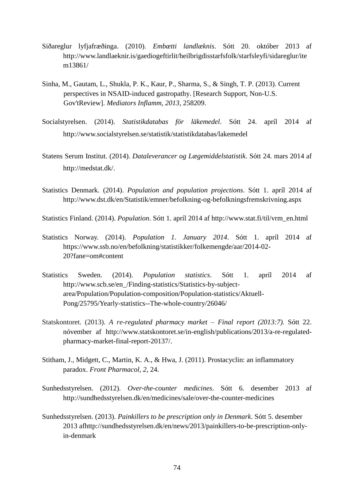- Siðareglur lyfjafræðinga. (2010). *Embætti landlæknis*. Sótt 20. október 2013 af [http://www.landlaeknir.is/gaediogeftirlit/heilbrigdisstarfsfolk/starfsleyfi/sidareglur/ite](http://www.landlaeknir.is/gaediogeftirlit/heilbrigdisstarfsfolk/starfsleyfi/sidareglur/item13861) [m13861/](http://www.landlaeknir.is/gaediogeftirlit/heilbrigdisstarfsfolk/starfsleyfi/sidareglur/item13861)
- Sinha, M., Gautam, L., Shukla, P. K., Kaur, P., Sharma, S., & Singh, T. P. (2013). Current perspectives in NSAID-induced gastropathy. [Research Support, Non-U.S. Gov'tReview]. *Mediators Inflamm, 2013*, 258209.
- Socialstyrelsen. (2014). *Statistikdatabas för läkemedel*. Sótt 24. apríl 2014 af http://www.socialstyrelsen.se/statistik/statistikdatabas/lakemedel
- Statens Serum Institut. (2014). *Dataleverancer og Lægemiddelstatistik*. Sótt 24. mars 2014 af http://medstat.dk/.
- Statistics Denmark. (2014). *Population and population projections*. Sótt 1. apríl 2014 af http://www.dst.dk/en/Statistik/emner/befolkning-og-befolkningsfremskrivning.aspx

Statistics Finland. (2014). *Population*. Sótt 1. apríl 2014 af http://www.stat.fi/til/vrm\_en.html

- Statistics Norway. (2014). *Population 1. January 2014*. Sótt 1. apríl 2014 af [https://www.ssb.no/en/befolkning/statistikker/folkemengde/aar/2014-02-](https://www.ssb.no/en/befolkning/statistikker/folkemengde/aar/2014-02-20?fane=om#content) [20?fane=om#content](https://www.ssb.no/en/befolkning/statistikker/folkemengde/aar/2014-02-20?fane=om#content)
- Statistics Sweden. (2014). *Population statistics*. Sótt 1. apríl 2014 af http://www.scb.se/en\_/Finding-statistics/Statistics-by-subjectarea/Population/Population-composition/Population-statistics/Aktuell-Pong/25795/Yearly-statistics--The-whole-country/26046/
- Statskontoret. (2013). *A re-regulated pharmacy market – Final report (2013:7).* Sótt 22. nóvember af [http://www.statskontoret.se/in-english/publications/2013/a-re-regulated](http://www.statskontoret.se/in-english/publications/2013/a-re-regulated-pharmacy-market-final-report-20137/)[pharmacy-market-final-report-20137/.](http://www.statskontoret.se/in-english/publications/2013/a-re-regulated-pharmacy-market-final-report-20137/)
- Stitham, J., Midgett, C., Martin, K. A., & Hwa, J. (2011). Prostacyclin: an inflammatory paradox. *Front Pharmacol, 2*, 24.
- Sunhedsstyrelsen. (2012). *Over-the-counter medicines*. Sótt 6. desember 2013 af <http://sundhedsstyrelsen.dk/en/medicines/sale/over-the-counter-medicines>
- Sunhedsstyrelsen. (2013). *Painkillers to be prescription only in Denmark*. Sótt 5. desember 2013 a[fhttp://sundhedsstyrelsen.dk/en/news/2013/painkillers-to-be-prescription-only](http://sundhedsstyrelsen.dk/en/news/2013/painkillers-to-be-prescription-only-in-denmark)[in-denmark](http://sundhedsstyrelsen.dk/en/news/2013/painkillers-to-be-prescription-only-in-denmark)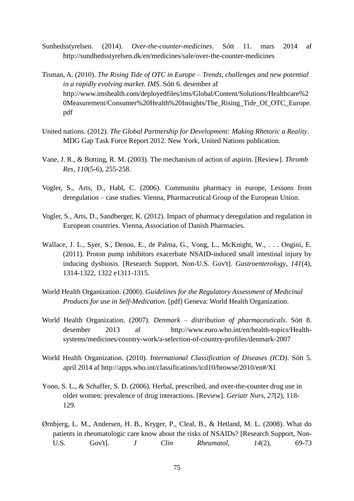- Sunhedsstyrelsen. (2014). *Over-the-counter-medicines*. Sótt 11. mars 2014 af http://sundhedsstyrelsen.dk/en/medicines/sale/over-the-counter-medicines
- Tisman, A. (2010). *The Rising Tide of OTC in Europe – Trends, challenges and new potential in a rapidly evolving market. IMS*. Sótt 6. desember af [http://www.imshealth.com/deployedfiles/ims/Global/Content/Solutions/Healthcare%2](http://www.imshealth.com/deployedfiles/ims/Global/Content/Solutions/Healthcare%20Measurement/Consumer%20Health%20Insights/The_Rising_Tide_Of_OTC_Europe.pdf) [0Measurement/Consumer%20Health%20Insights/The\\_Rising\\_Tide\\_Of\\_OTC\\_Europe.](http://www.imshealth.com/deployedfiles/ims/Global/Content/Solutions/Healthcare%20Measurement/Consumer%20Health%20Insights/The_Rising_Tide_Of_OTC_Europe.pdf) [pdf](http://www.imshealth.com/deployedfiles/ims/Global/Content/Solutions/Healthcare%20Measurement/Consumer%20Health%20Insights/The_Rising_Tide_Of_OTC_Europe.pdf)
- United nations. (2012). *The Global Partnership for Development: Making Rhetoric a Reality*. MDG Gap Task Force Report 2012. New York, United Nations publication.
- Vane, J. R., & Botting, R. M. (2003). The mechanism of action of aspirin. [Review]. *Thromb Res, 110*(5-6), 255-258.
- Vogler, S., Arts, D., Habl, C. (2006). Communitu pharmacy in europe, Lessons from deregulation – case studies. Vienna, Pharmaceutical Group of the European Union.
- Vogler, S., Arts, D., Sandberger, K. (2012). Impact of pharmacy deregulation and regulation in European countries. Vienna, Association of Danish Pharmacies.
- Wallace, J. L., Syer, S., Denou, E., de Palma, G., Vong, L., McKnight, W., . . . Ongini, E. (2011). Proton pump inhibitors exacerbate NSAID-induced small intestinal injury by inducing dysbiosis. [Research Support, Non-U.S. Gov't]. *Gastroenterology, 141*(4), 1314-1322, 1322 e1311-1315.
- World Health Organization. (2000). *Guidelines for the Regulatory Assessment of Medicinal Products for use in Self-Medication*. [pdf] Geneva: World Health Organization.
- World Health Organization. (2007). *Denmark – distribution of pharmaceuticals*. Sótt 8. desember 2013 af [http://www.euro.who.int/en/health-topics/Health](http://www.euro.who.int/en/health-topics/Health-systems/medicines/country-work/a-selection-of-country-profiles/denmark-2007)[systems/medicines/country-work/a-selection-of-country-profiles/denmark-2007](http://www.euro.who.int/en/health-topics/Health-systems/medicines/country-work/a-selection-of-country-profiles/denmark-2007)
- World Health Organization. (2010). *International Classification of Diseases (ICD)*. Sótt 5. apríl 2014 af http://apps.who.int/classifications/icd10/browse/2010/en#/XI
- Yoon, S. L., & Schaffer, S. D. (2006). Herbal, prescribed, and over-the-counter drug use in older women: prevalence of drug interactions. [Review]. *Geriatr Nurs, 27*(2), 118- 129.
- Ørnbjerg, L. M., Andersen, H. B., Kryger, P., Cleal, B., & Hetland, M. L. (2008). What do patients in rheumatologic care know about the risks of NSAIDs? [Research Support, Non-U.S. Gov't]. *J Clin Rheumatol, 14*(2), 69-73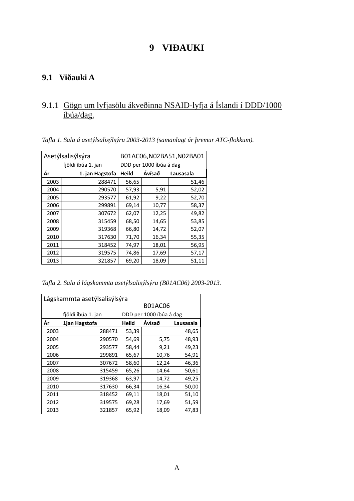## **VIÐAUKI**

### **9.1 Viðauki A**

## 9.1.1 Gögn um lyfjasölu ákveðinna NSAID-lyfja á Íslandi í DDD/1000 íbúa/dag.

*Tafla 1. Sala á asetýlsalisýlsýru 2003-2013 (samanlagt úr þremur ATC-flokkum).*

|      | Asetýlsalisýlsýra<br>B01AC06, N02BA51, N02BA01 |                         |        |           |  |
|------|------------------------------------------------|-------------------------|--------|-----------|--|
|      | fjöldi íbúa 1. jan                             | DDD per 1000 íbúa á dag |        |           |  |
| Ár   | 1. jan Hagstofa                                | <b>Heild</b>            | Ávísað | Lausasala |  |
| 2003 | 288471                                         | 56,65                   |        | 51,46     |  |
| 2004 | 290570                                         | 57,93                   | 5,91   | 52,02     |  |
| 2005 | 293577                                         | 61,92                   | 9,22   | 52,70     |  |
| 2006 | 299891                                         | 69,14                   | 10,77  | 58,37     |  |
| 2007 | 307672                                         | 62,07                   | 12,25  | 49,82     |  |
| 2008 | 315459                                         | 68,50                   | 14,65  | 53,85     |  |
| 2009 | 319368                                         | 66,80                   | 14,72  | 52,07     |  |
| 2010 | 317630                                         | 71,70                   | 16,34  | 55,35     |  |
| 2011 | 318452                                         | 74,97                   | 18,01  | 56,95     |  |
| 2012 | 319575                                         | 74,86                   | 17,69  | 57,17     |  |
| 2013 | 321857                                         | 69,20                   | 18,09  | 51,11     |  |

*Tafla 2. Sala á lágskammta asetýlsalisýlsýru (B01AC06) 2003-2013.*

| Lágskammta asetýlsalisýlsýra |                    |       |                         |           |  |
|------------------------------|--------------------|-------|-------------------------|-----------|--|
|                              | <b>B01AC06</b>     |       |                         |           |  |
|                              | fjöldi íbúa 1. jan |       | DDD per 1000 íbúa á dag |           |  |
| Ár                           | 1jan Hagstofa      | Heild | Ávísað                  | Lausasala |  |
| 2003                         | 288471             | 53,39 |                         | 48,65     |  |
| 2004                         | 290570             | 54,69 | 5,75                    | 48,93     |  |
| 2005                         | 293577             | 58,44 | 9,21                    | 49,23     |  |
| 2006                         | 299891             | 65,67 | 10,76                   | 54,91     |  |
| 2007                         | 307672             | 58,60 | 12,24                   | 46,36     |  |
| 2008                         | 315459             | 65,26 | 14,64                   | 50,61     |  |
| 2009                         | 319368             | 63,97 | 14,72                   | 49,25     |  |
| 2010                         | 317630             | 66,34 | 16,34                   | 50,00     |  |
| 2011                         | 318452             | 69,11 | 18,01                   | 51,10     |  |
| 2012                         | 319575             | 69,28 | 17,69                   | 51,59     |  |
| 2013                         | 321857             | 65,92 | 18,09                   | 47,83     |  |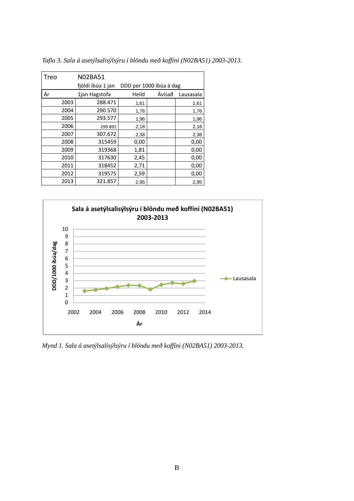| Treo |      | <b>N02BA51</b>    |       |                         |           |
|------|------|-------------------|-------|-------------------------|-----------|
|      |      | fjöldi íbúa 1 jan |       | DDD per 1000 íbúa á dag |           |
| Ár   |      | 1jan Hagstofa     | Heild | Ávísað                  | Lausasala |
|      | 2003 | 288.471           | 1,61  |                         | 1,61      |
|      | 2004 | 290.570           | 1,76  |                         | 1,76      |
|      | 2005 | 293.577           | 1,96  |                         | 1,96      |
|      | 2006 | 299.891           | 2,18  |                         | 2,18      |
|      | 2007 | 307.672           | 2,38  |                         | 2,38      |
|      | 2008 | 315459            | 0,00  |                         | 0,00      |
|      | 2009 | 319368            | 1,81  |                         | 0,00      |
|      | 2010 | 317630            | 2,45  |                         | 0,00      |
|      | 2011 | 318452            | 2,71  |                         | 0,00      |
|      | 2012 | 319575            | 2,59  |                         | 0,00      |
|      | 2013 | 321.857           | 2,95  |                         | 2,95      |

*Tafla 3. Sala á asetýlsalisýlsýru í blöndu með koffíni (N02BA51) 2003-2013.*



*Mynd 1. Sala á asetýlsalisýlsýru í blöndu með koffíni (N02BA51) 2003-2013.*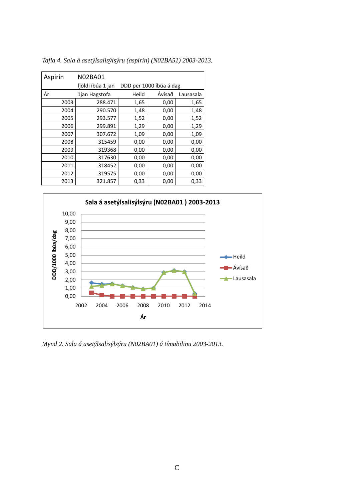| Aspirín | <b>N02BA01</b>    |       |                         |           |
|---------|-------------------|-------|-------------------------|-----------|
|         | fjöldi íbúa 1 jan |       | DDD per 1000 íbúa á dag |           |
| Ár      | 1jan Hagstofa     | Heild | Ávísað                  | Lausasala |
| 2003    | 288.471           | 1,65  | 0,00                    | 1,65      |
| 2004    | 290.570           | 1,48  | 0,00                    | 1,48      |
| 2005    | 293.577           | 1,52  | 0,00                    | 1,52      |
| 2006    | 299.891           | 1,29  | 0,00                    | 1,29      |
| 2007    | 307.672           | 1,09  | 0,00                    | 1,09      |
| 2008    | 315459            | 0,00  | 0,00                    | 0,00      |
| 2009    | 319368            | 0,00  | 0,00                    | 0,00      |
| 2010    | 317630            | 0,00  | 0,00                    | 0,00      |
| 2011    | 318452            | 0,00  | 0,00                    | 0,00      |
| 2012    | 319575            | 0,00  | 0,00                    | 0,00      |
| 2013    | 321.857           | 0,33  | 0,00                    | 0,33      |

*Tafla 4. Sala á asetýlsalisýlsýru (aspirín) (N02BA51) 2003-2013.*



*Mynd 2. Sala á asetýlsalisýlsýru (N02BA01) á tímabilinu 2003-2013.*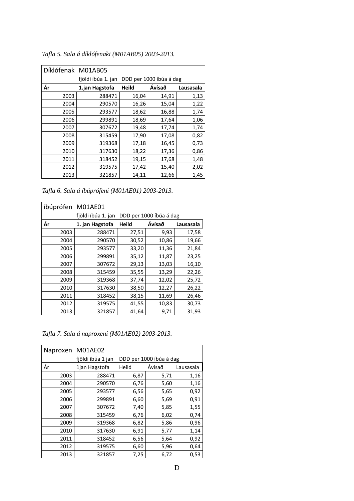| Díklófenak M01AB05 |                    |              |                         |           |
|--------------------|--------------------|--------------|-------------------------|-----------|
|                    | fjöldi íbúa 1. jan |              | DDD per 1000 íbúa á dag |           |
| Ár                 | 1.jan Hagstofa     | <b>Heild</b> | Ávísað                  | Lausasala |
| 2003               | 288471             | 16,04        | 14,91                   | 1,13      |
| 2004               | 290570             | 16,26        | 15,04                   | 1,22      |
| 2005               | 293577             | 18,62        | 16,88                   | 1,74      |
| 2006               | 299891             | 18,69        | 17,64                   | 1,06      |
| 2007               | 307672             | 19,48        | 17,74                   | 1,74      |
| 2008               | 315459             | 17,90        | 17,08                   | 0,82      |
| 2009               | 319368             | 17,18        | 16,45                   | 0,73      |
| 2010               | 317630             | 18,22        | 17,36                   | 0,86      |
| 2011               | 318452             | 19,15        | 17,68                   | 1,48      |
| 2012               | 319575             | 17,42        | 15,40                   | 2,02      |
| 2013               | 321857             | 14,11        | 12,66                   | 1,45      |

*Tafla 5. Sala á díklófenaki (M01AB05) 2003-2013.*

*Tafla 6. Sala á íbúprófeni (M01AE01) 2003-2013.*

| íbúprófen M01AE01 |                    |              |                         |           |
|-------------------|--------------------|--------------|-------------------------|-----------|
|                   | fjöldi íbúa 1. jan |              | DDD per 1000 íbúa á dag |           |
| Ár                | 1. jan Hagstofa    | <b>Heild</b> | Ávísað                  | Lausasala |
| 2003              | 288471             | 27,51        | 9,93                    | 17,58     |
| 2004              | 290570             | 30,52        | 10,86                   | 19,66     |
| 2005              | 293577             | 33,20        | 11,36                   | 21,84     |
| 2006              | 299891             | 35,12        | 11,87                   | 23,25     |
| 2007              | 307672             | 29,13        | 13,03                   | 16,10     |
| 2008              | 315459             | 35,55        | 13,29                   | 22,26     |
| 2009              | 319368             | 37,74        | 12,02                   | 25,72     |
| 2010              | 317630             | 38,50        | 12,27                   | 26,22     |
| 2011              | 318452             | 38,15        | 11,69                   | 26,46     |
| 2012              | 319575             | 41,55        | 10,83                   | 30,73     |
| 2013              | 321857             | 41,64        | 9,71                    | 31,93     |

*Tafla 7. Sala á naproxeni (M01AE02) 2003-2013.*

|      | Naproxen M01AE02  |                         |        |           |  |
|------|-------------------|-------------------------|--------|-----------|--|
|      | fjöldi íbúa 1 jan | DDD per 1000 íbúa á dag |        |           |  |
| Ár   | 1jan Hagstofa     | Heild                   | Ávísað | Lausasala |  |
| 2003 | 288471            | 6,87                    | 5,71   | 1,16      |  |
| 2004 | 290570            | 6,76                    | 5,60   | 1,16      |  |
| 2005 | 293577            | 6,56                    | 5,65   | 0,92      |  |
| 2006 | 299891            | 6,60                    | 5,69   | 0,91      |  |
| 2007 | 307672            | 7,40                    | 5,85   | 1,55      |  |
| 2008 | 315459            | 6,76                    | 6,02   | 0,74      |  |
| 2009 | 319368            | 6,82                    | 5,86   | 0,96      |  |
| 2010 | 317630            | 6,91                    | 5,77   | 1,14      |  |
| 2011 | 318452            | 6,56                    | 5,64   | 0,92      |  |
| 2012 | 319575            | 6,60                    | 5,96   | 0,64      |  |
| 2013 | 321857            | 7,25                    | 6,72   | 0,53      |  |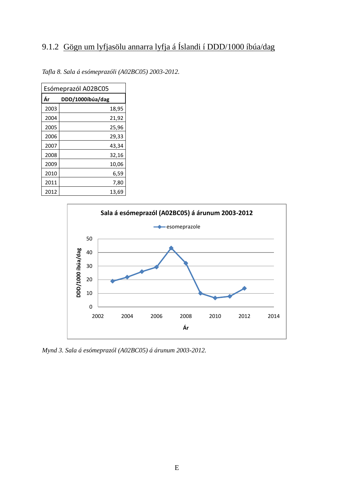# 9.1.2 Gögn um lyfjasölu annarra lyfja á Íslandi í DDD/1000 íbúa/dag

| Esómeprazól A02BC05 |                  |  |  |  |  |  |
|---------------------|------------------|--|--|--|--|--|
| Ár                  | DDD/1000íbúa/dag |  |  |  |  |  |
| 2003                | 18,95            |  |  |  |  |  |
| 2004                | 21,92            |  |  |  |  |  |
| 2005                | 25,96            |  |  |  |  |  |
| 2006                | 29,33            |  |  |  |  |  |
| 2007                | 43,34            |  |  |  |  |  |
| 2008                | 32,16            |  |  |  |  |  |
| 2009                | 10,06            |  |  |  |  |  |
| 2010                | 6,59             |  |  |  |  |  |
| 2011                | 7,80             |  |  |  |  |  |
| 2012                | 13,69            |  |  |  |  |  |

*Tafla 8. Sala á esómeprazóli (A02BC05) 2003-2012.*



*Mynd 3. Sala á esómeprazól (A02BC05) á árunum 2003-2012.*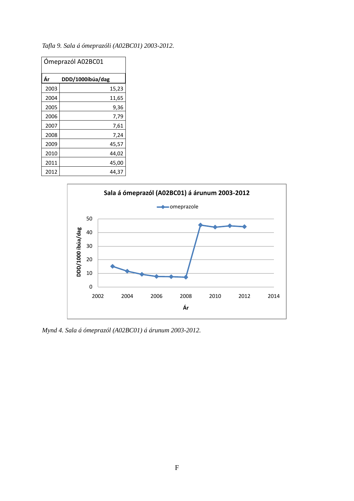| Ómeprazól A02BC01      |       |  |  |  |  |
|------------------------|-------|--|--|--|--|
| Ár<br>DDD/1000íbúa/dag |       |  |  |  |  |
| 2003                   | 15,23 |  |  |  |  |
| 2004                   | 11,65 |  |  |  |  |
| 2005                   | 9,36  |  |  |  |  |
| 2006                   | 7,79  |  |  |  |  |
| 2007                   | 7,61  |  |  |  |  |
| 2008                   | 7,24  |  |  |  |  |
| 2009                   | 45,57 |  |  |  |  |
| 2010                   | 44,02 |  |  |  |  |
| 2011                   | 45,00 |  |  |  |  |
| 2012                   | 44,37 |  |  |  |  |

*Tafla 9. Sala á ómeprazóli (A02BC01) 2003-2012.*



*Mynd 4. Sala á ómeprazól (A02BC01) á árunum 2003-2012.*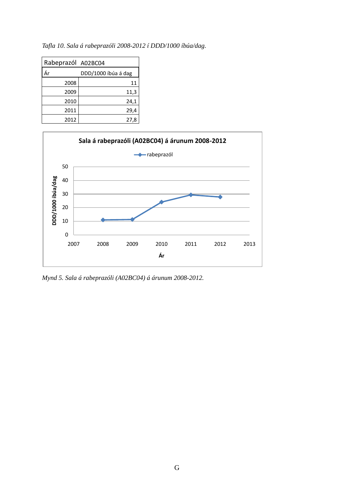| Rabeprazól A02BC04 |                     |
|--------------------|---------------------|
| Ár                 | DDD/1000 íbúa á dag |
| 2008               | 11                  |
| 2009               | 11,3                |
| 2010               | 24,1                |
| 2011               | 29,4                |
| 2012               | 27,8                |

*Tafla 10. Sala á rabeprazóli 2008-2012 í DDD/1000 íbúa/dag.*



*Mynd 5. Sala á rabeprazóli (A02BC04) á árunum 2008-2012.*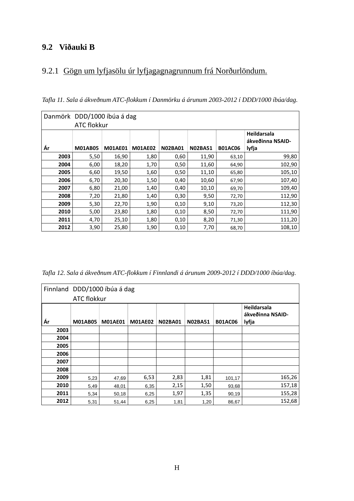### **9.2 Viðauki B**

# 9.2.1 Gögn um lyfjasölu úr lyfjagagnagrunnum frá Norðurlöndum.

*Tafla 11. Sala á ákveðnum ATC-flokkum í Danmörku á árunum 2003-2012 í DDD/1000 íbúa/dag.*

|      | Danmörk DDD/1000 íbúa á dag |                |                |                |                |                |                  |
|------|-----------------------------|----------------|----------------|----------------|----------------|----------------|------------------|
|      | <b>ATC flokkur</b>          |                |                |                |                |                |                  |
|      |                             |                |                |                |                |                | Heildarsala      |
|      |                             |                |                |                |                |                | ákveðinna NSAID- |
| Ár   | <b>M01AB05</b>              | <b>M01AE01</b> | <b>M01AE02</b> | <b>N02BA01</b> | <b>N02BA51</b> | <b>B01AC06</b> | lyfja            |
| 2003 | 5,50                        | 16,90          | 1,80           | 0,60           | 11,90          | 63,10          | 99,80            |
| 2004 | 6,00                        | 18,20          | 1,70           | 0,50           | 11,60          | 64,90          | 102,90           |
| 2005 | 6,60                        | 19,50          | 1,60           | 0,50           | 11,10          | 65,80          | 105,10           |
| 2006 | 6,70                        | 20,30          | 1,50           | 0,40           | 10,60          | 67,90          | 107,40           |
| 2007 | 6,80                        | 21,00          | 1,40           | 0,40           | 10,10          | 69,70          | 109,40           |
| 2008 | 7,20                        | 21,80          | 1,40           | 0,30           | 9,50           | 72,70          | 112,90           |
| 2009 | 5,30                        | 22,70          | 1,90           | 0,10           | 9,10           | 73,20          | 112,30           |
| 2010 | 5,00                        | 23,80          | 1,80           | 0,10           | 8,50           | 72,70          | 111,90           |
| 2011 | 4,70                        | 25,10          | 1,80           | 0,10           | 8,20           | 71,30          | 111,20           |
| 2012 | 3,90                        | 25,80          | 1,90           | 0,10           | 7,70           | 68,70          | 108,10           |

*Tafla 12. Sala á ákveðnum ATC-flokkum í Finnlandi á árunum 2009-2012 í DDD/1000 íbúa/dag.*

|      | Finnland DDD/1000 íbúa á dag |                    |                |                |                |                |                           |  |
|------|------------------------------|--------------------|----------------|----------------|----------------|----------------|---------------------------|--|
|      |                              | <b>ATC flokkur</b> |                |                |                |                |                           |  |
|      |                              |                    |                |                |                |                | Heildarsala               |  |
| Ár   | <b>M01AB05</b>               | <b>M01AE01</b>     | <b>M01AE02</b> | <b>N02BA01</b> | <b>N02BA51</b> | <b>B01AC06</b> | ákveðinna NSAID-<br>lyfja |  |
| 2003 |                              |                    |                |                |                |                |                           |  |
| 2004 |                              |                    |                |                |                |                |                           |  |
| 2005 |                              |                    |                |                |                |                |                           |  |
| 2006 |                              |                    |                |                |                |                |                           |  |
| 2007 |                              |                    |                |                |                |                |                           |  |
| 2008 |                              |                    |                |                |                |                |                           |  |
| 2009 | 5,23                         | 47,69              | 6,53           | 2,83           | 1,81           | 101,17         | 165,26                    |  |
| 2010 | 5,49                         | 48,01              | 6,35           | 2,15           | 1,50           | 93,68          | 157,18                    |  |
| 2011 | 5,34                         | 50,18              | 6,25           | 1,97           | 1,35           | 90,19          | 155,28                    |  |
| 2012 | 5,31                         | 51,44              | 6,25           | 1,81           | 1,20           | 86,67          | 152,68                    |  |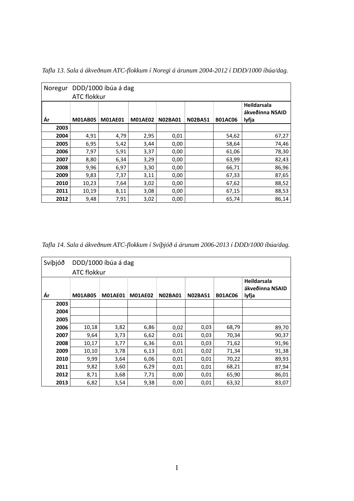| Noregur | <b>ATC flokkur</b> | DDD/1000 íbúa á dag |                |                |                |                |                                         |
|---------|--------------------|---------------------|----------------|----------------|----------------|----------------|-----------------------------------------|
| Ár      | <b>M01AB05</b>     | <b>M01AE01</b>      | <b>M01AE02</b> | <b>N02BA01</b> | <b>N02BA51</b> | <b>B01AC06</b> | Heildarsala<br>ákveðinna NSAID<br>lyfja |
| 2003    |                    |                     |                |                |                |                |                                         |
| 2004    | 4,91               | 4,79                | 2,95           | 0,01           |                | 54,62          | 67,27                                   |
| 2005    | 6,95               | 5,42                | 3,44           | 0,00           |                | 58,64          | 74,46                                   |
| 2006    | 7,97               | 5,91                | 3,37           | 0,00           |                | 61,06          | 78,30                                   |
| 2007    | 8,80               | 6,34                | 3,29           | 0,00           |                | 63,99          | 82,43                                   |
| 2008    | 9,96               | 6,97                | 3,30           | 0,00           |                | 66,71          | 86,96                                   |
| 2009    | 9,83               | 7,37                | 3,11           | 0,00           |                | 67,33          | 87,65                                   |
| 2010    | 10,23              | 7,64                | 3,02           | 0,00           |                | 67,62          | 88,52                                   |
| 2011    | 10,19              | 8,11                | 3,08           | 0,00           |                | 67,15          | 88,53                                   |
| 2012    | 9,48               | 7,91                | 3,02           | 0,00           |                | 65,74          | 86,14                                   |

*Tafla 13. Sala á ákveðnum ATC-flokkum í Noregi á árunum 2004-2012 í DDD/1000 íbúa/dag.*

*Tafla 14. Sala á ákveðnum ATC-flokkum í Svíþjóð á árunum 2006-2013 í DDD/1000 íbúa/dag.*

|    | Svíþjóð | <b>ATC flokkur</b> | DDD/1000 íbúa á dag |                |                |                |                |                                         |
|----|---------|--------------------|---------------------|----------------|----------------|----------------|----------------|-----------------------------------------|
| Ár |         | <b>M01AB05</b>     | <b>M01AE01</b>      | <b>M01AE02</b> | <b>N02BA01</b> | <b>N02BA51</b> | <b>B01AC06</b> | Heildarsala<br>ákveðinna NSAID<br>lyfja |
|    | 2003    |                    |                     |                |                |                |                |                                         |
|    | 2004    |                    |                     |                |                |                |                |                                         |
|    | 2005    |                    |                     |                |                |                |                |                                         |
|    | 2006    | 10,18              | 3,82                | 6,86           | 0,02           | 0,03           | 68,79          | 89,70                                   |
|    | 2007    | 9,64               | 3,73                | 6,62           | 0,01           | 0,03           | 70,34          | 90,37                                   |
|    | 2008    | 10,17              | 3,77                | 6,36           | 0,01           | 0,03           | 71,62          | 91,96                                   |
|    | 2009    | 10,10              | 3,78                | 6,13           | 0,01           | 0,02           | 71,34          | 91,38                                   |
|    | 2010    | 9,99               | 3,64                | 6,06           | 0,01           | 0,01           | 70,22          | 89,93                                   |
|    | 2011    | 9,82               | 3,60                | 6,29           | 0,01           | 0,01           | 68,21          | 87,94                                   |
|    | 2012    | 8,71               | 3,68                | 7,71           | 0,00           | 0,01           | 65,90          | 86,01                                   |
|    | 2013    | 6,82               | 3,54                | 9,38           | 0,00           | 0,01           | 63,32          | 83,07                                   |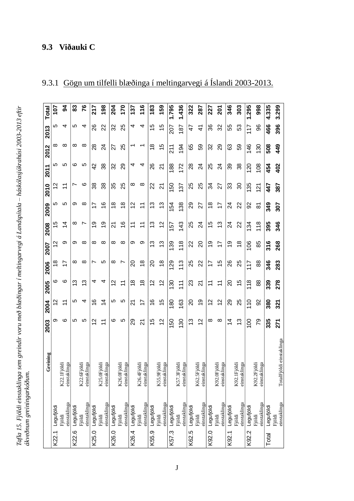# **9.3 Viðauki C**

| <b>Total</b><br>2013 |          | 107<br>5      | 3<br>4                                | 83<br>5    | 76<br>4                               | 217<br>88               | 198<br>22                                         | 204<br>32     | 170<br>25                                     | 137<br>4              | 116<br>4                        | 183<br>15      | 159<br>15                                          | 1.795<br>207 | 1.436<br>187                         | 322<br>47  | 287<br>$\frac{4}{3}$             | 227<br>36             | 201<br>32                       | 346<br>55  | 303<br>53                        | 1.295<br>117   | 998<br>96                        | 4.335<br>466 |        |
|----------------------|----------|---------------|---------------------------------------|------------|---------------------------------------|-------------------------|---------------------------------------------------|---------------|-----------------------------------------------|-----------------------|---------------------------------|----------------|----------------------------------------------------|--------------|--------------------------------------|------------|----------------------------------|-----------------------|---------------------------------|------------|----------------------------------|----------------|----------------------------------|--------------|--------|
| 2012                 |          | ∞             | ∞                                     | $\infty$   | $\infty$                              | 28                      | 24                                                | 27            | 25                                            |                       |                                 | $\frac{8}{1}$  | $\frac{5}{3}$                                      | 211          | 194                                  | 65         | 59                               | 32                    | 29                              | 63         | 59                               | 146            | 130                              | 508          |        |
| 2011                 |          | Ю             | 5                                     | ဖ          | 5                                     | 42                      | 38                                                | 32            | 29                                            | 4                     | 4                               | 26             | $\overline{2}$                                     | 188          | 172                                  | 28         | 24                               | 25                    | 24                              | 39         | 38                               | 120            | 108                              | 454          |        |
| 2010                 |          | 51            | $\overline{\mathbf{1}}$               | ∼          | ဖ                                     | 88                      | 38                                                | 35            | 25                                            | $\infty$              | $\infty$                        | 22             | $\overline{2}$                                     | 150          | 137                                  | 25         | 25                               | 34                    | 27                              | 33         | 80                               | 135            | $\overline{21}$                  | 447          |        |
| 2009                 |          | 5             | <b>40</b>                             | თ          | ∞                                     | 77                      | $\frac{6}{5}$                                     | $\frac{8}{1}$ | $\frac{8}{1}$                                 | 2                     | $\overline{\mathbf{r}}$         | 3              | 13                                                 | 154          | 138                                  | 29         | 27                               | $\frac{8}{1}$         | $\overline{1}$                  | 24         | 22                               | ဥ္က            | ౚ                                | 349          |        |
| 2008                 |          | 15            | $\overline{4}$                        | ∞          | Ľ                                     | စ္                      | စ္                                                | ম             | $\overset{\circ}{\rightarrow}$                | $\tilde{\mathcal{L}}$ | $\tilde{\tau}$                  | 3              | $\overline{2}$                                     | 157          | 143                                  | 25         | 24                               | 15                    | 3                               | 24         | 22                               | 134            | 118                              | 395          |        |
| 2007                 |          | 2             | တ                                     | თ          | ∞                                     | ∞                       | ∞                                                 | ∞             | ∞                                             | ග                     | တ                               | 13             | 13                                                 | 139          | 118                                  | 22         | $\Omega$                         | ó,                    | 17                              | စ္         | $\frac{8}{1}$                    | 106            | 85                               | 316          |        |
| 2006                 |          | $\frac{8}{1}$ | 17                                    | ∞          | ∞                                     |                         | 5                                                 | ∞             | r                                             | 20                    | $\frac{8}{1}$                   | 20             | $\frac{8}{1}$                                      | 129          | 113                                  | 25         | 22                               | 77                    | 15                              | 26         | 25                               | 117            | 88                               | 346          |        |
| 2005                 |          | ဖ             | ဖ                                     | ഇ          | <u>ო</u>                              | 4                       | 4                                                 | $\tilde{c}$   | $\tilde{=}$                                   | $\frac{8}{1}$         | $\frac{8}{1}$                   | $\overline{c}$ | 12                                                 | 130          | 111                                  | 23         | 21                               | $\stackrel{1}{\cdot}$ | $\tilde{\mathcal{L}}$           | 20         | 15                               | 118            | 88                               | 339          |        |
| 2004                 |          | 21            | $\overline{\mathbf{1}}$               | 5          | 4                                     | $\overset{\circ}{\tau}$ | $\overline{4}$                                    | 5             | 5                                             | 21                    | 77                              | $\frac{6}{1}$  | $\frac{5}{3}$                                      | 180          | 163                                  | 20         | ó,                               | 57                    | $\frac{2}{3}$                   | 29         | 25                               | $\frac{0}{1}$  | 92                               | 380          |        |
| 2003                 |          | თ             | ဖ                                     | LO.        | 5                                     | $\scriptstyle\sim$      | $\overline{1}$                                    | ဖ             | 5                                             | 29                    | 21                              | 15             | $\overline{c}$                                     | 150          | 30                                   | 3          | $\frac{2}{3}$                    | ∞                     | $^{\circ}$                      | 4          | <u>ლ</u>                         | $\overline{0}$ | 79                               | 335          |        |
|                      | Greining |               | iblöi<br>inga<br>K22.1Fi<br>einstakli |            | linga<br>iblöi<br>K22.6Fj<br>einstakl |                         | inga<br>iöldi<br>K25.0Fj<br>einstakl <sup>-</sup> |               | linga<br>K26.0Fjöldi<br>einstakl <sup>-</sup> |                       | K26.4Fjöldi<br>inga<br>einstakl |                | iöldi<br>linga<br>K55.9Fj<br>einstakl <sup>-</sup> |              | inga<br>iöldi<br>K57.3Fj<br>einstakl |            | inga<br>K62.5Fjöldi<br>einstakli |                       | inga<br>K92.0Fjöldi<br>einstakl |            | inga<br>K92.1Fjöldi<br>einstakli |                | inga<br>K92.2Fjöldi<br>einstakli |              |        |
|                      |          | Legufjöldi    | einstaklinga<br>Fjöldi                | Legufjöldi | einstaklinga<br>Fjöldi                | Legufjöldi              | einstaklinga<br>Fjöldi                            | Legufjöldi    | einstaklinga<br>Fjöldi                        | Legufjöldi            | einstaklinga<br>Fjöldi          | Legufjöldi     | einstaklinga<br>Fjöldi                             | Legufjöldi   | einstaklinga<br>Fjöldi               | Legufjöldi | einstaklinga<br>Fjöldi           | Legufjöldi            | einstaklinga<br>Fjöldi          | Legufjöldi | einstaklinga<br>Fjöldi           | Legufjöldi     | einstaklinga<br>Fjöldi           | Legufjöldi   | Fjöldi |
|                      |          | K22.1         |                                       | K22.6      |                                       | K25.0                   |                                                   | K26.0         |                                               | K26.4                 |                                 | K55.9          |                                                    | K57.3        |                                      | K62.5      |                                  | K92.0                 |                                 | K92.1      |                                  | K92.2          |                                  | Total        |        |

# 9.3.1 Gögn um tilfelli blæðinga í meltingarvegi á Íslandi 2003-2013.